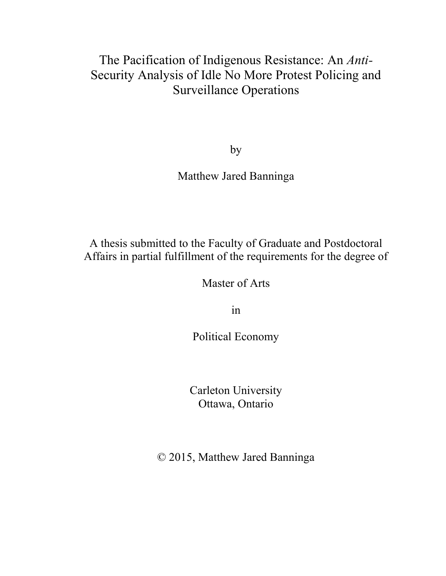# The Pacification of Indigenous Resistance: An *Anti-*Security Analysis of Idle No More Protest Policing and Surveillance Operations

by

Matthew Jared Banninga

A thesis submitted to the Faculty of Graduate and Postdoctoral Affairs in partial fulfillment of the requirements for the degree of

Master of Arts

in

Political Economy

Carleton University Ottawa, Ontario

© 2015, Matthew Jared Banninga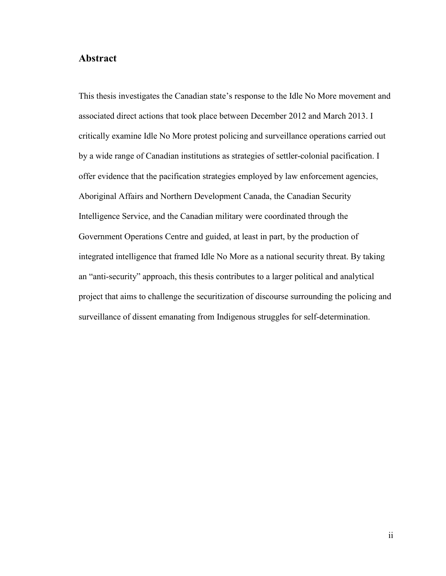## **Abstract**

This thesis investigates the Canadian state's response to the Idle No More movement and associated direct actions that took place between December 2012 and March 2013. I critically examine Idle No More protest policing and surveillance operations carried out by a wide range of Canadian institutions as strategies of settler-colonial pacification. I offer evidence that the pacification strategies employed by law enforcement agencies, Aboriginal Affairs and Northern Development Canada, the Canadian Security Intelligence Service, and the Canadian military were coordinated through the Government Operations Centre and guided, at least in part, by the production of integrated intelligence that framed Idle No More as a national security threat. By taking an "anti-security" approach, this thesis contributes to a larger political and analytical project that aims to challenge the securitization of discourse surrounding the policing and surveillance of dissent emanating from Indigenous struggles for self-determination.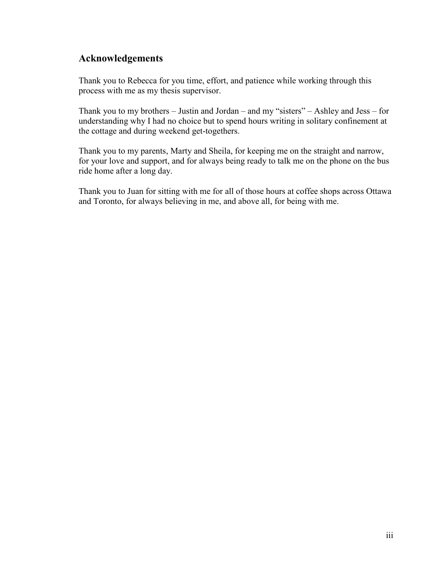## **Acknowledgements**

Thank you to Rebecca for you time, effort, and patience while working through this process with me as my thesis supervisor.

Thank you to my brothers – Justin and Jordan – and my "sisters" – Ashley and Jess – for understanding why I had no choice but to spend hours writing in solitary confinement at the cottage and during weekend get-togethers.

Thank you to my parents, Marty and Sheila, for keeping me on the straight and narrow, for your love and support, and for always being ready to talk me on the phone on the bus ride home after a long day.

Thank you to Juan for sitting with me for all of those hours at coffee shops across Ottawa and Toronto, for always believing in me, and above all, for being with me.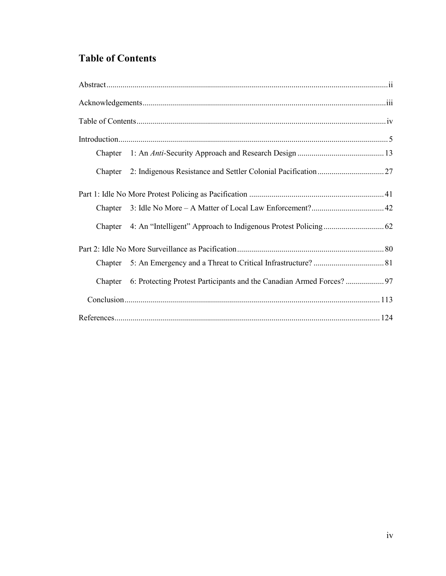## **Table of Contents**

| Chapter |  |  |
|---------|--|--|
| Chapter |  |  |
|         |  |  |
| Chapter |  |  |
| Chapter |  |  |
|         |  |  |
| Chapter |  |  |
| Chapter |  |  |
|         |  |  |
|         |  |  |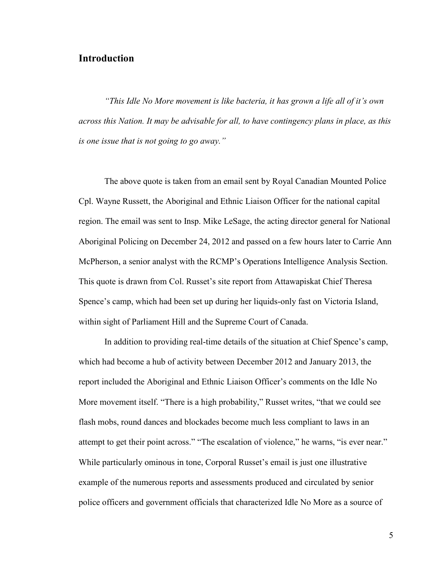## **Introduction**

*"This Idle No More movement is like bacteria, it has grown a life all of it's own across this Nation. It may be advisable for all, to have contingency plans in place, as this is one issue that is not going to go away."*

The above quote is taken from an email sent by Royal Canadian Mounted Police Cpl. Wayne Russett, the Aboriginal and Ethnic Liaison Officer for the national capital region. The email was sent to Insp. Mike LeSage, the acting director general for National Aboriginal Policing on December 24, 2012 and passed on a few hours later to Carrie Ann McPherson, a senior analyst with the RCMP's Operations Intelligence Analysis Section. This quote is drawn from Col. Russet's site report from Attawapiskat Chief Theresa Spence's camp, which had been set up during her liquids-only fast on Victoria Island, within sight of Parliament Hill and the Supreme Court of Canada.

In addition to providing real-time details of the situation at Chief Spence's camp, which had become a hub of activity between December 2012 and January 2013, the report included the Aboriginal and Ethnic Liaison Officer's comments on the Idle No More movement itself. "There is a high probability," Russet writes, "that we could see flash mobs, round dances and blockades become much less compliant to laws in an attempt to get their point across." "The escalation of violence," he warns, "is ever near." While particularly ominous in tone, Corporal Russet's email is just one illustrative example of the numerous reports and assessments produced and circulated by senior police officers and government officials that characterized Idle No More as a source of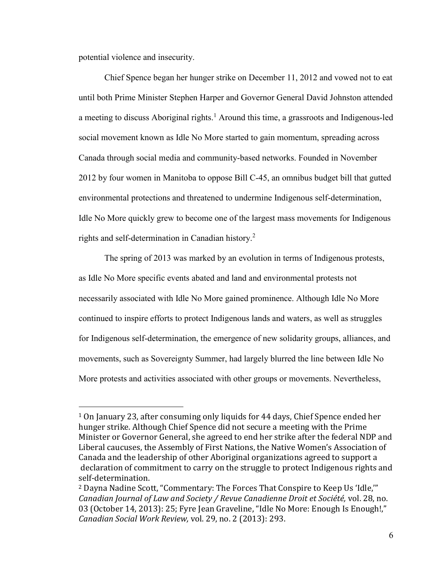potential violence and insecurity.

 $\overline{a}$ 

Chief Spence began her hunger strike on December 11, 2012 and vowed not to eat until both Prime Minister Stephen Harper and Governor General David Johnston attended a meeting to discuss Aboriginal rights.<sup>1</sup> Around this time, a grassroots and Indigenous-led social movement known as Idle No More started to gain momentum, spreading across Canada through social media and community-based networks. Founded in November 2012 by four women in Manitoba to oppose Bill C-45, an omnibus budget bill that gutted environmental protections and threatened to undermine Indigenous self-determination, Idle No More quickly grew to become one of the largest mass movements for Indigenous rights and self-determination in Canadian history.<sup>2</sup>

The spring of 2013 was marked by an evolution in terms of Indigenous protests, as Idle No More specific events abated and land and environmental protests not necessarily associated with Idle No More gained prominence. Although Idle No More continued to inspire efforts to protect Indigenous lands and waters, as well as struggles for Indigenous self-determination, the emergence of new solidarity groups, alliances, and movements, such as Sovereignty Summer, had largely blurred the line between Idle No More protests and activities associated with other groups or movements. Nevertheless,

<sup>1</sup> On January 23, after consuming only liquids for 44 days, Chief Spence ended her hunger strike. Although Chief Spence did not secure a meeting with the Prime Minister or Governor General, she agreed to end her strike after the federal NDP and Liberal caucuses, the Assembly of First Nations, the Native Women's Association of Canada and the leadership of other Aboriginal organizations agreed to support a declaration of commitment to carry on the struggle to protect Indigenous rights and self-determination.

<sup>&</sup>lt;sup>2</sup> Dayna Nadine Scott, "Commentary: The Forces That Conspire to Keep Us 'Idle,"" *Canadian Journal of Law and Society / Revue Canadienne Droit et Société,* vol. 28, no. 03 (October 14, 2013): 25; Fyre Jean Graveline, "Idle No More: Enough Is Enough!," *Canadian Social Work Review,* vol. 29, no. 2 (2013): 293.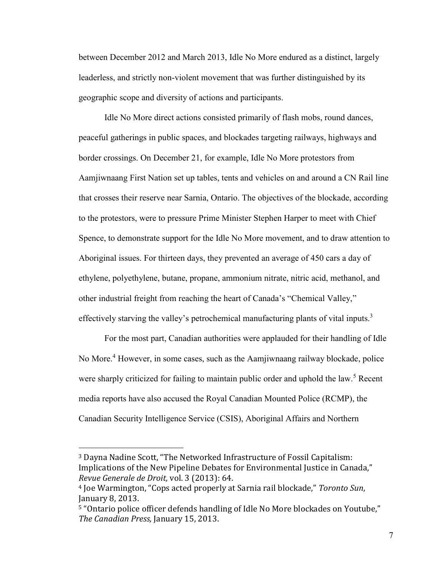between December 2012 and March 2013, Idle No More endured as a distinct, largely leaderless, and strictly non-violent movement that was further distinguished by its geographic scope and diversity of actions and participants.

Idle No More direct actions consisted primarily of flash mobs, round dances, peaceful gatherings in public spaces, and blockades targeting railways, highways and border crossings. On December 21, for example, Idle No More protestors from Aamjiwnaang First Nation set up tables, tents and vehicles on and around a CN Rail line that crosses their reserve near Sarnia, Ontario. The objectives of the blockade, according to the protestors, were to pressure Prime Minister Stephen Harper to meet with Chief Spence, to demonstrate support for the Idle No More movement, and to draw attention to Aboriginal issues. For thirteen days, they prevented an average of 450 cars a day of ethylene, polyethylene, butane, propane, ammonium nitrate, nitric acid, methanol, and other industrial freight from reaching the heart of Canada's "Chemical Valley," effectively starving the valley's petrochemical manufacturing plants of vital inputs.<sup>3</sup>

For the most part, Canadian authorities were applauded for their handling of Idle No More.<sup>4</sup> However, in some cases, such as the Aamjiwnaang railway blockade, police were sharply criticized for failing to maintain public order and uphold the law.<sup>5</sup> Recent media reports have also accused the Royal Canadian Mounted Police (RCMP), the Canadian Security Intelligence Service (CSIS), Aboriginal Affairs and Northern

<sup>&</sup>lt;sup>3</sup> Dayna Nadine Scott, "The Networked Infrastructure of Fossil Capitalism: Implications of the New Pipeline Debates for Environmental Justice in Canada," *Revue Generale de Droit,* vol. 3 (2013): 64.

<sup>&</sup>lt;sup>4</sup> Joe Warmington, "Cops acted properly at Sarnia rail blockade," Toronto Sun, January 8, 2013.

<sup>&</sup>lt;sup>5</sup> "Ontario police officer defends handling of Idle No More blockades on Youtube," *The Canadian Press,* January 15, 2013.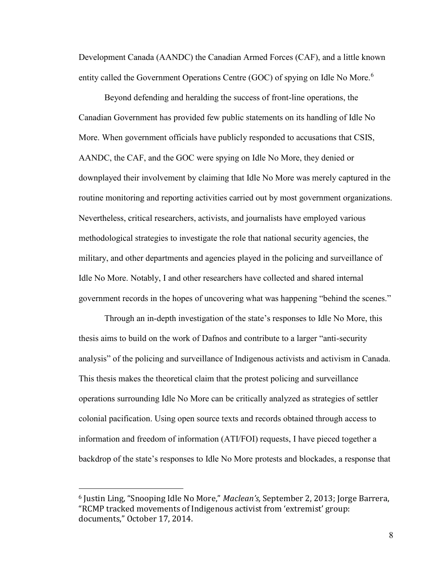Development Canada (AANDC) the Canadian Armed Forces (CAF), and a little known entity called the Government Operations Centre (GOC) of spying on Idle No More.<sup>6</sup>

Beyond defending and heralding the success of front-line operations, the Canadian Government has provided few public statements on its handling of Idle No More. When government officials have publicly responded to accusations that CSIS, AANDC, the CAF, and the GOC were spying on Idle No More, they denied or downplayed their involvement by claiming that Idle No More was merely captured in the routine monitoring and reporting activities carried out by most government organizations. Nevertheless, critical researchers, activists, and journalists have employed various methodological strategies to investigate the role that national security agencies, the military, and other departments and agencies played in the policing and surveillance of Idle No More. Notably, I and other researchers have collected and shared internal government records in the hopes of uncovering what was happening "behind the scenes."

Through an in-depth investigation of the state's responses to Idle No More, this thesis aims to build on the work of Dafnos and contribute to a larger "anti-security analysis" of the policing and surveillance of Indigenous activists and activism in Canada. This thesis makes the theoretical claim that the protest policing and surveillance operations surrounding Idle No More can be critically analyzed as strategies of settler colonial pacification. Using open source texts and records obtained through access to information and freedom of information (ATI/FOI) requests, I have pieced together a backdrop of the state's responses to Idle No More protests and blockades, a response that

<sup>&</sup>lt;sup>6</sup> Justin Ling, "Snooping Idle No More," *Maclean's*, September 2, 2013; Jorge Barrera, "RCMP tracked movements of Indigenous activist from 'extremist' group: documents," October 17, 2014.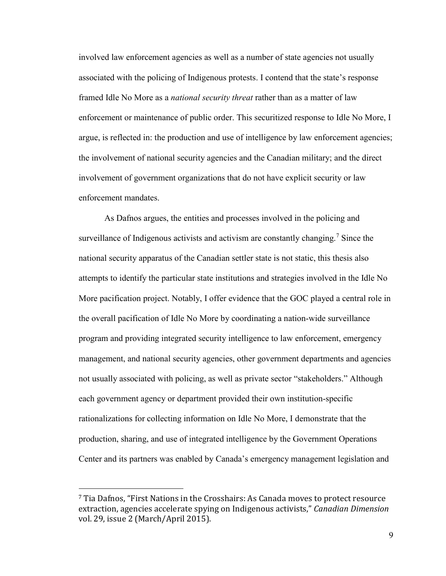involved law enforcement agencies as well as a number of state agencies not usually associated with the policing of Indigenous protests. I contend that the state's response framed Idle No More as a *national security threat* rather than as a matter of law enforcement or maintenance of public order. This securitized response to Idle No More, I argue, is reflected in: the production and use of intelligence by law enforcement agencies; the involvement of national security agencies and the Canadian military; and the direct involvement of government organizations that do not have explicit security or law enforcement mandates.

As Dafnos argues, the entities and processes involved in the policing and surveillance of Indigenous activists and activism are constantly changing.<sup>7</sup> Since the national security apparatus of the Canadian settler state is not static, this thesis also attempts to identify the particular state institutions and strategies involved in the Idle No More pacification project. Notably, I offer evidence that the GOC played a central role in the overall pacification of Idle No More by coordinating a nation-wide surveillance program and providing integrated security intelligence to law enforcement, emergency management, and national security agencies, other government departments and agencies not usually associated with policing, as well as private sector "stakeholders." Although each government agency or department provided their own institution-specific rationalizations for collecting information on Idle No More, I demonstrate that the production, sharing, and use of integrated intelligence by the Government Operations Center and its partners was enabled by Canada's emergency management legislation and

 $\frac{7}{1}$  Tia Dafnos, "First Nations in the Crosshairs: As Canada moves to protect resource extraction, agencies accelerate spying on Indigenous activists," Canadian Dimension vol. 29, issue 2 (March/April 2015).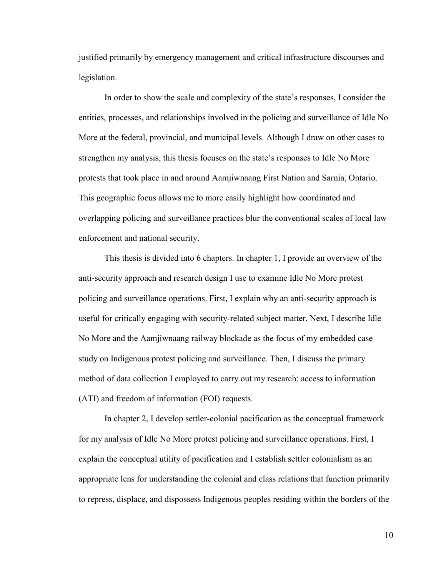justified primarily by emergency management and critical infrastructure discourses and legislation.

In order to show the scale and complexity of the state's responses, I consider the entities, processes, and relationships involved in the policing and surveillance of Idle No More at the federal, provincial, and municipal levels. Although I draw on other cases to strengthen my analysis, this thesis focuses on the state's responses to Idle No More protests that took place in and around Aamjiwnaang First Nation and Sarnia, Ontario. This geographic focus allows me to more easily highlight how coordinated and overlapping policing and surveillance practices blur the conventional scales of local law enforcement and national security.

This thesis is divided into 6 chapters. In chapter 1, I provide an overview of the anti-security approach and research design I use to examine Idle No More protest policing and surveillance operations. First, I explain why an anti-security approach is useful for critically engaging with security-related subject matter. Next, I describe Idle No More and the Aamjiwnaang railway blockade as the focus of my embedded case study on Indigenous protest policing and surveillance. Then, I discuss the primary method of data collection I employed to carry out my research: access to information (ATI) and freedom of information (FOI) requests.

In chapter 2, I develop settler-colonial pacification as the conceptual framework for my analysis of Idle No More protest policing and surveillance operations. First, I explain the conceptual utility of pacification and I establish settler colonialism as an appropriate lens for understanding the colonial and class relations that function primarily to repress, displace, and dispossess Indigenous peoples residing within the borders of the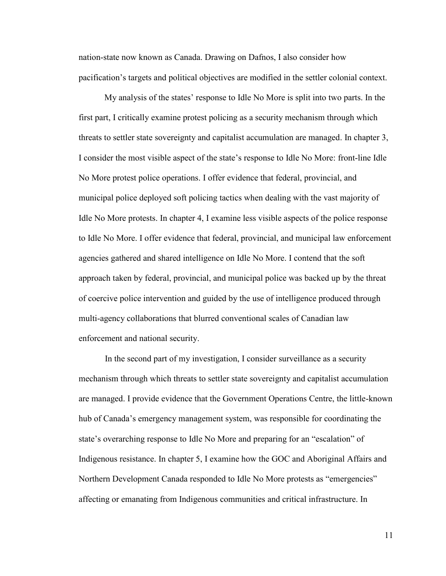nation-state now known as Canada. Drawing on Dafnos, I also consider how pacification's targets and political objectives are modified in the settler colonial context.

My analysis of the states' response to Idle No More is split into two parts. In the first part, I critically examine protest policing as a security mechanism through which threats to settler state sovereignty and capitalist accumulation are managed. In chapter 3, I consider the most visible aspect of the state's response to Idle No More: front-line Idle No More protest police operations. I offer evidence that federal, provincial, and municipal police deployed soft policing tactics when dealing with the vast majority of Idle No More protests. In chapter 4, I examine less visible aspects of the police response to Idle No More. I offer evidence that federal, provincial, and municipal law enforcement agencies gathered and shared intelligence on Idle No More. I contend that the soft approach taken by federal, provincial, and municipal police was backed up by the threat of coercive police intervention and guided by the use of intelligence produced through multi-agency collaborations that blurred conventional scales of Canadian law enforcement and national security.

In the second part of my investigation, I consider surveillance as a security mechanism through which threats to settler state sovereignty and capitalist accumulation are managed. I provide evidence that the Government Operations Centre, the little-known hub of Canada's emergency management system, was responsible for coordinating the state's overarching response to Idle No More and preparing for an "escalation" of Indigenous resistance. In chapter 5, I examine how the GOC and Aboriginal Affairs and Northern Development Canada responded to Idle No More protests as "emergencies" affecting or emanating from Indigenous communities and critical infrastructure. In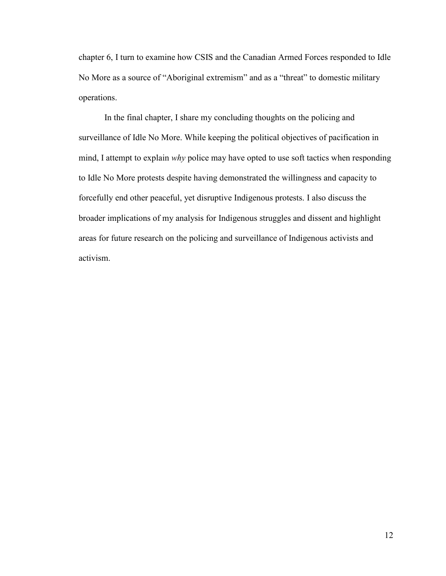chapter 6, I turn to examine how CSIS and the Canadian Armed Forces responded to Idle No More as a source of "Aboriginal extremism" and as a "threat" to domestic military operations.

In the final chapter, I share my concluding thoughts on the policing and surveillance of Idle No More. While keeping the political objectives of pacification in mind, I attempt to explain *why* police may have opted to use soft tactics when responding to Idle No More protests despite having demonstrated the willingness and capacity to forcefully end other peaceful, yet disruptive Indigenous protests. I also discuss the broader implications of my analysis for Indigenous struggles and dissent and highlight areas for future research on the policing and surveillance of Indigenous activists and activism.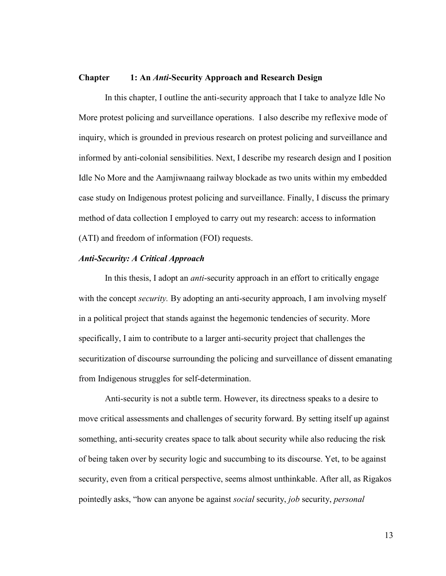#### **Chapter 1: An** *Anti-***Security Approach and Research Design**

In this chapter, I outline the anti-security approach that I take to analyze Idle No More protest policing and surveillance operations. I also describe my reflexive mode of inquiry, which is grounded in previous research on protest policing and surveillance and informed by anti-colonial sensibilities. Next, I describe my research design and I position Idle No More and the Aamjiwnaang railway blockade as two units within my embedded case study on Indigenous protest policing and surveillance. Finally, I discuss the primary method of data collection I employed to carry out my research: access to information (ATI) and freedom of information (FOI) requests.

#### *Anti-Security: A Critical Approach*

In this thesis, I adopt an *anti*-security approach in an effort to critically engage with the concept *security*. By adopting an anti-security approach, I am involving myself in a political project that stands against the hegemonic tendencies of security. More specifically, I aim to contribute to a larger anti-security project that challenges the securitization of discourse surrounding the policing and surveillance of dissent emanating from Indigenous struggles for self-determination.

Anti-security is not a subtle term. However, its directness speaks to a desire to move critical assessments and challenges of security forward. By setting itself up against something, anti-security creates space to talk about security while also reducing the risk of being taken over by security logic and succumbing to its discourse. Yet, to be against security, even from a critical perspective, seems almost unthinkable. After all, as Rigakos pointedly asks, "how can anyone be against *social* security, *job* security, *personal*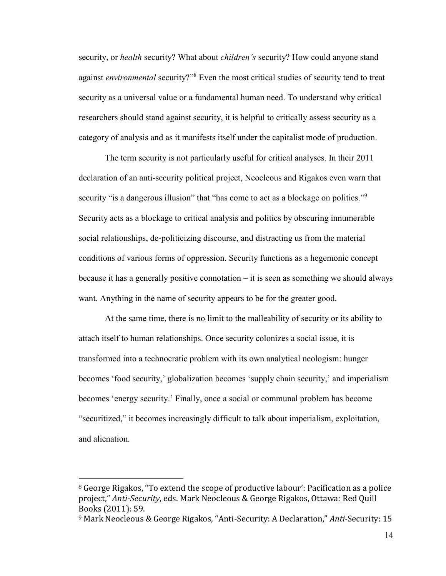security, or *health* security? What about *children's* security? How could anyone stand against *environmental* security?"<sup>8</sup> Even the most critical studies of security tend to treat security as a universal value or a fundamental human need. To understand why critical researchers should stand against security, it is helpful to critically assess security as a category of analysis and as it manifests itself under the capitalist mode of production.

The term security is not particularly useful for critical analyses. In their 2011 declaration of an anti-security political project, Neocleous and Rigakos even warn that security "is a dangerous illusion" that "has come to act as a blockage on politics."<sup>9</sup> Security acts as a blockage to critical analysis and politics by obscuring innumerable social relationships, de-politicizing discourse, and distracting us from the material conditions of various forms of oppression. Security functions as a hegemonic concept because it has a generally positive connotation – it is seen as something we should always want. Anything in the name of security appears to be for the greater good.

At the same time, there is no limit to the malleability of security or its ability to attach itself to human relationships. Once security colonizes a social issue, it is transformed into a technocratic problem with its own analytical neologism: hunger becomes 'food security,' globalization becomes 'supply chain security,' and imperialism becomes 'energy security.' Finally, once a social or communal problem has become "securitized," it becomes increasingly difficult to talk about imperialism, exploitation, and alienation.

 $8$  George Rigakos, "To extend the scope of productive labour': Pacification as a police project," Anti-Security, eds. Mark Neocleous & George Rigakos, Ottawa: Red Quill Books (2011): 59.

<sup>&</sup>lt;sup>9</sup> Mark Neocleous & George Rigakos, "Anti-Security: A Declaration," Anti-Security: 15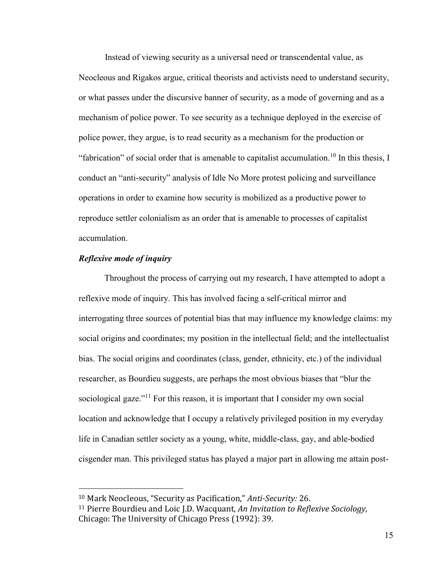Instead of viewing security as a universal need or transcendental value, as Neocleous and Rigakos argue, critical theorists and activists need to understand security, or what passes under the discursive banner of security, as a mode of governing and as a mechanism of police power. To see security as a technique deployed in the exercise of police power, they argue, is to read security as a mechanism for the production or "fabrication" of social order that is amenable to capitalist accumulation.<sup>10</sup> In this thesis, I conduct an "anti-security" analysis of Idle No More protest policing and surveillance operations in order to examine how security is mobilized as a productive power to reproduce settler colonialism as an order that is amenable to processes of capitalist accumulation.

#### *Reflexive mode of inquiry*

 $\overline{a}$ 

Throughout the process of carrying out my research, I have attempted to adopt a reflexive mode of inquiry. This has involved facing a self-critical mirror and interrogating three sources of potential bias that may influence my knowledge claims: my social origins and coordinates; my position in the intellectual field; and the intellectualist bias. The social origins and coordinates (class, gender, ethnicity, etc.) of the individual researcher, as Bourdieu suggests, are perhaps the most obvious biases that "blur the sociological gaze."<sup>11</sup> For this reason, it is important that I consider my own social location and acknowledge that I occupy a relatively privileged position in my everyday life in Canadian settler society as a young, white, middle-class, gay, and able-bodied cisgender man. This privileged status has played a major part in allowing me attain post-

<sup>&</sup>lt;sup>10</sup> Mark Neocleous, "Security as Pacification," Anti-Security: 26.

<sup>11</sup> Pierre Bourdieu and Loic J.D. Wacquant, *An Invitation to Reflexive Sociology,* Chicago: The University of Chicago Press (1992): 39.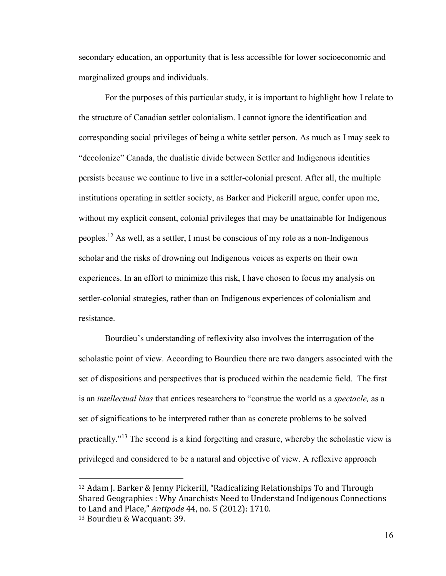secondary education, an opportunity that is less accessible for lower socioeconomic and marginalized groups and individuals.

For the purposes of this particular study, it is important to highlight how I relate to the structure of Canadian settler colonialism. I cannot ignore the identification and corresponding social privileges of being a white settler person. As much as I may seek to "decolonize" Canada, the dualistic divide between Settler and Indigenous identities persists because we continue to live in a settler-colonial present. After all, the multiple institutions operating in settler society, as Barker and Pickerill argue, confer upon me, without my explicit consent, colonial privileges that may be unattainable for Indigenous peoples.<sup>12</sup> As well, as a settler, I must be conscious of my role as a non-Indigenous scholar and the risks of drowning out Indigenous voices as experts on their own experiences. In an effort to minimize this risk, I have chosen to focus my analysis on settler-colonial strategies, rather than on Indigenous experiences of colonialism and resistance.

Bourdieu's understanding of reflexivity also involves the interrogation of the scholastic point of view. According to Bourdieu there are two dangers associated with the set of dispositions and perspectives that is produced within the academic field. The first is an *intellectual bias* that entices researchers to "construe the world as a *spectacle,* as a set of significations to be interpreted rather than as concrete problems to be solved practically."<sup>13</sup> The second is a kind forgetting and erasure, whereby the scholastic view is privileged and considered to be a natural and objective of view. A reflexive approach

<sup>&</sup>lt;sup>12</sup> Adam J. Barker & Jenny Pickerill, "Radicalizing Relationships To and Through Shared Geographies : Why Anarchists Need to Understand Indigenous Connections to Land and Place," Antipode 44, no. 5 (2012): 1710. 13 Bourdieu & Wacquant: 39.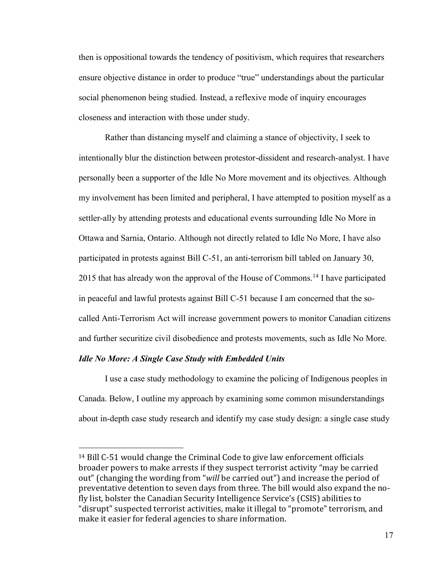then is oppositional towards the tendency of positivism, which requires that researchers ensure objective distance in order to produce "true" understandings about the particular social phenomenon being studied. Instead, a reflexive mode of inquiry encourages closeness and interaction with those under study.

Rather than distancing myself and claiming a stance of objectivity, I seek to intentionally blur the distinction between protestor-dissident and research-analyst. I have personally been a supporter of the Idle No More movement and its objectives. Although my involvement has been limited and peripheral, I have attempted to position myself as a settler-ally by attending protests and educational events surrounding Idle No More in Ottawa and Sarnia, Ontario. Although not directly related to Idle No More, I have also participated in protests against Bill C-51, an anti-terrorism bill tabled on January 30, 2015 that has already won the approval of the House of Commons.<sup>14</sup> I have participated in peaceful and lawful protests against Bill C-51 because I am concerned that the socalled Anti-Terrorism Act will increase government powers to monitor Canadian citizens and further securitize civil disobedience and protests movements, such as Idle No More.

#### *Idle No More: A Single Case Study with Embedded Units*

 $\overline{a}$ 

I use a case study methodology to examine the policing of Indigenous peoples in Canada. Below, I outline my approach by examining some common misunderstandings about in-depth case study research and identify my case study design: a single case study

<sup>14</sup> Bill C-51 would change the Criminal Code to give law enforcement officials broader powers to make arrests if they suspect terrorist activity "may be carried out" (changing the wording from "will be carried out") and increase the period of preventative detention to seven days from three. The bill would also expand the nofly list, bolster the Canadian Security Intelligence Service's (CSIS) abilities to "disrupt" suspected terrorist activities, make it illegal to "promote" terrorism, and make it easier for federal agencies to share information.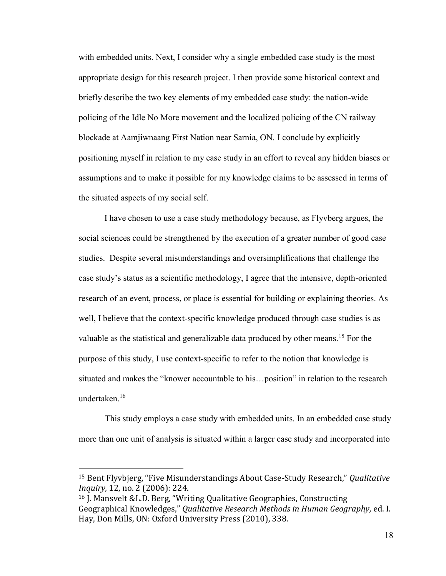with embedded units. Next, I consider why a single embedded case study is the most appropriate design for this research project. I then provide some historical context and briefly describe the two key elements of my embedded case study: the nation-wide policing of the Idle No More movement and the localized policing of the CN railway blockade at Aamjiwnaang First Nation near Sarnia, ON. I conclude by explicitly positioning myself in relation to my case study in an effort to reveal any hidden biases or assumptions and to make it possible for my knowledge claims to be assessed in terms of the situated aspects of my social self.

 I have chosen to use a case study methodology because, as Flyvberg argues, the social sciences could be strengthened by the execution of a greater number of good case studies. Despite several misunderstandings and oversimplifications that challenge the case study's status as a scientific methodology, I agree that the intensive, depth-oriented research of an event, process, or place is essential for building or explaining theories. As well, I believe that the context-specific knowledge produced through case studies is as valuable as the statistical and generalizable data produced by other means.<sup>15</sup> For the purpose of this study, I use context-specific to refer to the notion that knowledge is situated and makes the "knower accountable to his…position" in relation to the research undertaken.<sup>16</sup>

This study employs a case study with embedded units. In an embedded case study more than one unit of analysis is situated within a larger case study and incorporated into

<sup>&</sup>lt;sup>15</sup> Bent Flyvbjerg, "Five Misunderstandings About Case-Study Research," Qualitative *Inquiry,* 12, no. 2 (2006): 224.

<sup>&</sup>lt;sup>16</sup> J. Mansvelt &L.D. Berg, "Writing Qualitative Geographies, Constructing Geographical Knowledges," Qualitative Research Methods in Human Geography, ed. I. Hay, Don Mills, ON: Oxford University Press (2010), 338.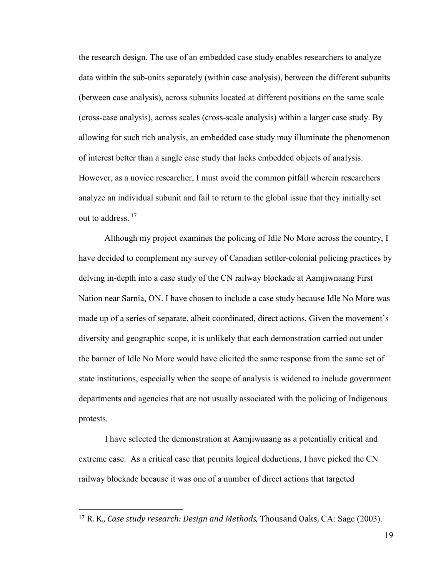the research design. The use of an embedded case study enables researchers to analyze data within the sub-units separately (within case analysis), between the different subunits (between case analysis), across subunits located at different positions on the same scale (cross-case analysis), across scales (cross-scale analysis) within a larger case study. By allowing for such rich analysis, an embedded case study may illuminate the phenomenon of interest better than a single case study that lacks embedded objects of analysis. However, as a novice researcher, I must avoid the common pitfall wherein researchers analyze an individual subunit and fail to return to the global issue that they initially set out to address.<sup>17</sup>

 Although my project examines the policing of Idle No More across the country, I have decided to complement my survey of Canadian settler-colonial policing practices by delving in-depth into a case study of the CN railway blockade at Aamjiwnaang First Nation near Sarnia, ON. I have chosen to include a case study because Idle No More was made up of a series of separate, albeit coordinated, direct actions. Given the movement's diversity and geographic scope, it is unlikely that each demonstration carried out under the banner of Idle No More would have elicited the same response from the same set of state institutions, especially when the scope of analysis is widened to include government departments and agencies that are not usually associated with the policing of Indigenous protests.

I have selected the demonstration at Aamjiwnaang as a potentially critical and extreme case. As a critical case that permits logical deductions, I have picked the CN railway blockade because it was one of a number of direct actions that targeted

<sup>17</sup> R. K., *Case study research: Design and Methods,* Thousand Oaks, CA: Sage (2003).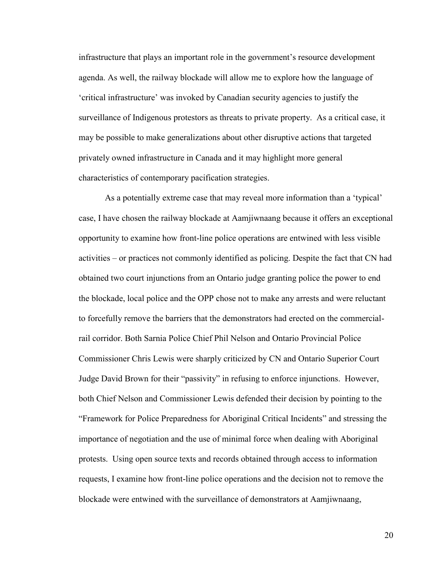infrastructure that plays an important role in the government's resource development agenda. As well, the railway blockade will allow me to explore how the language of 'critical infrastructure' was invoked by Canadian security agencies to justify the surveillance of Indigenous protestors as threats to private property. As a critical case, it may be possible to make generalizations about other disruptive actions that targeted privately owned infrastructure in Canada and it may highlight more general characteristics of contemporary pacification strategies.

As a potentially extreme case that may reveal more information than a 'typical' case, I have chosen the railway blockade at Aamjiwnaang because it offers an exceptional opportunity to examine how front-line police operations are entwined with less visible activities – or practices not commonly identified as policing. Despite the fact that CN had obtained two court injunctions from an Ontario judge granting police the power to end the blockade, local police and the OPP chose not to make any arrests and were reluctant to forcefully remove the barriers that the demonstrators had erected on the commercialrail corridor. Both Sarnia Police Chief Phil Nelson and Ontario Provincial Police Commissioner Chris Lewis were sharply criticized by CN and Ontario Superior Court Judge David Brown for their "passivity" in refusing to enforce injunctions. However, both Chief Nelson and Commissioner Lewis defended their decision by pointing to the "Framework for Police Preparedness for Aboriginal Critical Incidents" and stressing the importance of negotiation and the use of minimal force when dealing with Aboriginal protests. Using open source texts and records obtained through access to information requests, I examine how front-line police operations and the decision not to remove the blockade were entwined with the surveillance of demonstrators at Aamjiwnaang,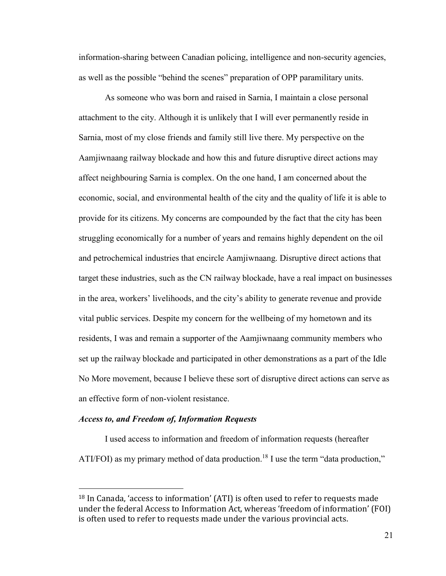information-sharing between Canadian policing, intelligence and non-security agencies, as well as the possible "behind the scenes" preparation of OPP paramilitary units.

As someone who was born and raised in Sarnia, I maintain a close personal attachment to the city. Although it is unlikely that I will ever permanently reside in Sarnia, most of my close friends and family still live there. My perspective on the Aamjiwnaang railway blockade and how this and future disruptive direct actions may affect neighbouring Sarnia is complex. On the one hand, I am concerned about the economic, social, and environmental health of the city and the quality of life it is able to provide for its citizens. My concerns are compounded by the fact that the city has been struggling economically for a number of years and remains highly dependent on the oil and petrochemical industries that encircle Aamjiwnaang. Disruptive direct actions that target these industries, such as the CN railway blockade, have a real impact on businesses in the area, workers' livelihoods, and the city's ability to generate revenue and provide vital public services. Despite my concern for the wellbeing of my hometown and its residents, I was and remain a supporter of the Aamjiwnaang community members who set up the railway blockade and participated in other demonstrations as a part of the Idle No More movement, because I believe these sort of disruptive direct actions can serve as an effective form of non-violent resistance.

#### *Access to, and Freedom of, Information Requests*

 $\overline{a}$ 

I used access to information and freedom of information requests (hereafter ATI/FOI) as my primary method of data production.<sup>18</sup> I use the term "data production,"

<sup>&</sup>lt;sup>18</sup> In Canada, 'access to information' (ATI) is often used to refer to requests made under the federal Access to Information Act, whereas 'freedom of information' (FOI) is often used to refer to requests made under the various provincial acts.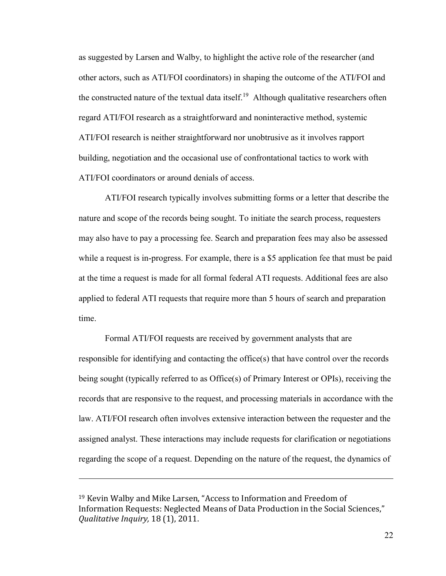as suggested by Larsen and Walby, to highlight the active role of the researcher (and other actors, such as ATI/FOI coordinators) in shaping the outcome of the ATI/FOI and the constructed nature of the textual data itself.<sup>19</sup> Although qualitative researchers often regard ATI/FOI research as a straightforward and noninteractive method, systemic ATI/FOI research is neither straightforward nor unobtrusive as it involves rapport building, negotiation and the occasional use of confrontational tactics to work with ATI/FOI coordinators or around denials of access.

ATI/FOI research typically involves submitting forms or a letter that describe the nature and scope of the records being sought. To initiate the search process, requesters may also have to pay a processing fee. Search and preparation fees may also be assessed while a request is in-progress. For example, there is a \$5 application fee that must be paid at the time a request is made for all formal federal ATI requests. Additional fees are also applied to federal ATI requests that require more than 5 hours of search and preparation time.

Formal ATI/FOI requests are received by government analysts that are responsible for identifying and contacting the office(s) that have control over the records being sought (typically referred to as Office(s) of Primary Interest or OPIs), receiving the records that are responsive to the request, and processing materials in accordance with the law. ATI/FOI research often involves extensive interaction between the requester and the assigned analyst. These interactions may include requests for clarification or negotiations regarding the scope of a request. Depending on the nature of the request, the dynamics of

<sup>&</sup>lt;sup>19</sup> Kevin Walby and Mike Larsen, "Access to Information and Freedom of Information Requests: Neglected Means of Data Production in the Social Sciences," *Qualitative Inquiry,* 18 (1), 2011.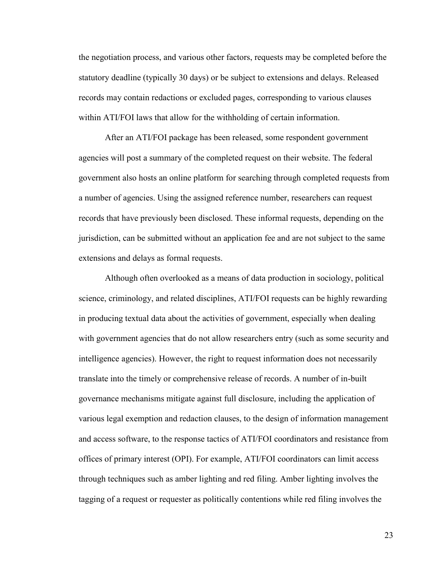the negotiation process, and various other factors, requests may be completed before the statutory deadline (typically 30 days) or be subject to extensions and delays. Released records may contain redactions or excluded pages, corresponding to various clauses within ATI/FOI laws that allow for the withholding of certain information.

After an ATI/FOI package has been released, some respondent government agencies will post a summary of the completed request on their website. The federal government also hosts an online platform for searching through completed requests from a number of agencies. Using the assigned reference number, researchers can request records that have previously been disclosed. These informal requests, depending on the jurisdiction, can be submitted without an application fee and are not subject to the same extensions and delays as formal requests.

Although often overlooked as a means of data production in sociology, political science, criminology, and related disciplines, ATI/FOI requests can be highly rewarding in producing textual data about the activities of government, especially when dealing with government agencies that do not allow researchers entry (such as some security and intelligence agencies). However, the right to request information does not necessarily translate into the timely or comprehensive release of records. A number of in-built governance mechanisms mitigate against full disclosure, including the application of various legal exemption and redaction clauses, to the design of information management and access software, to the response tactics of ATI/FOI coordinators and resistance from offices of primary interest (OPI). For example, ATI/FOI coordinators can limit access through techniques such as amber lighting and red filing. Amber lighting involves the tagging of a request or requester as politically contentions while red filing involves the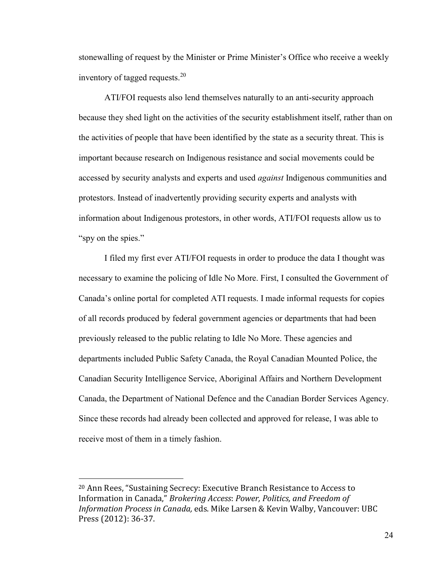stonewalling of request by the Minister or Prime Minister's Office who receive a weekly inventory of tagged requests.<sup>20</sup>

ATI/FOI requests also lend themselves naturally to an anti-security approach because they shed light on the activities of the security establishment itself, rather than on the activities of people that have been identified by the state as a security threat. This is important because research on Indigenous resistance and social movements could be accessed by security analysts and experts and used *against* Indigenous communities and protestors. Instead of inadvertently providing security experts and analysts with information about Indigenous protestors, in other words, ATI/FOI requests allow us to "spy on the spies."

I filed my first ever ATI/FOI requests in order to produce the data I thought was necessary to examine the policing of Idle No More. First, I consulted the Government of Canada's online portal for completed ATI requests. I made informal requests for copies of all records produced by federal government agencies or departments that had been previously released to the public relating to Idle No More. These agencies and departments included Public Safety Canada, the Royal Canadian Mounted Police, the Canadian Security Intelligence Service, Aboriginal Affairs and Northern Development Canada, the Department of National Defence and the Canadian Border Services Agency. Since these records had already been collected and approved for release, I was able to receive most of them in a timely fashion.

<sup>&</sup>lt;sup>20</sup> Ann Rees, "Sustaining Secrecy: Executive Branch Resistance to Access to Information in Canada," *Brokering Access: Power, Politics, and Freedom of Information Process in Canada,* eds. Mike Larsen & Kevin Walby, Vancouver: UBC Press (2012): 36-37.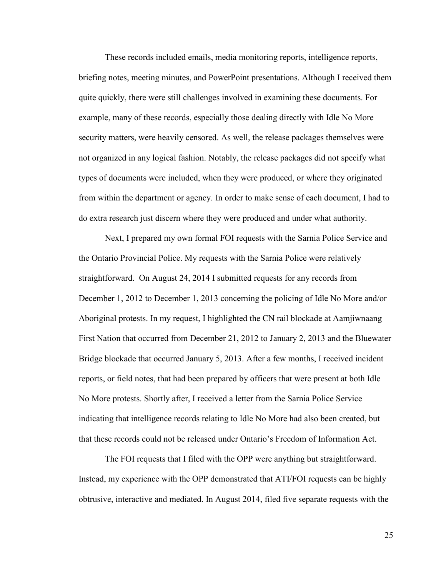These records included emails, media monitoring reports, intelligence reports, briefing notes, meeting minutes, and PowerPoint presentations. Although I received them quite quickly, there were still challenges involved in examining these documents. For example, many of these records, especially those dealing directly with Idle No More security matters, were heavily censored. As well, the release packages themselves were not organized in any logical fashion. Notably, the release packages did not specify what types of documents were included, when they were produced, or where they originated from within the department or agency. In order to make sense of each document, I had to do extra research just discern where they were produced and under what authority.

Next, I prepared my own formal FOI requests with the Sarnia Police Service and the Ontario Provincial Police. My requests with the Sarnia Police were relatively straightforward. On August 24, 2014 I submitted requests for any records from December 1, 2012 to December 1, 2013 concerning the policing of Idle No More and/or Aboriginal protests. In my request, I highlighted the CN rail blockade at Aamjiwnaang First Nation that occurred from December 21, 2012 to January 2, 2013 and the Bluewater Bridge blockade that occurred January 5, 2013. After a few months, I received incident reports, or field notes, that had been prepared by officers that were present at both Idle No More protests. Shortly after, I received a letter from the Sarnia Police Service indicating that intelligence records relating to Idle No More had also been created, but that these records could not be released under Ontario's Freedom of Information Act.

The FOI requests that I filed with the OPP were anything but straightforward. Instead, my experience with the OPP demonstrated that ATI/FOI requests can be highly obtrusive, interactive and mediated. In August 2014, filed five separate requests with the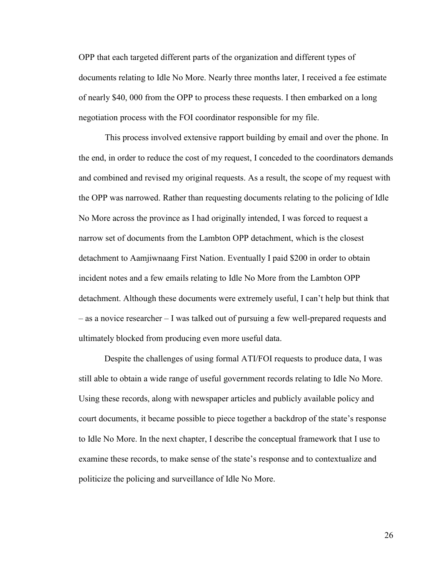OPP that each targeted different parts of the organization and different types of documents relating to Idle No More. Nearly three months later, I received a fee estimate of nearly \$40, 000 from the OPP to process these requests. I then embarked on a long negotiation process with the FOI coordinator responsible for my file.

This process involved extensive rapport building by email and over the phone. In the end, in order to reduce the cost of my request, I conceded to the coordinators demands and combined and revised my original requests. As a result, the scope of my request with the OPP was narrowed. Rather than requesting documents relating to the policing of Idle No More across the province as I had originally intended, I was forced to request a narrow set of documents from the Lambton OPP detachment, which is the closest detachment to Aamjiwnaang First Nation. Eventually I paid \$200 in order to obtain incident notes and a few emails relating to Idle No More from the Lambton OPP detachment. Although these documents were extremely useful, I can't help but think that – as a novice researcher – I was talked out of pursuing a few well-prepared requests and ultimately blocked from producing even more useful data.

 Despite the challenges of using formal ATI/FOI requests to produce data, I was still able to obtain a wide range of useful government records relating to Idle No More. Using these records, along with newspaper articles and publicly available policy and court documents, it became possible to piece together a backdrop of the state's response to Idle No More. In the next chapter, I describe the conceptual framework that I use to examine these records, to make sense of the state's response and to contextualize and politicize the policing and surveillance of Idle No More.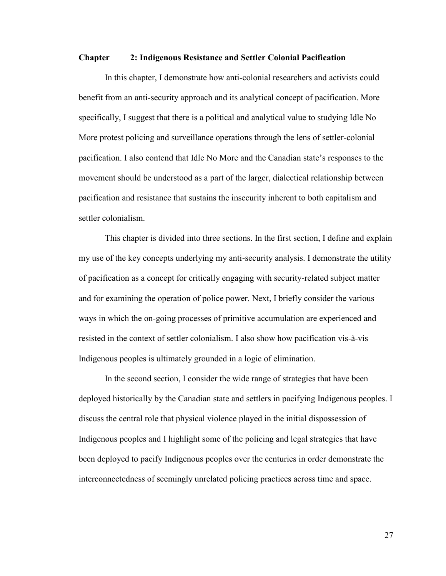#### **Chapter 2: Indigenous Resistance and Settler Colonial Pacification**

In this chapter, I demonstrate how anti-colonial researchers and activists could benefit from an anti-security approach and its analytical concept of pacification. More specifically, I suggest that there is a political and analytical value to studying Idle No More protest policing and surveillance operations through the lens of settler-colonial pacification. I also contend that Idle No More and the Canadian state's responses to the movement should be understood as a part of the larger, dialectical relationship between pacification and resistance that sustains the insecurity inherent to both capitalism and settler colonialism.

This chapter is divided into three sections. In the first section, I define and explain my use of the key concepts underlying my anti-security analysis. I demonstrate the utility of pacification as a concept for critically engaging with security-related subject matter and for examining the operation of police power. Next, I briefly consider the various ways in which the on-going processes of primitive accumulation are experienced and resisted in the context of settler colonialism. I also show how pacification vis-à-vis Indigenous peoples is ultimately grounded in a logic of elimination.

In the second section, I consider the wide range of strategies that have been deployed historically by the Canadian state and settlers in pacifying Indigenous peoples. I discuss the central role that physical violence played in the initial dispossession of Indigenous peoples and I highlight some of the policing and legal strategies that have been deployed to pacify Indigenous peoples over the centuries in order demonstrate the interconnectedness of seemingly unrelated policing practices across time and space.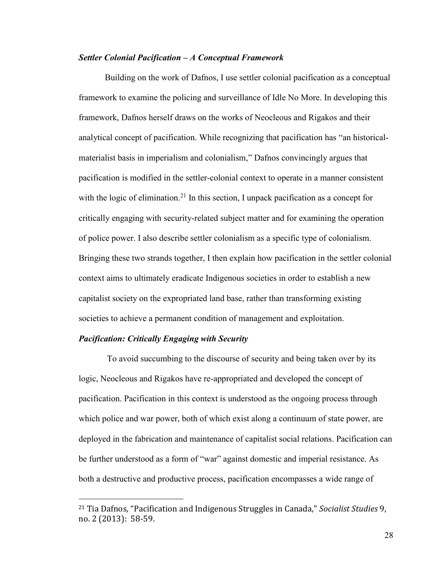#### *Settler Colonial Pacification – A Conceptual Framework*

Building on the work of Dafnos, I use settler colonial pacification as a conceptual framework to examine the policing and surveillance of Idle No More. In developing this framework, Dafnos herself draws on the works of Neocleous and Rigakos and their analytical concept of pacification. While recognizing that pacification has "an historicalmaterialist basis in imperialism and colonialism," Dafnos convincingly argues that pacification is modified in the settler-colonial context to operate in a manner consistent with the logic of elimination.<sup>21</sup> In this section, I unpack pacification as a concept for critically engaging with security-related subject matter and for examining the operation of police power. I also describe settler colonialism as a specific type of colonialism. Bringing these two strands together, I then explain how pacification in the settler colonial context aims to ultimately eradicate Indigenous societies in order to establish a new capitalist society on the expropriated land base, rather than transforming existing societies to achieve a permanent condition of management and exploitation.

#### *Pacification: Critically Engaging with Security*

 $\overline{a}$ 

 To avoid succumbing to the discourse of security and being taken over by its logic, Neocleous and Rigakos have re-appropriated and developed the concept of pacification. Pacification in this context is understood as the ongoing process through which police and war power, both of which exist along a continuum of state power, are deployed in the fabrication and maintenance of capitalist social relations. Pacification can be further understood as a form of "war" against domestic and imperial resistance. As both a destructive and productive process, pacification encompasses a wide range of

<sup>&</sup>lt;sup>21</sup> Tia Dafnos, "Pacification and Indigenous Struggles in Canada," Socialist Studies 9, no. 2 (2013): 58-59.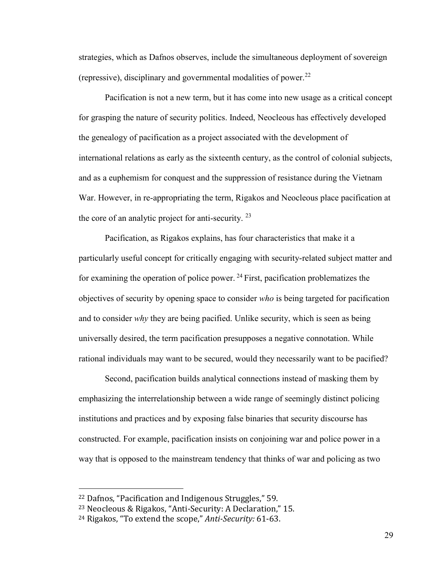strategies, which as Dafnos observes, include the simultaneous deployment of sovereign (repressive), disciplinary and governmental modalities of power.<sup>22</sup>

Pacification is not a new term, but it has come into new usage as a critical concept for grasping the nature of security politics. Indeed, Neocleous has effectively developed the genealogy of pacification as a project associated with the development of international relations as early as the sixteenth century, as the control of colonial subjects, and as a euphemism for conquest and the suppression of resistance during the Vietnam War. However, in re-appropriating the term, Rigakos and Neocleous place pacification at the core of an analytic project for anti-security.  $23$ 

Pacification, as Rigakos explains, has four characteristics that make it a particularly useful concept for critically engaging with security-related subject matter and for examining the operation of police power.  $^{24}$  First, pacification problematizes the objectives of security by opening space to consider *who* is being targeted for pacification and to consider *why* they are being pacified. Unlike security, which is seen as being universally desired, the term pacification presupposes a negative connotation. While rational individuals may want to be secured, would they necessarily want to be pacified?

Second, pacification builds analytical connections instead of masking them by emphasizing the interrelationship between a wide range of seemingly distinct policing institutions and practices and by exposing false binaries that security discourse has constructed. For example, pacification insists on conjoining war and police power in a way that is opposed to the mainstream tendency that thinks of war and policing as two

 $\overline{a}$ 

<sup>&</sup>lt;sup>22</sup> Dafnos, "Pacification and Indigenous Struggles," 59.

<sup>&</sup>lt;sup>23</sup> Neocleous & Rigakos, "Anti-Security: A Declaration," 15.

<sup>&</sup>lt;sup>24</sup> Rigakos, "To extend the scope," Anti-Security: 61-63.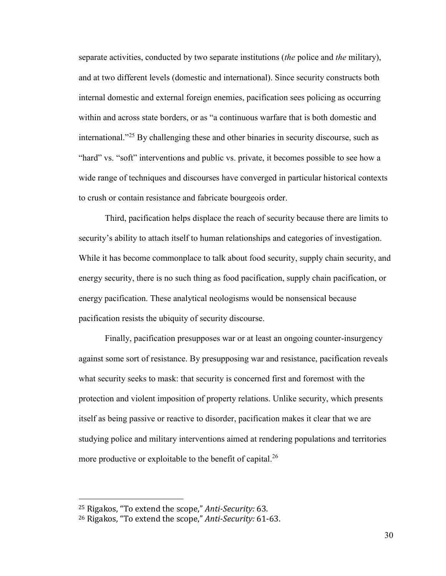separate activities, conducted by two separate institutions (*the* police and *the* military), and at two different levels (domestic and international). Since security constructs both internal domestic and external foreign enemies, pacification sees policing as occurring within and across state borders, or as "a continuous warfare that is both domestic and international."<sup>25</sup> By challenging these and other binaries in security discourse, such as "hard" vs. "soft" interventions and public vs. private, it becomes possible to see how a wide range of techniques and discourses have converged in particular historical contexts to crush or contain resistance and fabricate bourgeois order.

Third, pacification helps displace the reach of security because there are limits to security's ability to attach itself to human relationships and categories of investigation. While it has become commonplace to talk about food security, supply chain security, and energy security, there is no such thing as food pacification, supply chain pacification, or energy pacification. These analytical neologisms would be nonsensical because pacification resists the ubiquity of security discourse.

Finally, pacification presupposes war or at least an ongoing counter-insurgency against some sort of resistance. By presupposing war and resistance, pacification reveals what security seeks to mask: that security is concerned first and foremost with the protection and violent imposition of property relations. Unlike security, which presents itself as being passive or reactive to disorder, pacification makes it clear that we are studying police and military interventions aimed at rendering populations and territories more productive or exploitable to the benefit of capital.<sup>26</sup>

<sup>&</sup>lt;sup>25</sup> Rigakos, "To extend the scope," Anti-Security: 63.

<sup>&</sup>lt;sup>26</sup> Rigakos, "To extend the scope," Anti-Security: 61-63.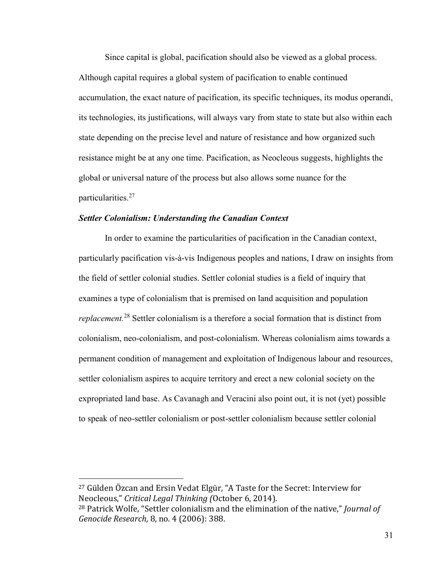Since capital is global, pacification should also be viewed as a global process. Although capital requires a global system of pacification to enable continued accumulation, the exact nature of pacification, its specific techniques, its modus operandi, its technologies, its justifications, will always vary from state to state but also within each state depending on the precise level and nature of resistance and how organized such resistance might be at any one time. Pacification, as Neocleous suggests, highlights the global or universal nature of the process but also allows some nuance for the particularities.<sup>27</sup>

#### *Settler Colonialism: Understanding the Canadian Context*

In order to examine the particularities of pacification in the Canadian context, particularly pacification vis-à-vis Indigenous peoples and nations, I draw on insights from the field of settler colonial studies. Settler colonial studies is a field of inquiry that examines a type of colonialism that is premised on land acquisition and population *replacement.*<sup>28</sup> Settler colonialism is a therefore a social formation that is distinct from colonialism, neo-colonialism, and post-colonialism. Whereas colonialism aims towards a permanent condition of management and exploitation of Indigenous labour and resources, settler colonialism aspires to acquire territory and erect a new colonial society on the expropriated land base. As Cavanagh and Veracini also point out, it is not (yet) possible to speak of neo-settler colonialism or post-settler colonialism because settler colonial

 $27$  Gülden Özcan and Ersin Vedat Elgür, "A Taste for the Secret: Interview for Neocleous," Critical Legal Thinking (October 6, 2014).

<sup>&</sup>lt;sup>28</sup> Patrick Wolfe, "Settler colonialism and the elimination of the native," *Journal of Genocide Research,* 8, no. 4 (2006): 388.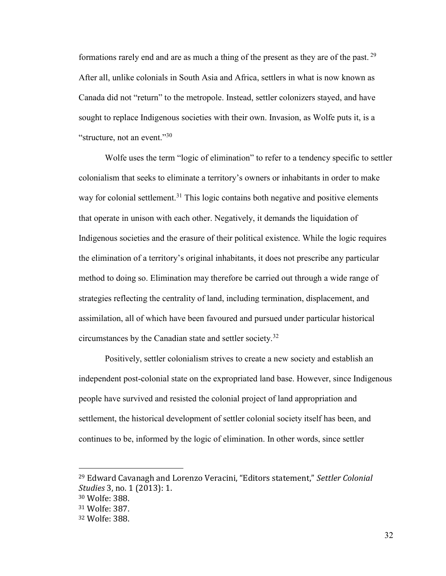formations rarely end and are as much a thing of the present as they are of the past.  $29$ After all, unlike colonials in South Asia and Africa, settlers in what is now known as Canada did not "return" to the metropole. Instead, settler colonizers stayed, and have sought to replace Indigenous societies with their own. Invasion, as Wolfe puts it, is a "structure, not an event."<sup>30</sup>

Wolfe uses the term "logic of elimination" to refer to a tendency specific to settler colonialism that seeks to eliminate a territory's owners or inhabitants in order to make way for colonial settlement.<sup>31</sup> This logic contains both negative and positive elements that operate in unison with each other. Negatively, it demands the liquidation of Indigenous societies and the erasure of their political existence. While the logic requires the elimination of a territory's original inhabitants, it does not prescribe any particular method to doing so. Elimination may therefore be carried out through a wide range of strategies reflecting the centrality of land, including termination, displacement, and assimilation, all of which have been favoured and pursued under particular historical circumstances by the Canadian state and settler society.<sup>32</sup>

Positively, settler colonialism strives to create a new society and establish an independent post-colonial state on the expropriated land base. However, since Indigenous people have survived and resisted the colonial project of land appropriation and settlement, the historical development of settler colonial society itself has been, and continues to be, informed by the logic of elimination. In other words, since settler

<sup>&</sup>lt;sup>29</sup> Edward Cavanagh and Lorenzo Veracini, "Editors statement," Settler Colonial *Studies* 3, no. 1 (2013): 1. <sup>30</sup> Wolfe: 388.

<sup>31</sup> Wolfe: 387.

<sup>32</sup> Wolfe: 388.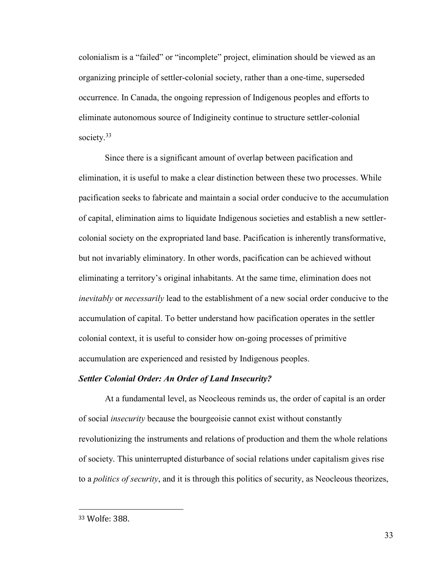colonialism is a "failed" or "incomplete" project, elimination should be viewed as an organizing principle of settler-colonial society, rather than a one-time, superseded occurrence. In Canada, the ongoing repression of Indigenous peoples and efforts to eliminate autonomous source of Indigineity continue to structure settler-colonial society.<sup>33</sup>

Since there is a significant amount of overlap between pacification and elimination, it is useful to make a clear distinction between these two processes. While pacification seeks to fabricate and maintain a social order conducive to the accumulation of capital, elimination aims to liquidate Indigenous societies and establish a new settlercolonial society on the expropriated land base. Pacification is inherently transformative, but not invariably eliminatory. In other words, pacification can be achieved without eliminating a territory's original inhabitants. At the same time, elimination does not *inevitably* or *necessarily* lead to the establishment of a new social order conducive to the accumulation of capital. To better understand how pacification operates in the settler colonial context, it is useful to consider how on-going processes of primitive accumulation are experienced and resisted by Indigenous peoples.

#### *Settler Colonial Order: An Order of Land Insecurity?*

At a fundamental level, as Neocleous reminds us, the order of capital is an order of social *insecurity* because the bourgeoisie cannot exist without constantly revolutionizing the instruments and relations of production and them the whole relations of society. This uninterrupted disturbance of social relations under capitalism gives rise to a *politics of security*, and it is through this politics of security, as Neocleous theorizes,

<sup>33</sup> Wolfe: 388.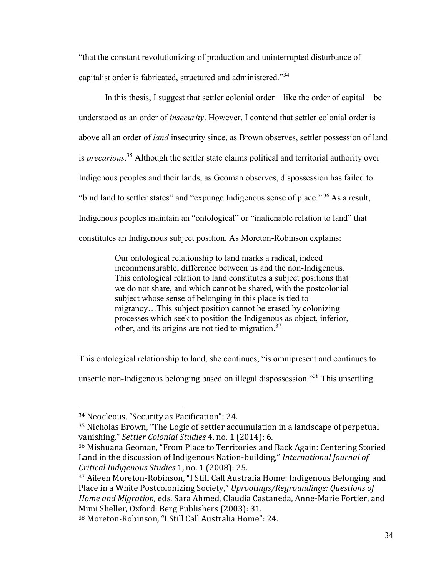"that the constant revolutionizing of production and uninterrupted disturbance of capitalist order is fabricated, structured and administered."34

In this thesis, I suggest that settler colonial order – like the order of capital – be understood as an order of *insecurity*. However, I contend that settler colonial order is above all an order of *land* insecurity since, as Brown observes, settler possession of land is *precarious*. <sup>35</sup> Although the settler state claims political and territorial authority over Indigenous peoples and their lands, as Geoman observes, dispossession has failed to "bind land to settler states" and "expunge Indigenous sense of place."<sup>36</sup> As a result, Indigenous peoples maintain an "ontological" or "inalienable relation to land" that constitutes an Indigenous subject position. As Moreton-Robinson explains:

> Our ontological relationship to land marks a radical, indeed incommensurable, difference between us and the non-Indigenous. This ontological relation to land constitutes a subject positions that we do not share, and which cannot be shared, with the postcolonial subject whose sense of belonging in this place is tied to migrancy…This subject position cannot be erased by colonizing processes which seek to position the Indigenous as object, inferior, other, and its origins are not tied to migration.<sup>37</sup>

This ontological relationship to land, she continues, "is omnipresent and continues to

unsettle non-Indigenous belonging based on illegal dispossession."<sup>38</sup> This unsettling

<sup>34</sup> Neocleous, "Security as Pacification": 24.

<sup>&</sup>lt;sup>35</sup> Nicholas Brown, "The Logic of settler accumulation in a landscape of perpetual vanishing," Settler Colonial Studies 4, no. 1 (2014): 6.

<sup>&</sup>lt;sup>36</sup> Mishuana Geoman, "From Place to Territories and Back Again: Centering Storied Land in the discussion of Indigenous Nation-building," International Journal of *Critical Indigenous Studies* 1, no. 1 (2008): 25.

 $37$  Aileen Moreton-Robinson, "I Still Call Australia Home: Indigenous Belonging and Place in a White Postcolonizing Society," Uprootings/Regroundings: Questions of *Home and Migration,* eds. Sara Ahmed, Claudia Castaneda, Anne-Marie Fortier, and Mimi Sheller, Oxford: Berg Publishers (2003): 31.

<sup>38</sup> Moreton-Robinson, "I Still Call Australia Home": 24.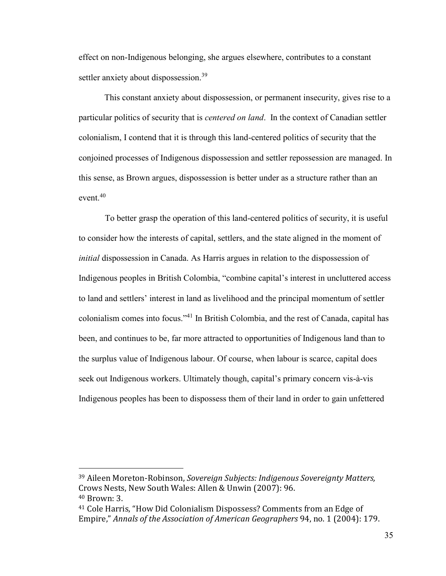effect on non-Indigenous belonging, she argues elsewhere, contributes to a constant settler anxiety about dispossession.<sup>39</sup>

 This constant anxiety about dispossession, or permanent insecurity, gives rise to a particular politics of security that is *centered on land*. In the context of Canadian settler colonialism, I contend that it is through this land-centered politics of security that the conjoined processes of Indigenous dispossession and settler repossession are managed. In this sense, as Brown argues, dispossession is better under as a structure rather than an event. $40$ 

To better grasp the operation of this land-centered politics of security, it is useful to consider how the interests of capital, settlers, and the state aligned in the moment of *initial* dispossession in Canada. As Harris argues in relation to the dispossession of Indigenous peoples in British Colombia, "combine capital's interest in uncluttered access to land and settlers' interest in land as livelihood and the principal momentum of settler colonialism comes into focus."<sup>41</sup> In British Colombia, and the rest of Canada, capital has been, and continues to be, far more attracted to opportunities of Indigenous land than to the surplus value of Indigenous labour. Of course, when labour is scarce, capital does seek out Indigenous workers. Ultimately though, capital's primary concern vis-à-vis Indigenous peoples has been to dispossess them of their land in order to gain unfettered

<sup>39</sup> Aileen Moreton-Robinson, *Sovereign Subjects: Indigenous Sovereignty Matters,*  Crows Nests, New South Wales: Allen & Unwin (2007): 96. <sup>40</sup> Brown: 3.

<sup>&</sup>lt;sup>41</sup> Cole Harris, "How Did Colonialism Dispossess? Comments from an Edge of Empire," Annals of the Association of American Geographers 94, no. 1 (2004): 179.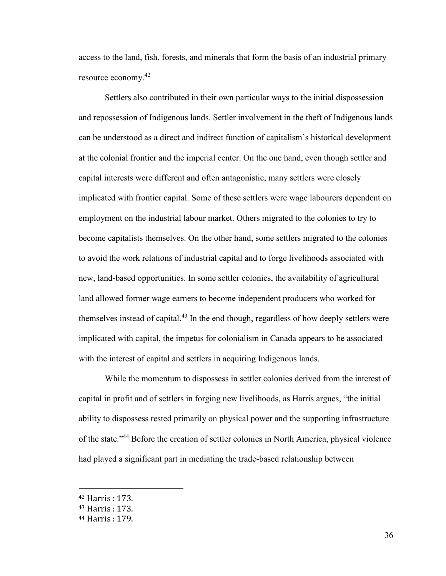access to the land, fish, forests, and minerals that form the basis of an industrial primary resource economy.<sup>42</sup>

Settlers also contributed in their own particular ways to the initial dispossession and repossession of Indigenous lands. Settler involvement in the theft of Indigenous lands can be understood as a direct and indirect function of capitalism's historical development at the colonial frontier and the imperial center. On the one hand, even though settler and capital interests were different and often antagonistic, many settlers were closely implicated with frontier capital. Some of these settlers were wage labourers dependent on employment on the industrial labour market. Others migrated to the colonies to try to become capitalists themselves. On the other hand, some settlers migrated to the colonies to avoid the work relations of industrial capital and to forge livelihoods associated with new, land-based opportunities. In some settler colonies, the availability of agricultural land allowed former wage earners to become independent producers who worked for themselves instead of capital.<sup>43</sup> In the end though, regardless of how deeply settlers were implicated with capital, the impetus for colonialism in Canada appears to be associated with the interest of capital and settlers in acquiring Indigenous lands.

While the momentum to dispossess in settler colonies derived from the interest of capital in profit and of settlers in forging new livelihoods, as Harris argues, "the initial ability to dispossess rested primarily on physical power and the supporting infrastructure of the state."<sup>44</sup> Before the creation of settler colonies in North America, physical violence had played a significant part in mediating the trade-based relationship between

<sup>42</sup> Harris : 173.

<sup>43</sup> Harris : 173.

<sup>44</sup> Harris : 179.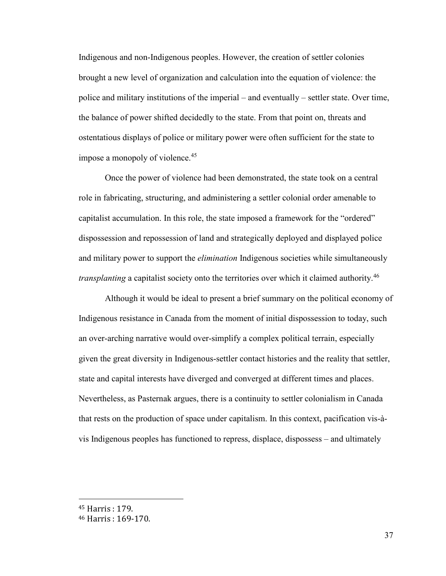Indigenous and non-Indigenous peoples. However, the creation of settler colonies brought a new level of organization and calculation into the equation of violence: the police and military institutions of the imperial – and eventually – settler state. Over time, the balance of power shifted decidedly to the state. From that point on, threats and ostentatious displays of police or military power were often sufficient for the state to impose a monopoly of violence.<sup>45</sup>

Once the power of violence had been demonstrated, the state took on a central role in fabricating, structuring, and administering a settler colonial order amenable to capitalist accumulation. In this role, the state imposed a framework for the "ordered" dispossession and repossession of land and strategically deployed and displayed police and military power to support the *elimination* Indigenous societies while simultaneously *transplanting* a capitalist society onto the territories over which it claimed authority.<sup>46</sup>

Although it would be ideal to present a brief summary on the political economy of Indigenous resistance in Canada from the moment of initial dispossession to today, such an over-arching narrative would over-simplify a complex political terrain, especially given the great diversity in Indigenous-settler contact histories and the reality that settler, state and capital interests have diverged and converged at different times and places. Nevertheless, as Pasternak argues, there is a continuity to settler colonialism in Canada that rests on the production of space under capitalism. In this context, pacification vis-àvis Indigenous peoples has functioned to repress, displace, dispossess – and ultimately

<sup>45</sup> Harris : 179.

<sup>46</sup> Harris : 169-170.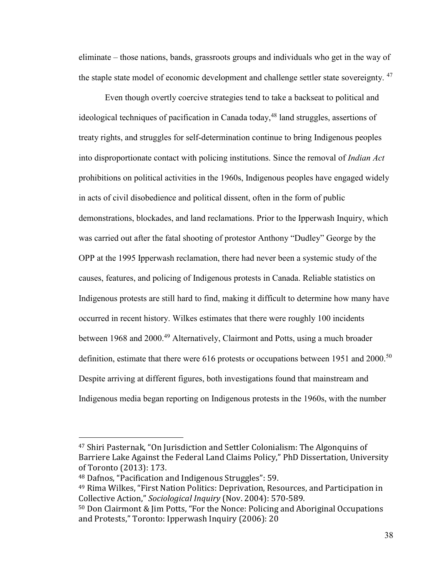eliminate – those nations, bands, grassroots groups and individuals who get in the way of the staple state model of economic development and challenge settler state sovereignty.<sup>47</sup>

Even though overtly coercive strategies tend to take a backseat to political and ideological techniques of pacification in Canada today,  $48$  land struggles, assertions of treaty rights, and struggles for self-determination continue to bring Indigenous peoples into disproportionate contact with policing institutions. Since the removal of *Indian Act*  prohibitions on political activities in the 1960s, Indigenous peoples have engaged widely in acts of civil disobedience and political dissent, often in the form of public demonstrations, blockades, and land reclamations. Prior to the Ipperwash Inquiry, which was carried out after the fatal shooting of protestor Anthony "Dudley" George by the OPP at the 1995 Ipperwash reclamation, there had never been a systemic study of the causes, features, and policing of Indigenous protests in Canada. Reliable statistics on Indigenous protests are still hard to find, making it difficult to determine how many have occurred in recent history. Wilkes estimates that there were roughly 100 incidents between 1968 and 2000.<sup>49</sup> Alternatively, Clairmont and Potts, using a much broader definition, estimate that there were 616 protests or occupations between 1951 and 2000.<sup>50</sup> Despite arriving at different figures, both investigations found that mainstream and Indigenous media began reporting on Indigenous protests in the 1960s, with the number

<sup>&</sup>lt;sup>47</sup> Shiri Pasternak, "On Jurisdiction and Settler Colonialism: The Algonquins of Barriere Lake Against the Federal Land Claims Policy," PhD Dissertation, University of Toronto (2013): 173.

<sup>48</sup> Dafnos, "Pacification and Indigenous Struggles": 59.

<sup>&</sup>lt;sup>49</sup> Rima Wilkes, "First Nation Politics: Deprivation, Resources, and Participation in Collective Action," Sociological Inquiry (Nov. 2004): 570-589.

 $50$  Don Clairmont & Jim Potts, "For the Nonce: Policing and Aboriginal Occupations and Protests," Toronto: Ipperwash Inquiry (2006): 20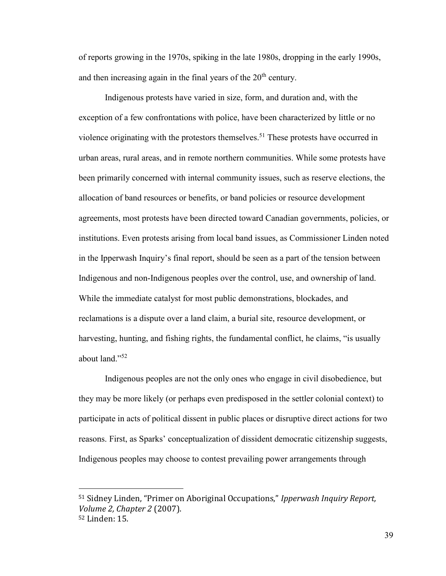of reports growing in the 1970s, spiking in the late 1980s, dropping in the early 1990s, and then increasing again in the final years of the  $20<sup>th</sup>$  century.

Indigenous protests have varied in size, form, and duration and, with the exception of a few confrontations with police, have been characterized by little or no violence originating with the protestors themselves.<sup>51</sup> These protests have occurred in urban areas, rural areas, and in remote northern communities. While some protests have been primarily concerned with internal community issues, such as reserve elections, the allocation of band resources or benefits, or band policies or resource development agreements, most protests have been directed toward Canadian governments, policies, or institutions. Even protests arising from local band issues, as Commissioner Linden noted in the Ipperwash Inquiry's final report, should be seen as a part of the tension between Indigenous and non-Indigenous peoples over the control, use, and ownership of land. While the immediate catalyst for most public demonstrations, blockades, and reclamations is a dispute over a land claim, a burial site, resource development, or harvesting, hunting, and fishing rights, the fundamental conflict, he claims, "is usually about land."<sup>52</sup>

Indigenous peoples are not the only ones who engage in civil disobedience, but they may be more likely (or perhaps even predisposed in the settler colonial context) to participate in acts of political dissent in public places or disruptive direct actions for two reasons. First, as Sparks' conceptualization of dissident democratic citizenship suggests, Indigenous peoples may choose to contest prevailing power arrangements through

<sup>&</sup>lt;sup>51</sup> Sidney Linden, "Primer on Aboriginal Occupations," *Ipperwash Inquiry Report*, *Volume 2, Chapter 2* (2007). 52 Linden: 15.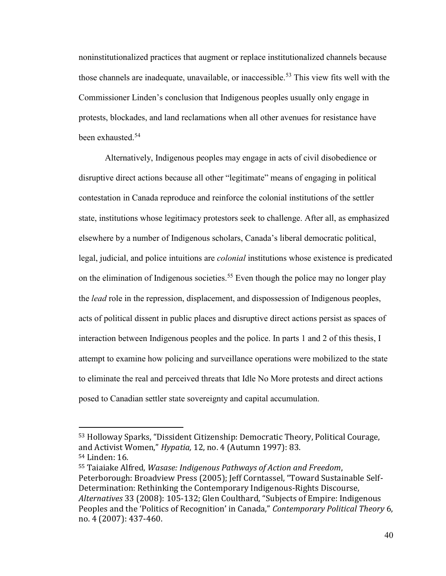noninstitutionalized practices that augment or replace institutionalized channels because those channels are inadequate, unavailable, or inaccessible.<sup>53</sup> This view fits well with the Commissioner Linden's conclusion that Indigenous peoples usually only engage in protests, blockades, and land reclamations when all other avenues for resistance have been exhausted.<sup>54</sup>

Alternatively, Indigenous peoples may engage in acts of civil disobedience or disruptive direct actions because all other "legitimate" means of engaging in political contestation in Canada reproduce and reinforce the colonial institutions of the settler state, institutions whose legitimacy protestors seek to challenge. After all, as emphasized elsewhere by a number of Indigenous scholars, Canada's liberal democratic political, legal, judicial, and police intuitions are *colonial* institutions whose existence is predicated on the elimination of Indigenous societies.<sup>55</sup> Even though the police may no longer play the *lead* role in the repression, displacement, and dispossession of Indigenous peoples, acts of political dissent in public places and disruptive direct actions persist as spaces of interaction between Indigenous peoples and the police. In parts 1 and 2 of this thesis, I attempt to examine how policing and surveillance operations were mobilized to the state to eliminate the real and perceived threats that Idle No More protests and direct actions posed to Canadian settler state sovereignty and capital accumulation.

<sup>&</sup>lt;sup>53</sup> Holloway Sparks, "Dissident Citizenship: Democratic Theory, Political Courage, and Activist Women," *Hypatia*, 12, no. 4 (Autumn 1997): 83.

<sup>54</sup> Linden: 16.

<sup>55</sup> Taiaiake Alfred, *Wasase: Indigenous Pathways of Action and Freedom*, Peterborough: Broadview Press (2005); Jeff Corntassel, "Toward Sustainable Self-Determination: Rethinking the Contemporary Indigenous-Rights Discourse, *Alternatives* 33 (2008): 105-132; Glen Coulthard, "Subjects of Empire: Indigenous Peoples and the 'Politics of Recognition' in Canada," *Contemporary Political Theory 6*, no. 4 (2007): 437-460.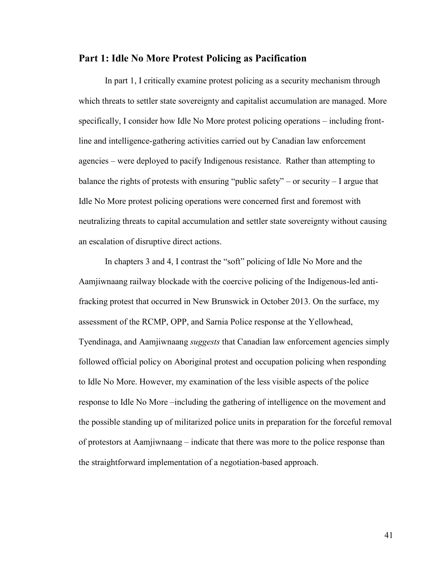## **Part 1: Idle No More Protest Policing as Pacification**

In part 1, I critically examine protest policing as a security mechanism through which threats to settler state sovereignty and capitalist accumulation are managed. More specifically, I consider how Idle No More protest policing operations – including frontline and intelligence-gathering activities carried out by Canadian law enforcement agencies – were deployed to pacify Indigenous resistance. Rather than attempting to balance the rights of protests with ensuring "public safety" – or security – I argue that Idle No More protest policing operations were concerned first and foremost with neutralizing threats to capital accumulation and settler state sovereignty without causing an escalation of disruptive direct actions.

In chapters 3 and 4, I contrast the "soft" policing of Idle No More and the Aamjiwnaang railway blockade with the coercive policing of the Indigenous-led antifracking protest that occurred in New Brunswick in October 2013. On the surface, my assessment of the RCMP, OPP, and Sarnia Police response at the Yellowhead, Tyendinaga, and Aamjiwnaang *suggests* that Canadian law enforcement agencies simply followed official policy on Aboriginal protest and occupation policing when responding to Idle No More. However, my examination of the less visible aspects of the police response to Idle No More –including the gathering of intelligence on the movement and the possible standing up of militarized police units in preparation for the forceful removal of protestors at Aamjiwnaang – indicate that there was more to the police response than the straightforward implementation of a negotiation-based approach.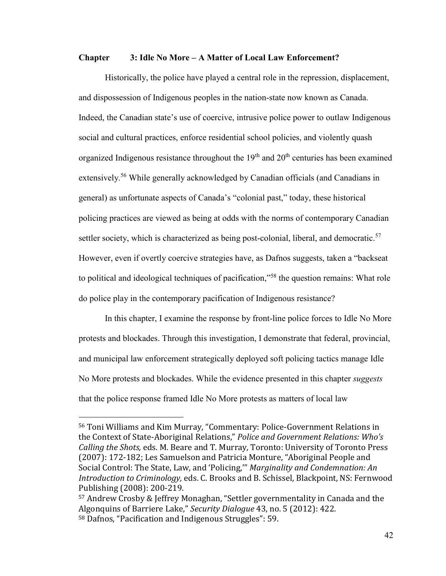### **Chapter 3: Idle No More – A Matter of Local Law Enforcement?**

Historically, the police have played a central role in the repression, displacement, and dispossession of Indigenous peoples in the nation-state now known as Canada. Indeed, the Canadian state's use of coercive, intrusive police power to outlaw Indigenous social and cultural practices, enforce residential school policies, and violently quash organized Indigenous resistance throughout the  $19<sup>th</sup>$  and  $20<sup>th</sup>$  centuries has been examined extensively.<sup>56</sup> While generally acknowledged by Canadian officials (and Canadians in general) as unfortunate aspects of Canada's "colonial past," today, these historical policing practices are viewed as being at odds with the norms of contemporary Canadian settler society, which is characterized as being post-colonial, liberal, and democratic.<sup>57</sup> However, even if overtly coercive strategies have, as Dafnos suggests, taken a "backseat to political and ideological techniques of pacification,<sup>558</sup> the question remains: What role do police play in the contemporary pacification of Indigenous resistance?

In this chapter, I examine the response by front-line police forces to Idle No More protests and blockades. Through this investigation, I demonstrate that federal, provincial, and municipal law enforcement strategically deployed soft policing tactics manage Idle No More protests and blockades. While the evidence presented in this chapter *suggests* that the police response framed Idle No More protests as matters of local law

<sup>&</sup>lt;sup>56</sup> Toni Williams and Kim Murray, "Commentary: Police-Government Relations in the Context of State-Aboriginal Relations," Police and Government Relations: Who's *Calling the Shots,* eds. M. Beare and T. Murray, Toronto: University of Toronto Press (2007): 172-182; Les Samuelson and Patricia Monture, "Aboriginal People and Social Control: The State, Law, and 'Policing,"" Marginality and Condemnation: An *Introduction to Criminology,* eds. C. Brooks and B. Schissel, Blackpoint, NS: Fernwood Publishing (2008): 200-219.

 $57$  Andrew Crosby & Jeffrey Monaghan, "Settler governmentality in Canada and the Algonquins of Barriere Lake," Security Dialogue 43, no. 5 (2012): 422.  $58$  Dafnos, "Pacification and Indigenous Struggles": 59.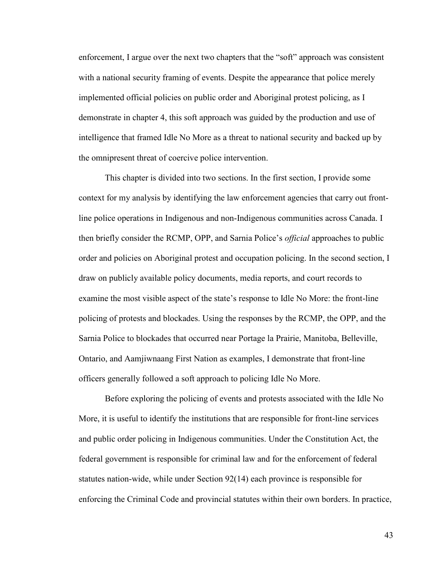enforcement, I argue over the next two chapters that the "soft" approach was consistent with a national security framing of events. Despite the appearance that police merely implemented official policies on public order and Aboriginal protest policing, as I demonstrate in chapter 4, this soft approach was guided by the production and use of intelligence that framed Idle No More as a threat to national security and backed up by the omnipresent threat of coercive police intervention.

This chapter is divided into two sections. In the first section, I provide some context for my analysis by identifying the law enforcement agencies that carry out frontline police operations in Indigenous and non-Indigenous communities across Canada. I then briefly consider the RCMP, OPP, and Sarnia Police's *official* approaches to public order and policies on Aboriginal protest and occupation policing. In the second section, I draw on publicly available policy documents, media reports, and court records to examine the most visible aspect of the state's response to Idle No More: the front-line policing of protests and blockades. Using the responses by the RCMP, the OPP, and the Sarnia Police to blockades that occurred near Portage la Prairie, Manitoba, Belleville, Ontario, and Aamjiwnaang First Nation as examples, I demonstrate that front-line officers generally followed a soft approach to policing Idle No More.

Before exploring the policing of events and protests associated with the Idle No More, it is useful to identify the institutions that are responsible for front-line services and public order policing in Indigenous communities. Under the Constitution Act, the federal government is responsible for criminal law and for the enforcement of federal statutes nation-wide, while under Section 92(14) each province is responsible for enforcing the Criminal Code and provincial statutes within their own borders. In practice,

43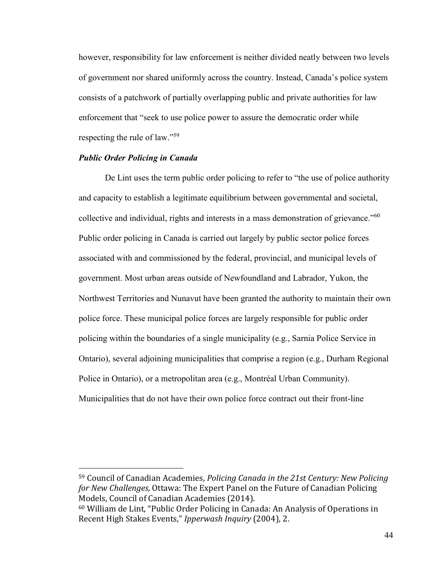however, responsibility for law enforcement is neither divided neatly between two levels of government nor shared uniformly across the country. Instead, Canada's police system consists of a patchwork of partially overlapping public and private authorities for law enforcement that "seek to use police power to assure the democratic order while respecting the rule of law."<sup>59</sup>

## *Public Order Policing in Canada*

 $\overline{a}$ 

De Lint uses the term public order policing to refer to "the use of police authority and capacity to establish a legitimate equilibrium between governmental and societal, collective and individual, rights and interests in a mass demonstration of grievance."<sup>60</sup> Public order policing in Canada is carried out largely by public sector police forces associated with and commissioned by the federal, provincial, and municipal levels of government. Most urban areas outside of Newfoundland and Labrador, Yukon, the Northwest Territories and Nunavut have been granted the authority to maintain their own police force. These municipal police forces are largely responsible for public order policing within the boundaries of a single municipality (e.g., Sarnia Police Service in Ontario), several adjoining municipalities that comprise a region (e.g., Durham Regional Police in Ontario), or a metropolitan area (e.g., Montréal Urban Community). Municipalities that do not have their own police force contract out their front-line

<sup>59</sup> Council of Canadian Academies, *Policing Canada in the 21st Century: New Policing for New Challenges,* Ottawa: The Expert Panel on the Future of Canadian Policing Models, Council of Canadian Academies (2014).

 $60$  William de Lint, "Public Order Policing in Canada: An Analysis of Operations in Recent High Stakes Events," Ipperwash Inquiry (2004), 2.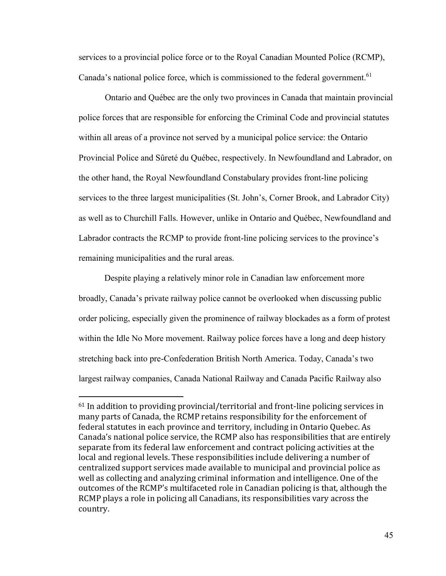services to a provincial police force or to the Royal Canadian Mounted Police (RCMP), Canada's national police force, which is commissioned to the federal government.<sup>61</sup>

Ontario and Québec are the only two provinces in Canada that maintain provincial police forces that are responsible for enforcing the Criminal Code and provincial statutes within all areas of a province not served by a municipal police service: the Ontario Provincial Police and Sûreté du Québec, respectively. In Newfoundland and Labrador, on the other hand, the Royal Newfoundland Constabulary provides front-line policing services to the three largest municipalities (St. John's, Corner Brook, and Labrador City) as well as to Churchill Falls. However, unlike in Ontario and Québec, Newfoundland and Labrador contracts the RCMP to provide front-line policing services to the province's remaining municipalities and the rural areas.

 Despite playing a relatively minor role in Canadian law enforcement more broadly, Canada's private railway police cannot be overlooked when discussing public order policing, especially given the prominence of railway blockades as a form of protest within the Idle No More movement. Railway police forces have a long and deep history stretching back into pre-Confederation British North America. Today, Canada's two largest railway companies, Canada National Railway and Canada Pacific Railway also

 $61$  In addition to providing provincial/territorial and front-line policing services in many parts of Canada, the RCMP retains responsibility for the enforcement of federal statutes in each province and territory, including in Ontario Quebec. As Canadaǯs national police service, the RCMP also has responsibilities that are entirely separate from its federal law enforcement and contract policing activities at the local and regional levels. These responsibilities include delivering a number of centralized support services made available to municipal and provincial police as well as collecting and analyzing criminal information and intelligence. One of the outcomes of the RCMP's multifaceted role in Canadian policing is that, although the RCMP plays a role in policing all Canadians, its responsibilities vary across the country.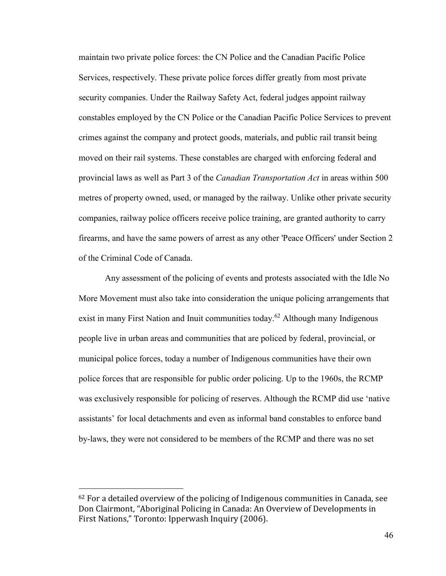maintain two private police forces: the CN Police and the Canadian Pacific Police Services, respectively. These private police forces differ greatly from most private security companies. Under the Railway Safety Act, federal judges appoint railway constables employed by the CN Police or the Canadian Pacific Police Services to prevent crimes against the company and protect goods, materials, and public rail transit being moved on their rail systems. These constables are charged with enforcing federal and provincial laws as well as Part 3 of the *Canadian Transportation Act* in areas within 500 metres of property owned, used, or managed by the railway. Unlike other private security companies, railway police officers receive police training, are granted authority to carry firearms, and have the same powers of arrest as any other 'Peace Officers' under Section 2 of the Criminal Code of Canada.

Any assessment of the policing of events and protests associated with the Idle No More Movement must also take into consideration the unique policing arrangements that exist in many First Nation and Inuit communities today.<sup>62</sup> Although many Indigenous people live in urban areas and communities that are policed by federal, provincial, or municipal police forces, today a number of Indigenous communities have their own police forces that are responsible for public order policing. Up to the 1960s, the RCMP was exclusively responsible for policing of reserves. Although the RCMP did use 'native assistants' for local detachments and even as informal band constables to enforce band by-laws, they were not considered to be members of the RCMP and there was no set

 $62$  For a detailed overview of the policing of Indigenous communities in Canada, see Don Clairmont, "Aboriginal Policing in Canada: An Overview of Developments in First Nations," Toronto: Ipperwash Inquiry (2006).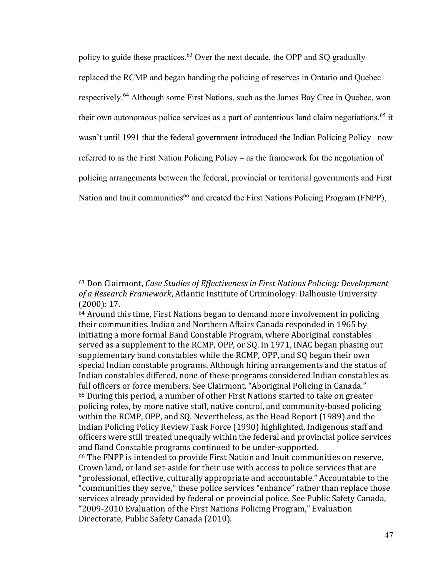policy to guide these practices.<sup>63</sup> Over the next decade, the OPP and SO gradually replaced the RCMP and began handing the policing of reserves in Ontario and Quebec respectively.<sup>64</sup> Although some First Nations, such as the James Bay Cree in Quebec, won their own autonomous police services as a part of contentious land claim negotiations,<sup>65</sup> it wasn't until 1991 that the federal government introduced the Indian Policing Policy– now referred to as the First Nation Policing Policy – as the framework for the negotiation of policing arrangements between the federal, provincial or territorial governments and First Nation and Inuit communities<sup>66</sup> and created the First Nations Policing Program (FNPP),

<sup>63</sup> Don Clairmont, *Case Studies of Effectiveness in First Nations Policing: Development of a Research Framework*, Atlantic Institute of Criminology: Dalhousie University (2000): 17.

 $64$  Around this time, First Nations began to demand more involvement in policing their communities. Indian and Northern Affairs Canada responded in 1965 by initiating a more formal Band Constable Program, where Aboriginal constables served as a supplement to the RCMP, OPP, or SQ. In 1971, INAC began phasing out supplementary band constables while the RCMP, OPP, and SQ began their own special Indian constable programs. Although hiring arrangements and the status of Indian constables differed, none of these programs considered Indian constables as full officers or force members. See Clairmont, "Aboriginal Policing in Canada." <sup>65</sup> During this period, a number of other First Nations started to take on greater policing roles, by more native staff, native control, and community-based policing within the RCMP, OPP, and SQ. Nevertheless, as the Head Report (1989) and the Indian Policing Policy Review Task Force (1990) highlighted, Indigenous staff and officers were still treated unequally within the federal and provincial police services and Band Constable programs continued to be under-supported.

<sup>66</sup> The FNPP is intended to provide First Nation and Inuit communities on reserve, Crown land, or land set-aside for their use with access to police services that are "professional, effective, culturally appropriate and accountable." Accountable to the "communities they serve," these police services "enhance" rather than replace those services already provided by federal or provincial police. See Public Safety Canada, "2009-2010 Evaluation of the First Nations Policing Program," Evaluation Directorate, Public Safety Canada (2010).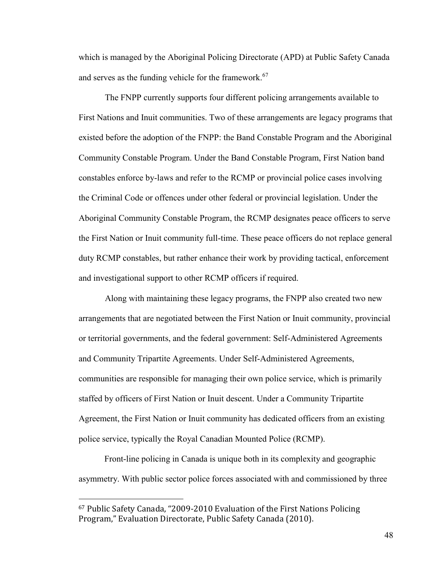which is managed by the Aboriginal Policing Directorate (APD) at Public Safety Canada and serves as the funding vehicle for the framework.<sup>67</sup>

The FNPP currently supports four different policing arrangements available to First Nations and Inuit communities. Two of these arrangements are legacy programs that existed before the adoption of the FNPP: the Band Constable Program and the Aboriginal Community Constable Program. Under the Band Constable Program, First Nation band constables enforce by-laws and refer to the RCMP or provincial police cases involving the Criminal Code or offences under other federal or provincial legislation. Under the Aboriginal Community Constable Program, the RCMP designates peace officers to serve the First Nation or Inuit community full-time. These peace officers do not replace general duty RCMP constables, but rather enhance their work by providing tactical, enforcement and investigational support to other RCMP officers if required.

Along with maintaining these legacy programs, the FNPP also created two new arrangements that are negotiated between the First Nation or Inuit community, provincial or territorial governments, and the federal government: Self-Administered Agreements and Community Tripartite Agreements. Under Self-Administered Agreements, communities are responsible for managing their own police service, which is primarily staffed by officers of First Nation or Inuit descent. Under a Community Tripartite Agreement, the First Nation or Inuit community has dedicated officers from an existing police service, typically the Royal Canadian Mounted Police (RCMP).

Front-line policing in Canada is unique both in its complexity and geographic asymmetry. With public sector police forces associated with and commissioned by three

<sup>67</sup> Public Safety Canada, "2009-2010 Evaluation of the First Nations Policing Program," Evaluation Directorate, Public Safety Canada (2010).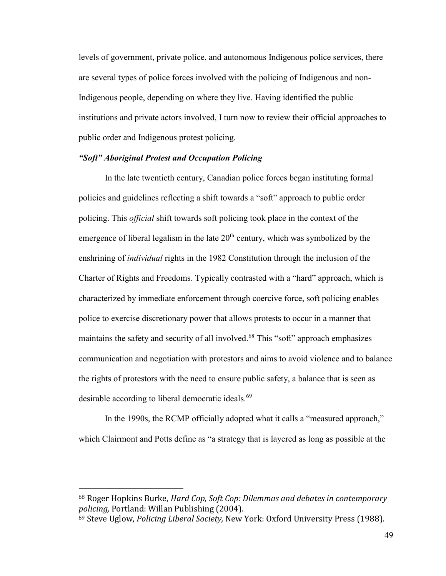levels of government, private police, and autonomous Indigenous police services, there are several types of police forces involved with the policing of Indigenous and non-Indigenous people, depending on where they live. Having identified the public institutions and private actors involved, I turn now to review their official approaches to public order and Indigenous protest policing.

# *"Soft" Aboriginal Protest and Occupation Policing*

In the late twentieth century, Canadian police forces began instituting formal policies and guidelines reflecting a shift towards a "soft" approach to public order policing. This *official* shift towards soft policing took place in the context of the emergence of liberal legalism in the late  $20<sup>th</sup>$  century, which was symbolized by the enshrining of *individual* rights in the 1982 Constitution through the inclusion of the Charter of Rights and Freedoms. Typically contrasted with a "hard" approach, which is characterized by immediate enforcement through coercive force, soft policing enables police to exercise discretionary power that allows protests to occur in a manner that maintains the safety and security of all involved.<sup>68</sup> This "soft" approach emphasizes communication and negotiation with protestors and aims to avoid violence and to balance the rights of protestors with the need to ensure public safety, a balance that is seen as desirable according to liberal democratic ideals.<sup>69</sup>

In the 1990s, the RCMP officially adopted what it calls a "measured approach," which Clairmont and Potts define as "a strategy that is layered as long as possible at the

<sup>68</sup> Roger Hopkins Burke, *Hard Cop, Soft Cop: Dilemmas and debates in contemporary policing,* Portland: Willan Publishing (2004).

<sup>69</sup> Steve Uglow, *Policing Liberal Society,* New York: Oxford University Press (1988).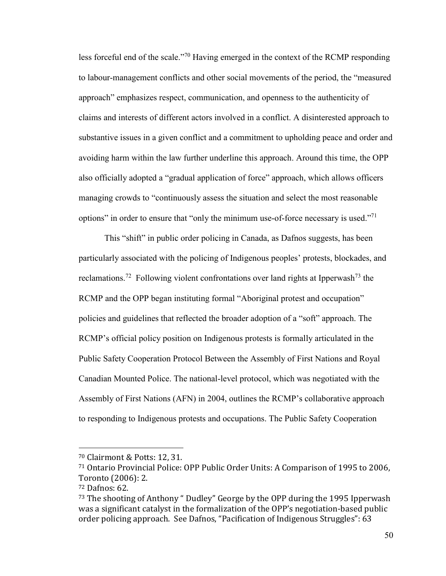less forceful end of the scale."<sup>70</sup> Having emerged in the context of the RCMP responding to labour-management conflicts and other social movements of the period, the "measured approach" emphasizes respect, communication, and openness to the authenticity of claims and interests of different actors involved in a conflict. A disinterested approach to substantive issues in a given conflict and a commitment to upholding peace and order and avoiding harm within the law further underline this approach. Around this time, the OPP also officially adopted a "gradual application of force" approach, which allows officers managing crowds to "continuously assess the situation and select the most reasonable options" in order to ensure that "only the minimum use-of-force necessary is used."<sup>71</sup>

This "shift" in public order policing in Canada, as Dafnos suggests, has been particularly associated with the policing of Indigenous peoples' protests, blockades, and reclamations.<sup>72</sup> Following violent confrontations over land rights at Ipperwash<sup>73</sup> the RCMP and the OPP began instituting formal "Aboriginal protest and occupation" policies and guidelines that reflected the broader adoption of a "soft" approach. The RCMP's official policy position on Indigenous protests is formally articulated in the Public Safety Cooperation Protocol Between the Assembly of First Nations and Royal Canadian Mounted Police. The national-level protocol, which was negotiated with the Assembly of First Nations (AFN) in 2004, outlines the RCMP's collaborative approach to responding to Indigenous protests and occupations. The Public Safety Cooperation

<sup>70</sup> Clairmont & Potts: 12, 31.

<sup>71</sup> Ontario Provincial Police: OPP Public Order Units: A Comparison of 1995 to 2006, Toronto (2006): 2.

<sup>72</sup> Dafnos: 62.

 $73$  The shooting of Anthony "Dudley" George by the OPP during the 1995 Ipperwash was a significant catalyst in the formalization of the OPP's negotiation-based public order policing approach. See Dafnos, "Pacification of Indigenous Struggles": 63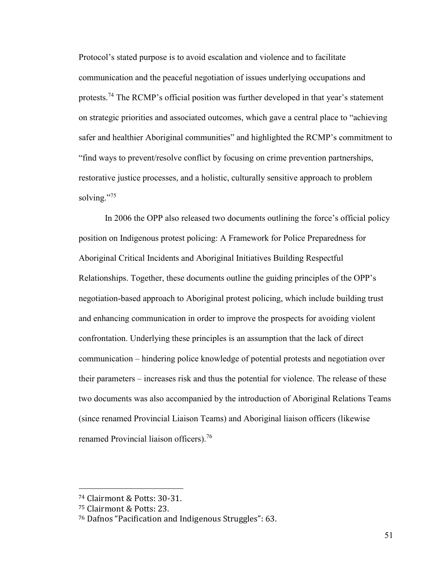Protocol's stated purpose is to avoid escalation and violence and to facilitate communication and the peaceful negotiation of issues underlying occupations and protests.<sup>74</sup> The RCMP's official position was further developed in that year's statement on strategic priorities and associated outcomes, which gave a central place to "achieving safer and healthier Aboriginal communities" and highlighted the RCMP's commitment to "find ways to prevent/resolve conflict by focusing on crime prevention partnerships, restorative justice processes, and a holistic, culturally sensitive approach to problem solving."<sup>75</sup>

In 2006 the OPP also released two documents outlining the force's official policy position on Indigenous protest policing: A Framework for Police Preparedness for Aboriginal Critical Incidents and Aboriginal Initiatives Building Respectful Relationships. Together, these documents outline the guiding principles of the OPP's negotiation-based approach to Aboriginal protest policing, which include building trust and enhancing communication in order to improve the prospects for avoiding violent confrontation. Underlying these principles is an assumption that the lack of direct communication – hindering police knowledge of potential protests and negotiation over their parameters – increases risk and thus the potential for violence. The release of these two documents was also accompanied by the introduction of Aboriginal Relations Teams (since renamed Provincial Liaison Teams) and Aboriginal liaison officers (likewise renamed Provincial liaison officers).<sup>76</sup>

<sup>74</sup> Clairmont & Potts: 30-31.

<sup>75</sup> Clairmont & Potts: 23.

<sup>76</sup> Dafnos "Pacification and Indigenous Struggles": 63.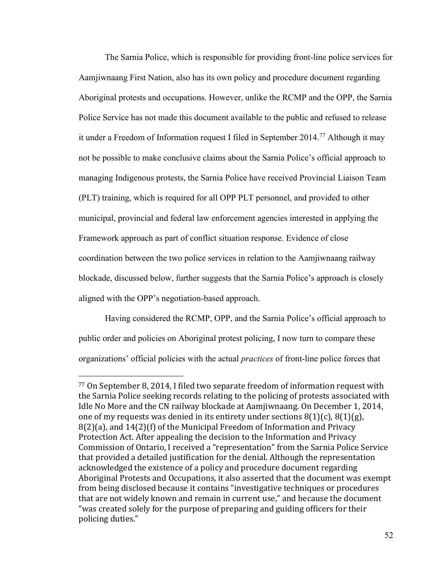The Sarnia Police, which is responsible for providing front-line police services for Aamjiwnaang First Nation, also has its own policy and procedure document regarding Aboriginal protests and occupations. However, unlike the RCMP and the OPP, the Sarnia Police Service has not made this document available to the public and refused to release it under a Freedom of Information request I filed in September 2014.<sup>77</sup> Although it may not be possible to make conclusive claims about the Sarnia Police's official approach to managing Indigenous protests, the Sarnia Police have received Provincial Liaison Team (PLT) training, which is required for all OPP PLT personnel, and provided to other municipal, provincial and federal law enforcement agencies interested in applying the Framework approach as part of conflict situation response. Evidence of close coordination between the two police services in relation to the Aamjiwnaang railway blockade, discussed below, further suggests that the Sarnia Police's approach is closely aligned with the OPP's negotiation-based approach.

Having considered the RCMP, OPP, and the Sarnia Police's official approach to public order and policies on Aboriginal protest policing, I now turn to compare these organizations' official policies with the actual *practices* of front-line police forces that

<sup>77</sup> On September 8, 2014, I filed two separate freedom of information request with the Sarnia Police seeking records relating to the policing of protests associated with Idle No More and the CN railway blockade at Aamjiwnaang. On December 1, 2014, one of my requests was denied in its entirety under sections  $8(1)(c)$ ,  $8(1)(g)$ , 8(2)(a), and 14(2)(f) of the Municipal Freedom of Information and Privacy Protection Act. After appealing the decision to the Information and Privacy Commission of Ontario, I received a "representation" from the Sarnia Police Service that provided a detailed justification for the denial. Although the representation acknowledged the existence of a policy and procedure document regarding Aboriginal Protests and Occupations, it also asserted that the document was exempt from being disclosed because it contains "investigative techniques or procedures that are not widely known and remain in current use," and because the document "was created solely for the purpose of preparing and guiding officers for their policing duties."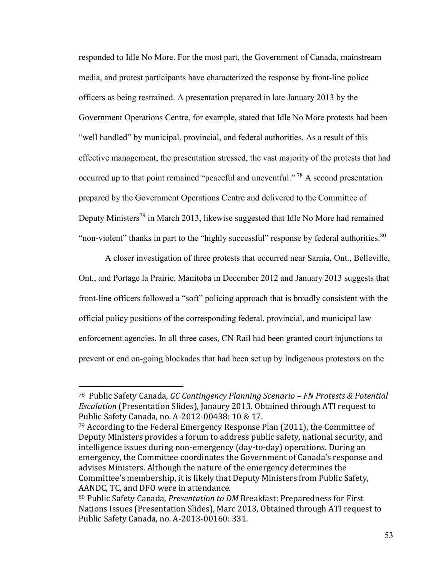responded to Idle No More. For the most part, the Government of Canada, mainstream media, and protest participants have characterized the response by front-line police officers as being restrained. A presentation prepared in late January 2013 by the Government Operations Centre, for example, stated that Idle No More protests had been "well handled" by municipal, provincial, and federal authorities. As a result of this effective management, the presentation stressed, the vast majority of the protests that had occurred up to that point remained "peaceful and uneventful." <sup>78</sup> A second presentation prepared by the Government Operations Centre and delivered to the Committee of Deputy Ministers<sup>79</sup> in March 2013, likewise suggested that Idle No More had remained "non-violent" thanks in part to the "highly successful" response by federal authorities.<sup>80</sup>

A closer investigation of three protests that occurred near Sarnia, Ont., Belleville, Ont., and Portage la Prairie, Manitoba in December 2012 and January 2013 suggests that front-line officers followed a "soft" policing approach that is broadly consistent with the official policy positions of the corresponding federal, provincial, and municipal law enforcement agencies. In all three cases, CN Rail had been granted court injunctions to prevent or end on-going blockades that had been set up by Indigenous protestors on the

<sup>78</sup> Public Safety Canada, *GC Contingency Planning Scenario – FN Protests & Potential Escalation* (Presentation Slides), Janaury 2013. Obtained through ATI request to Public Safety Canada, no. A-2012-00438: 10 & 17.

 $79$  According to the Federal Emergency Response Plan  $(2011)$ , the Committee of Deputy Ministers provides a forum to address public safety, national security, and intelligence issues during non-emergency (day-to-day) operations. During an emergency, the Committee coordinates the Government of Canada's response and advises Ministers. Although the nature of the emergency determines the Committee's membership, it is likely that Deputy Ministers from Public Safety, AANDC, TC, and DFO were in attendance.

<sup>80</sup> Public Safety Canada, *Presentation to DM* Breakfast: Preparedness for First Nations Issues (Presentation Slides), Marc 2013, Obtained through ATI request to Public Safety Canada, no. A-2013-00160: 331.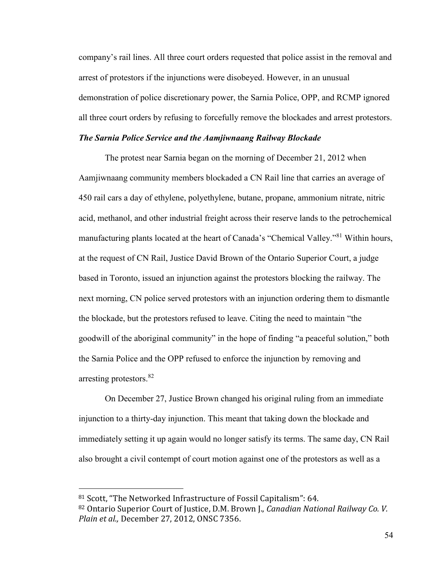company's rail lines. All three court orders requested that police assist in the removal and arrest of protestors if the injunctions were disobeyed. However, in an unusual demonstration of police discretionary power, the Sarnia Police, OPP, and RCMP ignored all three court orders by refusing to forcefully remove the blockades and arrest protestors.

## *The Sarnia Police Service and the Aamjiwnaang Railway Blockade*

The protest near Sarnia began on the morning of December 21, 2012 when Aamjiwnaang community members blockaded a CN Rail line that carries an average of 450 rail cars a day of ethylene, polyethylene, butane, propane, ammonium nitrate, nitric acid, methanol, and other industrial freight across their reserve lands to the petrochemical manufacturing plants located at the heart of Canada's "Chemical Valley."<sup>81</sup> Within hours, at the request of CN Rail, Justice David Brown of the Ontario Superior Court, a judge based in Toronto, issued an injunction against the protestors blocking the railway. The next morning, CN police served protestors with an injunction ordering them to dismantle the blockade, but the protestors refused to leave. Citing the need to maintain "the goodwill of the aboriginal community" in the hope of finding "a peaceful solution," both the Sarnia Police and the OPP refused to enforce the injunction by removing and arresting protestors.<sup>82</sup>

On December 27, Justice Brown changed his original ruling from an immediate injunction to a thirty-day injunction. This meant that taking down the blockade and immediately setting it up again would no longer satisfy its terms. The same day, CN Rail also brought a civil contempt of court motion against one of the protestors as well as a

 $81$  Scott, "The Networked Infrastructure of Fossil Capitalism": 64. <sup>82</sup> Ontario Superior Court of Justice, D.M. Brown J., *Canadian National Railway Co. V.* 

*Plain et al.,* December 27, 2012, ONSC 7356.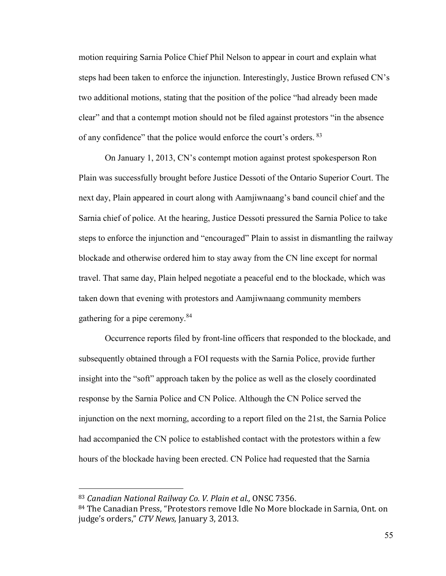motion requiring Sarnia Police Chief Phil Nelson to appear in court and explain what steps had been taken to enforce the injunction. Interestingly, Justice Brown refused CN's two additional motions, stating that the position of the police "had already been made clear" and that a contempt motion should not be filed against protestors "in the absence of any confidence" that the police would enforce the court's orders. <sup>83</sup>

On January 1, 2013, CN's contempt motion against protest spokesperson Ron Plain was successfully brought before Justice Dessoti of the Ontario Superior Court. The next day, Plain appeared in court along with Aamjiwnaang's band council chief and the Sarnia chief of police. At the hearing, Justice Dessoti pressured the Sarnia Police to take steps to enforce the injunction and "encouraged" Plain to assist in dismantling the railway blockade and otherwise ordered him to stay away from the CN line except for normal travel. That same day, Plain helped negotiate a peaceful end to the blockade, which was taken down that evening with protestors and Aamjiwnaang community members gathering for a pipe ceremony.<sup>84</sup>

Occurrence reports filed by front-line officers that responded to the blockade, and subsequently obtained through a FOI requests with the Sarnia Police, provide further insight into the "soft" approach taken by the police as well as the closely coordinated response by the Sarnia Police and CN Police. Although the CN Police served the injunction on the next morning, according to a report filed on the 21st, the Sarnia Police had accompanied the CN police to established contact with the protestors within a few hours of the blockade having been erected. CN Police had requested that the Sarnia

<sup>83</sup> *Canadian National Railway Co. V. Plain et al.,* ONSC 7356.

<sup>84</sup> The Canadian Press, "Protestors remove Idle No More blockade in Sarnia, Ont. on judge's orders," CTV News, January 3, 2013.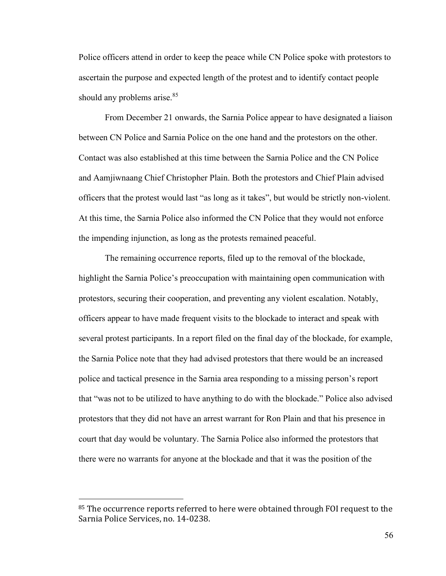Police officers attend in order to keep the peace while CN Police spoke with protestors to ascertain the purpose and expected length of the protest and to identify contact people should any problems arise.<sup>85</sup>

From December 21 onwards, the Sarnia Police appear to have designated a liaison between CN Police and Sarnia Police on the one hand and the protestors on the other. Contact was also established at this time between the Sarnia Police and the CN Police and Aamjiwnaang Chief Christopher Plain. Both the protestors and Chief Plain advised officers that the protest would last "as long as it takes", but would be strictly non-violent. At this time, the Sarnia Police also informed the CN Police that they would not enforce the impending injunction, as long as the protests remained peaceful.

The remaining occurrence reports, filed up to the removal of the blockade, highlight the Sarnia Police's preoccupation with maintaining open communication with protestors, securing their cooperation, and preventing any violent escalation. Notably, officers appear to have made frequent visits to the blockade to interact and speak with several protest participants. In a report filed on the final day of the blockade, for example, the Sarnia Police note that they had advised protestors that there would be an increased police and tactical presence in the Sarnia area responding to a missing person's report that "was not to be utilized to have anything to do with the blockade." Police also advised protestors that they did not have an arrest warrant for Ron Plain and that his presence in court that day would be voluntary. The Sarnia Police also informed the protestors that there were no warrants for anyone at the blockade and that it was the position of the

<sup>&</sup>lt;sup>85</sup> The occurrence reports referred to here were obtained through FOI request to the Sarnia Police Services, no. 14-0238.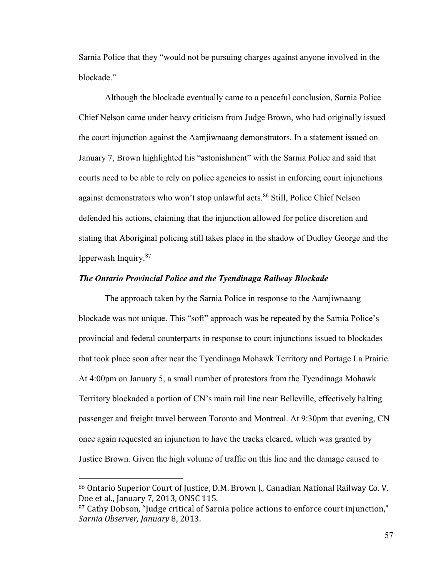Sarnia Police that they "would not be pursuing charges against anyone involved in the blockade."

Although the blockade eventually came to a peaceful conclusion, Sarnia Police Chief Nelson came under heavy criticism from Judge Brown, who had originally issued the court injunction against the Aamjiwnaang demonstrators. In a statement issued on January 7, Brown highlighted his "astonishment" with the Sarnia Police and said that courts need to be able to rely on police agencies to assist in enforcing court injunctions against demonstrators who won't stop unlawful acts.<sup>86</sup> Still, Police Chief Nelson defended his actions, claiming that the injunction allowed for police discretion and stating that Aboriginal policing still takes place in the shadow of Dudley George and the Ipperwash Inquiry.<sup>87</sup>

#### *The Ontario Provincial Police and the Tyendinaga Railway Blockade*

The approach taken by the Sarnia Police in response to the Aamjiwnaang blockade was not unique. This "soft" approach was be repeated by the Sarnia Police's provincial and federal counterparts in response to court injunctions issued to blockades that took place soon after near the Tyendinaga Mohawk Territory and Portage La Prairie. At 4:00pm on January 5, a small number of protestors from the Tyendinaga Mohawk Territory blockaded a portion of CN's main rail line near Belleville, effectively halting passenger and freight travel between Toronto and Montreal. At 9:30pm that evening, CN once again requested an injunction to have the tracks cleared, which was granted by Justice Brown. Given the high volume of traffic on this line and the damage caused to

<sup>86</sup> Ontario Superior Court of Justice, D.M. Brown J., Canadian National Railway Co. V. Doe et al., January 7, 2013, ONSC 115.

<sup>87</sup> Cathy Dobson, "Judge critical of Sarnia police actions to enforce court injunction," *Sarnia Observer, January* 8, 2013.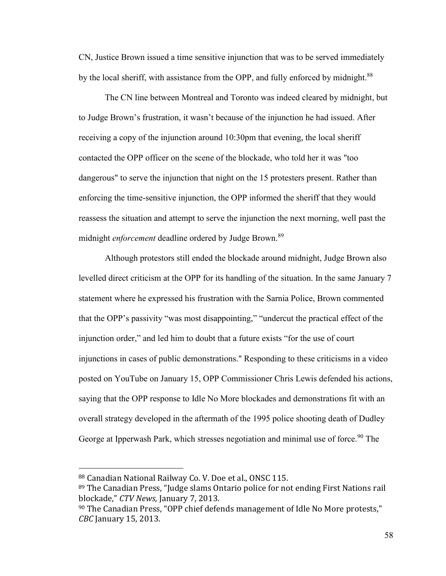CN, Justice Brown issued a time sensitive injunction that was to be served immediately by the local sheriff, with assistance from the OPP, and fully enforced by midnight.<sup>88</sup>

The CN line between Montreal and Toronto was indeed cleared by midnight, but to Judge Brown's frustration, it wasn't because of the injunction he had issued. After receiving a copy of the injunction around 10:30pm that evening, the local sheriff contacted the OPP officer on the scene of the blockade, who told her it was "too dangerous" to serve the injunction that night on the 15 protesters present. Rather than enforcing the time-sensitive injunction, the OPP informed the sheriff that they would reassess the situation and attempt to serve the injunction the next morning, well past the midnight *enforcement* deadline ordered by Judge Brown.<sup>89</sup>

Although protestors still ended the blockade around midnight, Judge Brown also levelled direct criticism at the OPP for its handling of the situation. In the same January 7 statement where he expressed his frustration with the Sarnia Police, Brown commented that the OPP's passivity "was most disappointing," "undercut the practical effect of the injunction order," and led him to doubt that a future exists "for the use of court injunctions in cases of public demonstrations." Responding to these criticisms in a video posted on YouTube on January 15, OPP Commissioner Chris Lewis defended his actions, saying that the OPP response to Idle No More blockades and demonstrations fit with an overall strategy developed in the aftermath of the 1995 police shooting death of Dudley George at Ipperwash Park, which stresses negotiation and minimal use of force.<sup>90</sup> The

<sup>88</sup> Canadian National Railway Co. V. Doe et al., ONSC 115.

 $89$  The Canadian Press, "Judge slams Ontario police for not ending First Nations rail blockade," CTV News, January 7, 2013.

 $90$  The Canadian Press, "OPP chief defends management of Idle No More protests," *CBC* January 15, 2013.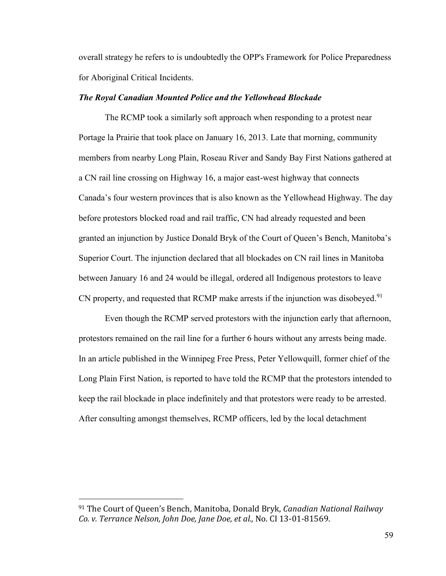overall strategy he refers to is undoubtedly the OPP's Framework for Police Preparedness for Aboriginal Critical Incidents.

#### *The Royal Canadian Mounted Police and the Yellowhead Blockade*

The RCMP took a similarly soft approach when responding to a protest near Portage la Prairie that took place on January 16, 2013. Late that morning, community members from nearby Long Plain, Roseau River and Sandy Bay First Nations gathered at a CN rail line crossing on Highway 16, a major east-west highway that connects Canada's four western provinces that is also known as the Yellowhead Highway. The day before protestors blocked road and rail traffic, CN had already requested and been granted an injunction by Justice Donald Bryk of the Court of Queen's Bench, Manitoba's Superior Court. The injunction declared that all blockades on CN rail lines in Manitoba between January 16 and 24 would be illegal, ordered all Indigenous protestors to leave CN property, and requested that RCMP make arrests if the injunction was disobeyed.<sup>91</sup>

Even though the RCMP served protestors with the injunction early that afternoon, protestors remained on the rail line for a further 6 hours without any arrests being made. In an article published in the Winnipeg Free Press, Peter Yellowquill, former chief of the Long Plain First Nation, is reported to have told the RCMP that the protestors intended to keep the rail blockade in place indefinitely and that protestors were ready to be arrested. After consulting amongst themselves, RCMP officers, led by the local detachment

<sup>91</sup> The Court of Queenǯs Bench, Manitoba, Donald Bryk, *Canadian National Railway Co. v. Terrance Nelson, John Doe, Jane Doe, et al.,* No. CI 13-01-81569.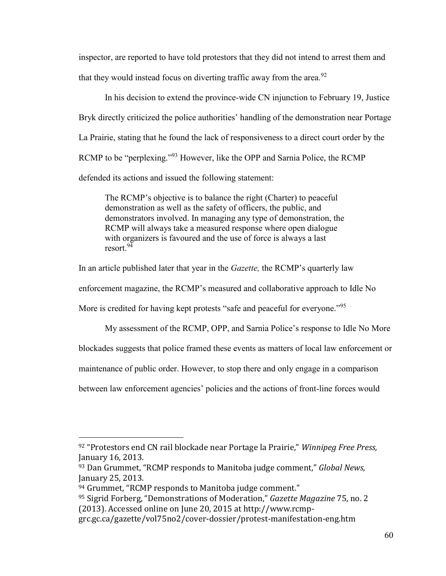inspector, are reported to have told protestors that they did not intend to arrest them and that they would instead focus on diverting traffic away from the area.<sup>92</sup>

In his decision to extend the province-wide CN injunction to February 19, Justice Bryk directly criticized the police authorities' handling of the demonstration near Portage La Prairie, stating that he found the lack of responsiveness to a direct court order by the RCMP to be "perplexing."<sup>93</sup> However, like the OPP and Sarnia Police, the RCMP defended its actions and issued the following statement:

The RCMP's objective is to balance the right (Charter) to peaceful demonstration as well as the safety of officers, the public, and demonstrators involved. In managing any type of demonstration, the RCMP will always take a measured response where open dialogue with organizers is favoured and the use of force is always a last resort.<sup>94</sup>

In an article published later that year in the *Gazette,* the RCMP's quarterly law

enforcement magazine, the RCMP's measured and collaborative approach to Idle No

More is credited for having kept protests "safe and peaceful for everyone."<sup>95</sup>

My assessment of the RCMP, OPP, and Sarnia Police's response to Idle No More

blockades suggests that police framed these events as matters of local law enforcement or

maintenance of public order. However, to stop there and only engage in a comparison

between law enforcement agencies' policies and the actions of front-line forces would

<sup>&</sup>lt;sup>92</sup> "Protestors end CN rail blockade near Portage la Prairie," Winnipeg Free Press, January 16, 2013.

<sup>&</sup>lt;sup>93</sup> Dan Grummet, "RCMP responds to Manitoba judge comment," Global News, January 25, 2013.

<sup>94</sup> Grummet, "RCMP responds to Manitoba judge comment."

<sup>&</sup>lt;sup>95</sup> Sigrid Forberg, "Demonstrations of Moderation," Gazette Magazine 75, no. 2 (2013). Accessed online on June 20, 2015 at http://www.rcmp-

grc.gc.ca/gazette/vol75no2/cover-dossier/protest-manifestation-eng.htm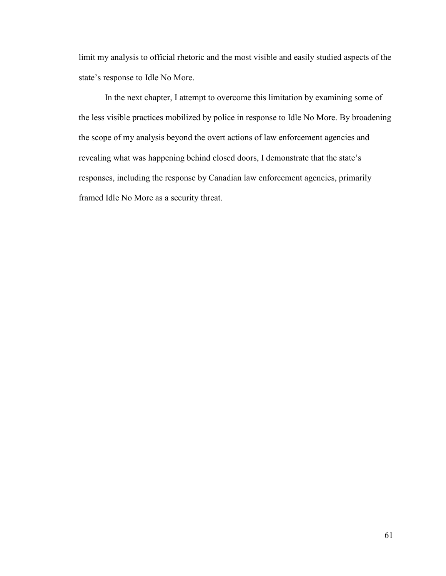limit my analysis to official rhetoric and the most visible and easily studied aspects of the state's response to Idle No More.

In the next chapter, I attempt to overcome this limitation by examining some of the less visible practices mobilized by police in response to Idle No More. By broadening the scope of my analysis beyond the overt actions of law enforcement agencies and revealing what was happening behind closed doors, I demonstrate that the state's responses, including the response by Canadian law enforcement agencies, primarily framed Idle No More as a security threat.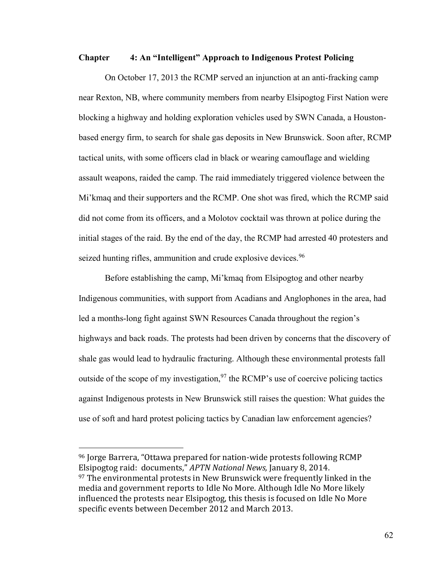#### **Chapter 4: An "Intelligent" Approach to Indigenous Protest Policing**

On October 17, 2013 the RCMP served an injunction at an anti-fracking camp near Rexton, NB, where community members from nearby Elsipogtog First Nation were blocking a highway and holding exploration vehicles used by SWN Canada, a Houstonbased energy firm, to search for shale gas deposits in New Brunswick. Soon after, RCMP tactical units, with some officers clad in black or wearing camouflage and wielding assault weapons, raided the camp. The raid immediately triggered violence between the Mi'kmaq and their supporters and the RCMP. One shot was fired, which the RCMP said did not come from its officers, and a Molotov cocktail was thrown at police during the initial stages of the raid. By the end of the day, the RCMP had arrested 40 protesters and seized hunting rifles, ammunition and crude explosive devices.<sup>96</sup>

Before establishing the camp, Mi'kmaq from Elsipogtog and other nearby Indigenous communities, with support from Acadians and Anglophones in the area, had led a months-long fight against SWN Resources Canada throughout the region's highways and back roads. The protests had been driven by concerns that the discovery of shale gas would lead to hydraulic fracturing. Although these environmental protests fall outside of the scope of my investigation,  $97$  the RCMP's use of coercive policing tactics against Indigenous protests in New Brunswick still raises the question: What guides the use of soft and hard protest policing tactics by Canadian law enforcement agencies?

<sup>&</sup>lt;sup>96</sup> Jorge Barrera, "Ottawa prepared for nation-wide protests following RCMP Elsipogtog raid: documents," APTN National News, January 8, 2014. <sup>97</sup> The environmental protests in New Brunswick were frequently linked in the media and government reports to Idle No More. Although Idle No More likely influenced the protests near Elsipogtog, this thesis is focused on Idle No More specific events between December 2012 and March 2013.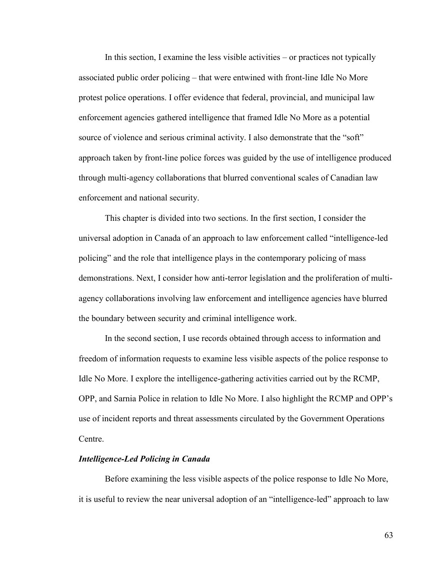In this section, I examine the less visible activities – or practices not typically associated public order policing – that were entwined with front-line Idle No More protest police operations. I offer evidence that federal, provincial, and municipal law enforcement agencies gathered intelligence that framed Idle No More as a potential source of violence and serious criminal activity. I also demonstrate that the "soft" approach taken by front-line police forces was guided by the use of intelligence produced through multi-agency collaborations that blurred conventional scales of Canadian law enforcement and national security.

This chapter is divided into two sections. In the first section, I consider the universal adoption in Canada of an approach to law enforcement called "intelligence-led policing" and the role that intelligence plays in the contemporary policing of mass demonstrations. Next, I consider how anti-terror legislation and the proliferation of multiagency collaborations involving law enforcement and intelligence agencies have blurred the boundary between security and criminal intelligence work.

In the second section, I use records obtained through access to information and freedom of information requests to examine less visible aspects of the police response to Idle No More. I explore the intelligence-gathering activities carried out by the RCMP, OPP, and Sarnia Police in relation to Idle No More. I also highlight the RCMP and OPP's use of incident reports and threat assessments circulated by the Government Operations Centre.

#### *Intelligence-Led Policing in Canada*

Before examining the less visible aspects of the police response to Idle No More, it is useful to review the near universal adoption of an "intelligence-led" approach to law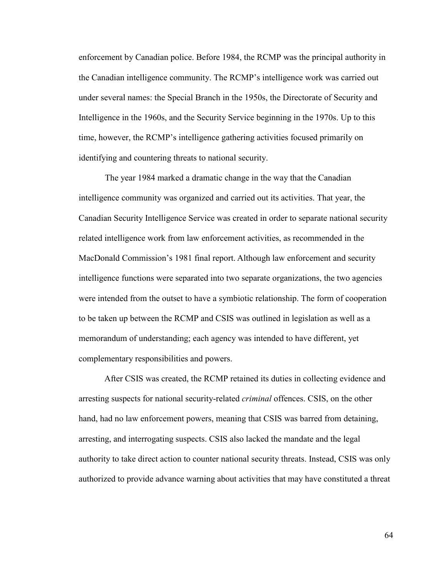enforcement by Canadian police. Before 1984, the RCMP was the principal authority in the Canadian intelligence community. The RCMP's intelligence work was carried out under several names: the Special Branch in the 1950s, the Directorate of Security and Intelligence in the 1960s, and the Security Service beginning in the 1970s. Up to this time, however, the RCMP's intelligence gathering activities focused primarily on identifying and countering threats to national security.

The year 1984 marked a dramatic change in the way that the Canadian intelligence community was organized and carried out its activities. That year, the Canadian Security Intelligence Service was created in order to separate national security related intelligence work from law enforcement activities, as recommended in the MacDonald Commission's 1981 final report. Although law enforcement and security intelligence functions were separated into two separate organizations, the two agencies were intended from the outset to have a symbiotic relationship. The form of cooperation to be taken up between the RCMP and CSIS was outlined in legislation as well as a memorandum of understanding; each agency was intended to have different, yet complementary responsibilities and powers.

After CSIS was created, the RCMP retained its duties in collecting evidence and arresting suspects for national security-related *criminal* offences. CSIS, on the other hand, had no law enforcement powers, meaning that CSIS was barred from detaining, arresting, and interrogating suspects. CSIS also lacked the mandate and the legal authority to take direct action to counter national security threats. Instead, CSIS was only authorized to provide advance warning about activities that may have constituted a threat

64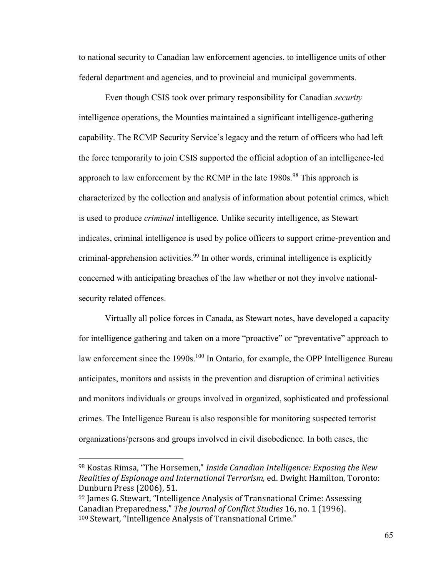to national security to Canadian law enforcement agencies, to intelligence units of other federal department and agencies, and to provincial and municipal governments.

Even though CSIS took over primary responsibility for Canadian *security*  intelligence operations, the Mounties maintained a significant intelligence-gathering capability. The RCMP Security Service's legacy and the return of officers who had left the force temporarily to join CSIS supported the official adoption of an intelligence-led approach to law enforcement by the RCMP in the late  $1980s$ .<sup>98</sup> This approach is characterized by the collection and analysis of information about potential crimes, which is used to produce *criminal* intelligence. Unlike security intelligence, as Stewart indicates, criminal intelligence is used by police officers to support crime-prevention and criminal-apprehension activities.<sup>99</sup> In other words, criminal intelligence is explicitly concerned with anticipating breaches of the law whether or not they involve nationalsecurity related offences.

Virtually all police forces in Canada, as Stewart notes, have developed a capacity for intelligence gathering and taken on a more "proactive" or "preventative" approach to law enforcement since the 1990s.<sup>100</sup> In Ontario, for example, the OPP Intelligence Bureau anticipates, monitors and assists in the prevention and disruption of criminal activities and monitors individuals or groups involved in organized, sophisticated and professional crimes. The Intelligence Bureau is also responsible for monitoring suspected terrorist organizations/persons and groups involved in civil disobedience. In both cases, the

<sup>&</sup>lt;sup>98</sup> Kostas Rimsa, "The Horsemen," Inside Canadian Intelligence: Exposing the New *Realities of Espionage and International Terrorism,* ed. Dwight Hamilton, Toronto: Dunburn Press (2006), 51.

<sup>&</sup>lt;sup>99</sup> James G. Stewart, "Intelligence Analysis of Transnational Crime: Assessing Canadian Preparedness," The Journal of Conflict Studies 16, no. 1 (1996). <sup>100</sup> Stewart, "Intelligence Analysis of Transnational Crime."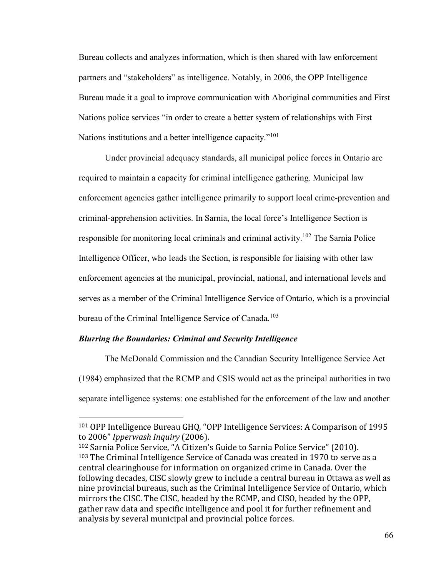Bureau collects and analyzes information, which is then shared with law enforcement partners and "stakeholders" as intelligence. Notably, in 2006, the OPP Intelligence Bureau made it a goal to improve communication with Aboriginal communities and First Nations police services "in order to create a better system of relationships with First Nations institutions and a better intelligence capacity."<sup>101</sup>

Under provincial adequacy standards, all municipal police forces in Ontario are required to maintain a capacity for criminal intelligence gathering. Municipal law enforcement agencies gather intelligence primarily to support local crime-prevention and criminal-apprehension activities. In Sarnia, the local force's Intelligence Section is responsible for monitoring local criminals and criminal activity.<sup>102</sup> The Sarnia Police Intelligence Officer, who leads the Section, is responsible for liaising with other law enforcement agencies at the municipal, provincial, national, and international levels and serves as a member of the Criminal Intelligence Service of Ontario, which is a provincial bureau of the Criminal Intelligence Service of Canada.<sup>103</sup>

### *Blurring the Boundaries: Criminal and Security Intelligence*

 $\overline{a}$ 

The McDonald Commission and the Canadian Security Intelligence Service Act (1984) emphasized that the RCMP and CSIS would act as the principal authorities in two separate intelligence systems: one established for the enforcement of the law and another

<sup>&</sup>lt;sup>101</sup> OPP Intelligence Bureau GHQ, "OPP Intelligence Services: A Comparison of 1995 to 2006" Ipperwash Inquiry (2006).

<sup>102</sup> Sarnia Police Service, "A Citizen's Guide to Sarnia Police Service" (2010). <sup>103</sup> The Criminal Intelligence Service of Canada was created in 1970 to serve as a central clearinghouse for information on organized crime in Canada. Over the following decades, CISC slowly grew to include a central bureau in Ottawa as well as nine provincial bureaus, such as the Criminal Intelligence Service of Ontario, which mirrors the CISC. The CISC, headed by the RCMP, and CISO, headed by the OPP, gather raw data and specific intelligence and pool it for further refinement and analysis by several municipal and provincial police forces.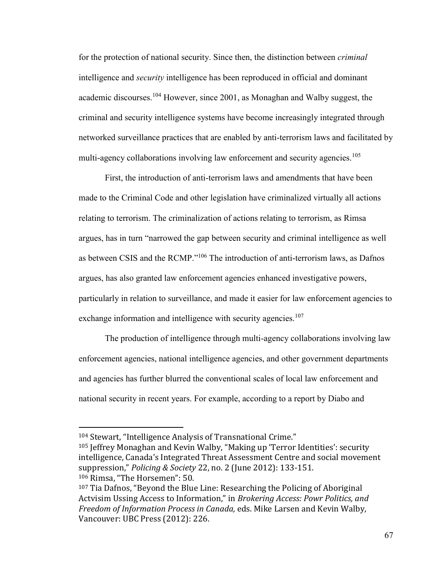for the protection of national security. Since then, the distinction between *criminal* intelligence and *security* intelligence has been reproduced in official and dominant academic discourses.<sup>104</sup> However, since 2001, as Monaghan and Walby suggest, the criminal and security intelligence systems have become increasingly integrated through networked surveillance practices that are enabled by anti-terrorism laws and facilitated by multi-agency collaborations involving law enforcement and security agencies.<sup>105</sup>

First, the introduction of anti-terrorism laws and amendments that have been made to the Criminal Code and other legislation have criminalized virtually all actions relating to terrorism. The criminalization of actions relating to terrorism, as Rimsa argues, has in turn "narrowed the gap between security and criminal intelligence as well as between CSIS and the RCMP."<sup>106</sup> The introduction of anti-terrorism laws, as Dafnos argues, has also granted law enforcement agencies enhanced investigative powers, particularly in relation to surveillance, and made it easier for law enforcement agencies to exchange information and intelligence with security agencies.<sup>107</sup>

The production of intelligence through multi-agency collaborations involving law enforcement agencies, national intelligence agencies, and other government departments and agencies has further blurred the conventional scales of local law enforcement and national security in recent years. For example, according to a report by Diabo and

 $\overline{a}$ 

 $105$  Jeffrey Monaghan and Kevin Walby, "Making up 'Terror Identities': security intelligence, Canada's Integrated Threat Assessment Centre and social movement suppression," *Policing & Society* 22, no. 2 (June 2012): 133-151. 106 Rimsa, "The Horsemen": 50.

<sup>&</sup>lt;sup>104</sup> Stewart, "Intelligence Analysis of Transnational Crime."

 $107$  Tia Dafnos, "Beyond the Blue Line: Researching the Policing of Aboriginal Actvisim Ussing Access to Information," in *Brokering Access: Powr Politics, and Freedom of Information Process in Canada,* eds. Mike Larsen and Kevin Walby, Vancouver: UBC Press (2012): 226.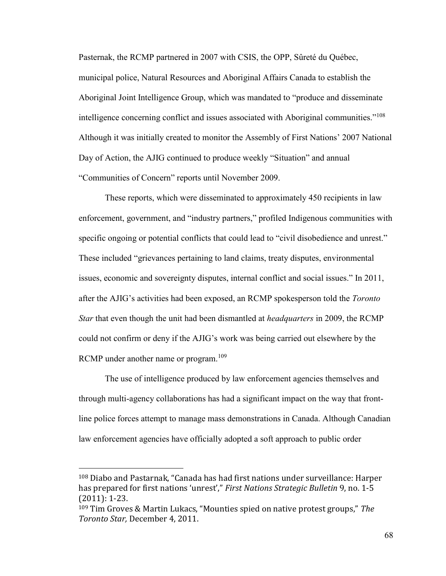Pasternak, the RCMP partnered in 2007 with CSIS, the OPP, Sûreté du Québec, municipal police, Natural Resources and Aboriginal Affairs Canada to establish the Aboriginal Joint Intelligence Group, which was mandated to "produce and disseminate intelligence concerning conflict and issues associated with Aboriginal communities."<sup>108</sup> Although it was initially created to monitor the Assembly of First Nations' 2007 National Day of Action, the AJIG continued to produce weekly "Situation" and annual "Communities of Concern" reports until November 2009.

These reports, which were disseminated to approximately 450 recipients in law enforcement, government, and "industry partners," profiled Indigenous communities with specific ongoing or potential conflicts that could lead to "civil disobedience and unrest." These included "grievances pertaining to land claims, treaty disputes, environmental issues, economic and sovereignty disputes, internal conflict and social issues." In 2011, after the AJIG's activities had been exposed, an RCMP spokesperson told the *Toronto Star* that even though the unit had been dismantled at *headquarters* in 2009, the RCMP could not confirm or deny if the AJIG's work was being carried out elsewhere by the RCMP under another name or program.<sup>109</sup>

The use of intelligence produced by law enforcement agencies themselves and through multi-agency collaborations has had a significant impact on the way that frontline police forces attempt to manage mass demonstrations in Canada. Although Canadian law enforcement agencies have officially adopted a soft approach to public order

 $108$  Diabo and Pastarnak, "Canada has had first nations under surveillance: Harper has prepared for first nations 'unrest'," First Nations Strategic Bulletin 9, no. 1-5 (2011): 1-23.

<sup>&</sup>lt;sup>109</sup> Tim Groves & Martin Lukacs, "Mounties spied on native protest groups," The *Toronto Star,* December 4, 2011.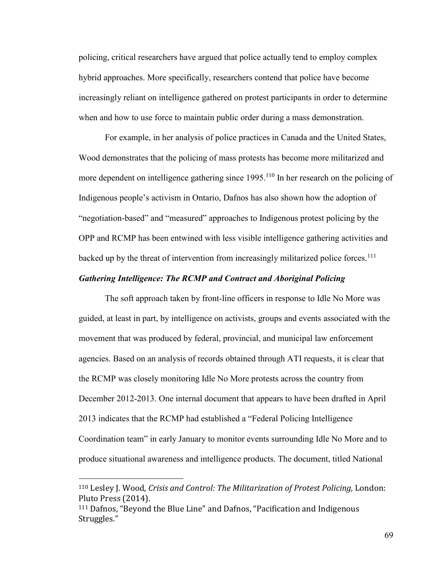policing, critical researchers have argued that police actually tend to employ complex hybrid approaches. More specifically, researchers contend that police have become increasingly reliant on intelligence gathered on protest participants in order to determine when and how to use force to maintain public order during a mass demonstration.

For example, in her analysis of police practices in Canada and the United States, Wood demonstrates that the policing of mass protests has become more militarized and more dependent on intelligence gathering since 1995.<sup>110</sup> In her research on the policing of Indigenous people's activism in Ontario, Dafnos has also shown how the adoption of "negotiation-based" and "measured" approaches to Indigenous protest policing by the OPP and RCMP has been entwined with less visible intelligence gathering activities and backed up by the threat of intervention from increasingly militarized police forces.<sup>111</sup>

## *Gathering Intelligence: The RCMP and Contract and Aboriginal Policing*

The soft approach taken by front-line officers in response to Idle No More was guided, at least in part, by intelligence on activists, groups and events associated with the movement that was produced by federal, provincial, and municipal law enforcement agencies. Based on an analysis of records obtained through ATI requests, it is clear that the RCMP was closely monitoring Idle No More protests across the country from December 2012-2013. One internal document that appears to have been drafted in April 2013 indicates that the RCMP had established a "Federal Policing Intelligence Coordination team" in early January to monitor events surrounding Idle No More and to produce situational awareness and intelligence products. The document, titled National

<sup>110</sup> Lesley J. Wood, *Crisis and Control: The Militarization of Protest Policing,* London: Pluto Press (2014).

 $111$  Dafnos, "Beyond the Blue Line" and Dafnos, "Pacification and Indigenous Struggles."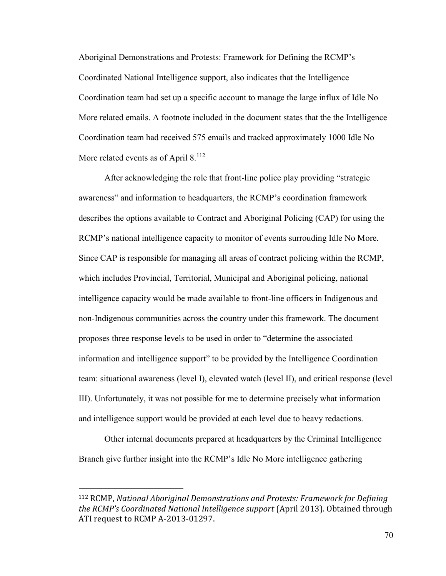Aboriginal Demonstrations and Protests: Framework for Defining the RCMP's Coordinated National Intelligence support, also indicates that the Intelligence Coordination team had set up a specific account to manage the large influx of Idle No More related emails. A footnote included in the document states that the the Intelligence Coordination team had received 575 emails and tracked approximately 1000 Idle No More related events as of April  $8.112$ 

After acknowledging the role that front-line police play providing "strategic awareness" and information to headquarters, the RCMP's coordination framework describes the options available to Contract and Aboriginal Policing (CAP) for using the RCMP's national intelligence capacity to monitor of events surrouding Idle No More. Since CAP is responsible for managing all areas of contract policing within the RCMP, which includes Provincial, Territorial, Municipal and Aboriginal policing, national intelligence capacity would be made available to front-line officers in Indigenous and non-Indigenous communities across the country under this framework. The document proposes three response levels to be used in order to "determine the associated information and intelligence support" to be provided by the Intelligence Coordination team: situational awareness (level I), elevated watch (level II), and critical response (level III). Unfortunately, it was not possible for me to determine precisely what information and intelligence support would be provided at each level due to heavy redactions.

Other internal documents prepared at headquarters by the Criminal Intelligence Branch give further insight into the RCMP's Idle No More intelligence gathering

<sup>112</sup> RCMP, *National Aboriginal Demonstrations and Protests: Framework for Defining the RCMPǯs Coordinated National Intelligence support* (April 2013). Obtained through ATI request to RCMP A-2013-01297.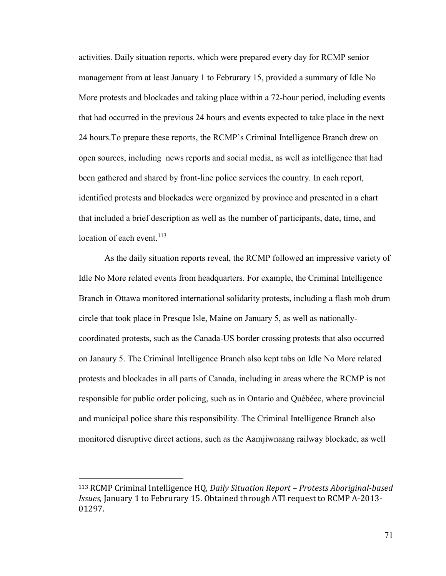activities. Daily situation reports, which were prepared every day for RCMP senior management from at least January 1 to Februrary 15, provided a summary of Idle No More protests and blockades and taking place within a 72-hour period, including events that had occurred in the previous 24 hours and events expected to take place in the next 24 hours.To prepare these reports, the RCMP's Criminal Intelligence Branch drew on open sources, including news reports and social media, as well as intelligence that had been gathered and shared by front-line police services the country. In each report, identified protests and blockades were organized by province and presented in a chart that included a brief description as well as the number of participants, date, time, and location of each event.<sup>113</sup>

As the daily situation reports reveal, the RCMP followed an impressive variety of Idle No More related events from headquarters. For example, the Criminal Intelligence Branch in Ottawa monitored international solidarity protests, including a flash mob drum circle that took place in Presque Isle, Maine on January 5, as well as nationallycoordinated protests, such as the Canada-US border crossing protests that also occurred on Janaury 5. The Criminal Intelligence Branch also kept tabs on Idle No More related protests and blockades in all parts of Canada, including in areas where the RCMP is not responsible for public order policing, such as in Ontario and Québéec, where provincial and municipal police share this responsibility. The Criminal Intelligence Branch also monitored disruptive direct actions, such as the Aamjiwnaang railway blockade, as well

<sup>113</sup> RCMP Criminal Intelligence HQ, *Daily Situation Report – Protests Aboriginal-based Issues,* January 1 to Februrary 15. Obtained through ATI request to RCMP A-2013- 01297.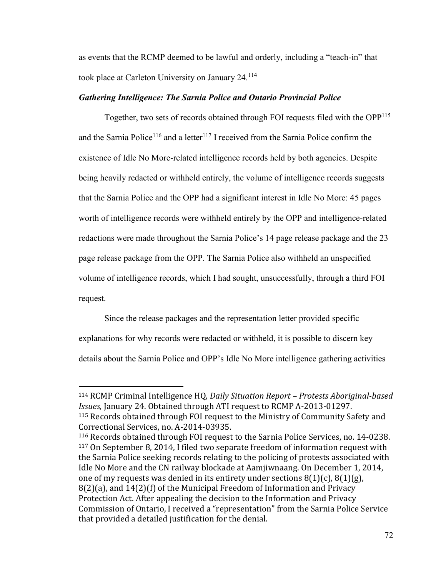as events that the RCMP deemed to be lawful and orderly, including a "teach-in" that took place at Carleton University on January 24.<sup>114</sup>

# *Gathering Intelligence: The Sarnia Police and Ontario Provincial Police*

Together, two sets of records obtained through FOI requests filed with the OPP<sup>115</sup> and the Sarnia Police<sup>116</sup> and a letter<sup>117</sup> I received from the Sarnia Police confirm the existence of Idle No More-related intelligence records held by both agencies. Despite being heavily redacted or withheld entirely, the volume of intelligence records suggests that the Sarnia Police and the OPP had a significant interest in Idle No More: 45 pages worth of intelligence records were withheld entirely by the OPP and intelligence-related redactions were made throughout the Sarnia Police's 14 page release package and the 23 page release package from the OPP. The Sarnia Police also withheld an unspecified volume of intelligence records, which I had sought, unsuccessfully, through a third FOI request.

Since the release packages and the representation letter provided specific explanations for why records were redacted or withheld, it is possible to discern key details about the Sarnia Police and OPP's Idle No More intelligence gathering activities

<sup>114</sup> RCMP Criminal Intelligence HQ, *Daily Situation Report – Protests Aboriginal-based Issues,* January 24. Obtained through ATI request to RCMP A-2013-01297. <sup>115</sup> Records obtained through FOI request to the Ministry of Community Safety and Correctional Services, no. A-2014-03935.

<sup>116</sup> Records obtained through FOI request to the Sarnia Police Services, no. 14-0238. <sup>117</sup> On September 8, 2014, I filed two separate freedom of information request with the Sarnia Police seeking records relating to the policing of protests associated with Idle No More and the CN railway blockade at Aamjiwnaang. On December 1, 2014, one of my requests was denied in its entirety under sections  $8(1)(c)$ ,  $8(1)(g)$ , 8(2)(a), and 14(2)(f) of the Municipal Freedom of Information and Privacy Protection Act. After appealing the decision to the Information and Privacy Commission of Ontario, I received a "representation" from the Sarnia Police Service that provided a detailed justification for the denial.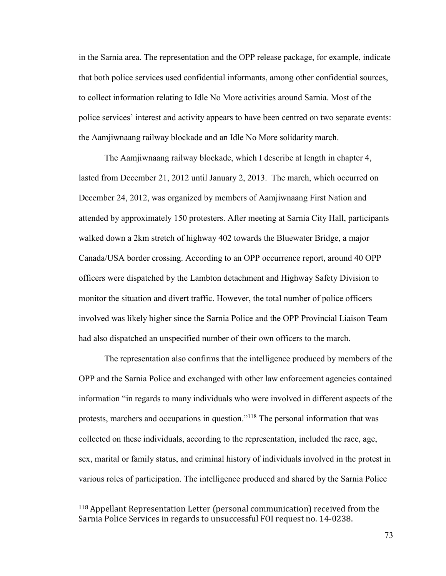in the Sarnia area. The representation and the OPP release package, for example, indicate that both police services used confidential informants, among other confidential sources, to collect information relating to Idle No More activities around Sarnia. Most of the police services' interest and activity appears to have been centred on two separate events: the Aamjiwnaang railway blockade and an Idle No More solidarity march.

The Aamjiwnaang railway blockade, which I describe at length in chapter 4, lasted from December 21, 2012 until January 2, 2013. The march, which occurred on December 24, 2012, was organized by members of Aamjiwnaang First Nation and attended by approximately 150 protesters. After meeting at Sarnia City Hall, participants walked down a 2km stretch of highway 402 towards the Bluewater Bridge, a major Canada/USA border crossing. According to an OPP occurrence report, around 40 OPP officers were dispatched by the Lambton detachment and Highway Safety Division to monitor the situation and divert traffic. However, the total number of police officers involved was likely higher since the Sarnia Police and the OPP Provincial Liaison Team had also dispatched an unspecified number of their own officers to the march.

The representation also confirms that the intelligence produced by members of the OPP and the Sarnia Police and exchanged with other law enforcement agencies contained information "in regards to many individuals who were involved in different aspects of the protests, marchers and occupations in question."<sup>118</sup> The personal information that was collected on these individuals, according to the representation, included the race, age, sex, marital or family status, and criminal history of individuals involved in the protest in various roles of participation. The intelligence produced and shared by the Sarnia Police

<sup>118</sup> Appellant Representation Letter (personal communication) received from the Sarnia Police Services in regards to unsuccessful FOI request no. 14-0238.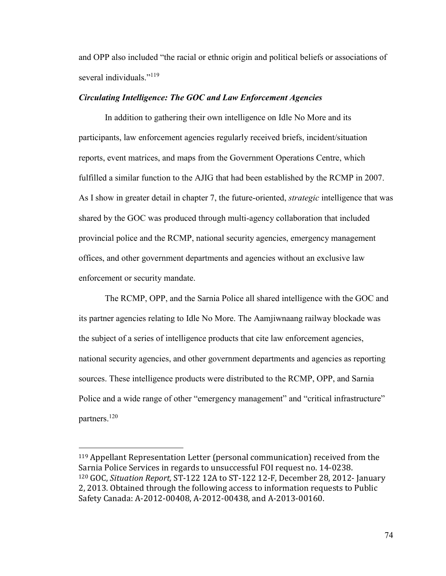and OPP also included "the racial or ethnic origin and political beliefs or associations of several individuals."<sup>119</sup>

## *Circulating Intelligence: The GOC and Law Enforcement Agencies*

In addition to gathering their own intelligence on Idle No More and its participants, law enforcement agencies regularly received briefs, incident/situation reports, event matrices, and maps from the Government Operations Centre, which fulfilled a similar function to the AJIG that had been established by the RCMP in 2007. As I show in greater detail in chapter 7, the future-oriented, *strategic* intelligence that was shared by the GOC was produced through multi-agency collaboration that included provincial police and the RCMP, national security agencies, emergency management offices, and other government departments and agencies without an exclusive law enforcement or security mandate.

The RCMP, OPP, and the Sarnia Police all shared intelligence with the GOC and its partner agencies relating to Idle No More. The Aamjiwnaang railway blockade was the subject of a series of intelligence products that cite law enforcement agencies, national security agencies, and other government departments and agencies as reporting sources. These intelligence products were distributed to the RCMP, OPP, and Sarnia Police and a wide range of other "emergency management" and "critical infrastructure" partners.<sup>120</sup>

<sup>119</sup> Appellant Representation Letter (personal communication) received from the Sarnia Police Services in regards to unsuccessful FOI request no. 14-0238. <sup>120</sup> GOC, *Situation Report,* ST-122 12A to ST-122 12-F, December 28, 2012- January 2, 2013. Obtained through the following access to information requests to Public Safety Canada: A-2012-00408, A-2012-00438, and A-2013-00160.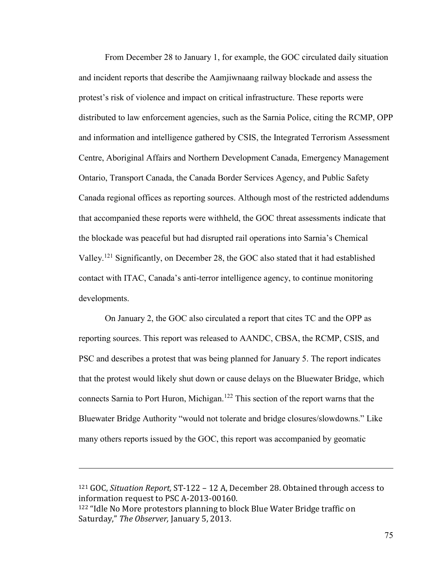From December 28 to January 1, for example, the GOC circulated daily situation and incident reports that describe the Aamjiwnaang railway blockade and assess the protest's risk of violence and impact on critical infrastructure. These reports were distributed to law enforcement agencies, such as the Sarnia Police, citing the RCMP, OPP and information and intelligence gathered by CSIS, the Integrated Terrorism Assessment Centre, Aboriginal Affairs and Northern Development Canada, Emergency Management Ontario, Transport Canada, the Canada Border Services Agency, and Public Safety Canada regional offices as reporting sources. Although most of the restricted addendums that accompanied these reports were withheld, the GOC threat assessments indicate that the blockade was peaceful but had disrupted rail operations into Sarnia's Chemical Valley.<sup>121</sup> Significantly, on December 28, the GOC also stated that it had established contact with ITAC, Canada's anti-terror intelligence agency, to continue monitoring developments.

On January 2, the GOC also circulated a report that cites TC and the OPP as reporting sources. This report was released to AANDC, CBSA, the RCMP, CSIS, and PSC and describes a protest that was being planned for January 5. The report indicates that the protest would likely shut down or cause delays on the Bluewater Bridge, which connects Sarnia to Port Huron, Michigan.<sup>122</sup> This section of the report warns that the Bluewater Bridge Authority "would not tolerate and bridge closures/slowdowns." Like many others reports issued by the GOC, this report was accompanied by geomatic

<sup>121</sup> GOC, *Situation Report,* ST-122 – 12 A, December 28. Obtained through access to information request to PSC A-2013-00160. <sup>122</sup> "Idle No More protestors planning to block Blue Water Bridge traffic on Saturday," The Observer, January 5, 2013.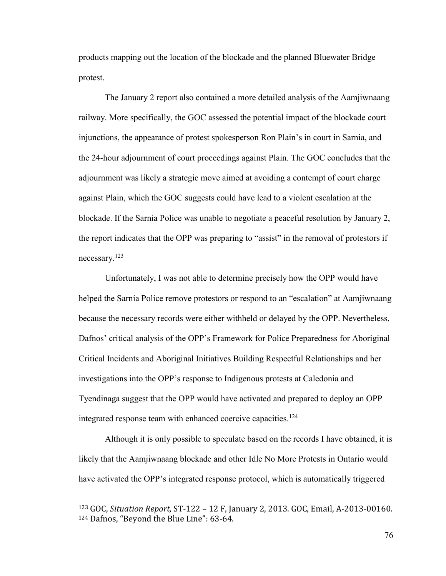products mapping out the location of the blockade and the planned Bluewater Bridge protest.

The January 2 report also contained a more detailed analysis of the Aamjiwnaang railway. More specifically, the GOC assessed the potential impact of the blockade court injunctions, the appearance of protest spokesperson Ron Plain's in court in Sarnia, and the 24-hour adjournment of court proceedings against Plain. The GOC concludes that the adjournment was likely a strategic move aimed at avoiding a contempt of court charge against Plain, which the GOC suggests could have lead to a violent escalation at the blockade. If the Sarnia Police was unable to negotiate a peaceful resolution by January 2, the report indicates that the OPP was preparing to "assist" in the removal of protestors if necessary.<sup>123</sup>

Unfortunately, I was not able to determine precisely how the OPP would have helped the Sarnia Police remove protestors or respond to an "escalation" at Aamjiwnaang because the necessary records were either withheld or delayed by the OPP. Nevertheless, Dafnos' critical analysis of the OPP's Framework for Police Preparedness for Aboriginal Critical Incidents and Aboriginal Initiatives Building Respectful Relationships and her investigations into the OPP's response to Indigenous protests at Caledonia and Tyendinaga suggest that the OPP would have activated and prepared to deploy an OPP integrated response team with enhanced coercive capacities.<sup>124</sup>

Although it is only possible to speculate based on the records I have obtained, it is likely that the Aamjiwnaang blockade and other Idle No More Protests in Ontario would have activated the OPP's integrated response protocol, which is automatically triggered

<sup>123</sup> GOC, *Situation Report,* ST-122 – 12 F, January 2, 2013. GOC, Email, A-2013-00160. 124 Dafnos, "Beyond the Blue Line": 63-64.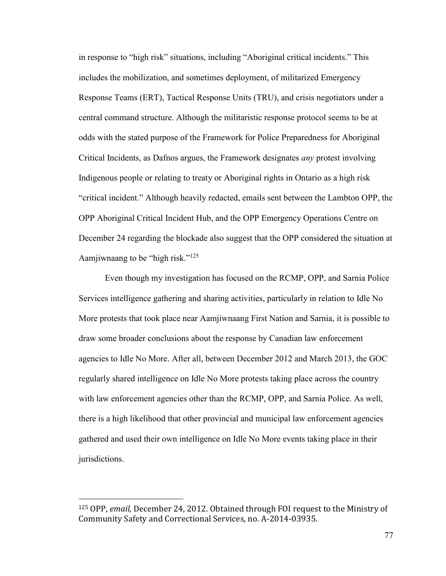in response to "high risk" situations, including "Aboriginal critical incidents." This includes the mobilization, and sometimes deployment, of militarized Emergency Response Teams (ERT), Tactical Response Units (TRU), and crisis negotiators under a central command structure. Although the militaristic response protocol seems to be at odds with the stated purpose of the Framework for Police Preparedness for Aboriginal Critical Incidents, as Dafnos argues, the Framework designates *any* protest involving Indigenous people or relating to treaty or Aboriginal rights in Ontario as a high risk "critical incident." Although heavily redacted, emails sent between the Lambton OPP, the OPP Aboriginal Critical Incident Hub, and the OPP Emergency Operations Centre on December 24 regarding the blockade also suggest that the OPP considered the situation at Aamjiwnaang to be "high risk."<sup>125</sup>

Even though my investigation has focused on the RCMP, OPP, and Sarnia Police Services intelligence gathering and sharing activities, particularly in relation to Idle No More protests that took place near Aamjiwnaang First Nation and Sarnia, it is possible to draw some broader conclusions about the response by Canadian law enforcement agencies to Idle No More. After all, between December 2012 and March 2013, the GOC regularly shared intelligence on Idle No More protests taking place across the country with law enforcement agencies other than the RCMP, OPP, and Sarnia Police. As well, there is a high likelihood that other provincial and municipal law enforcement agencies gathered and used their own intelligence on Idle No More events taking place in their jurisdictions.

<sup>125</sup> OPP, *email,* December 24, 2012. Obtained through FOI request to the Ministry of Community Safety and Correctional Services, no. A-2014-03935.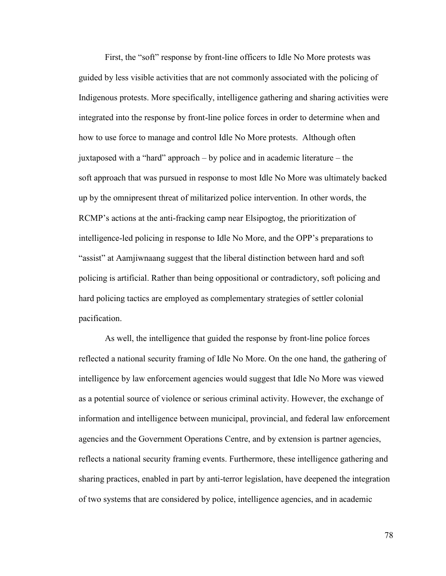First, the "soft" response by front-line officers to Idle No More protests was guided by less visible activities that are not commonly associated with the policing of Indigenous protests. More specifically, intelligence gathering and sharing activities were integrated into the response by front-line police forces in order to determine when and how to use force to manage and control Idle No More protests. Although often juxtaposed with a "hard" approach – by police and in academic literature – the soft approach that was pursued in response to most Idle No More was ultimately backed up by the omnipresent threat of militarized police intervention. In other words, the RCMP's actions at the anti-fracking camp near Elsipogtog, the prioritization of intelligence-led policing in response to Idle No More, and the OPP's preparations to "assist" at Aamjiwnaang suggest that the liberal distinction between hard and soft policing is artificial. Rather than being oppositional or contradictory, soft policing and hard policing tactics are employed as complementary strategies of settler colonial pacification.

As well, the intelligence that guided the response by front-line police forces reflected a national security framing of Idle No More. On the one hand, the gathering of intelligence by law enforcement agencies would suggest that Idle No More was viewed as a potential source of violence or serious criminal activity. However, the exchange of information and intelligence between municipal, provincial, and federal law enforcement agencies and the Government Operations Centre, and by extension is partner agencies, reflects a national security framing events. Furthermore, these intelligence gathering and sharing practices, enabled in part by anti-terror legislation, have deepened the integration of two systems that are considered by police, intelligence agencies, and in academic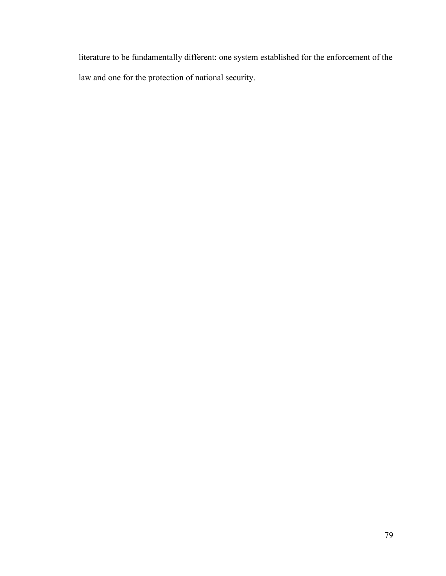literature to be fundamentally different: one system established for the enforcement of the law and one for the protection of national security.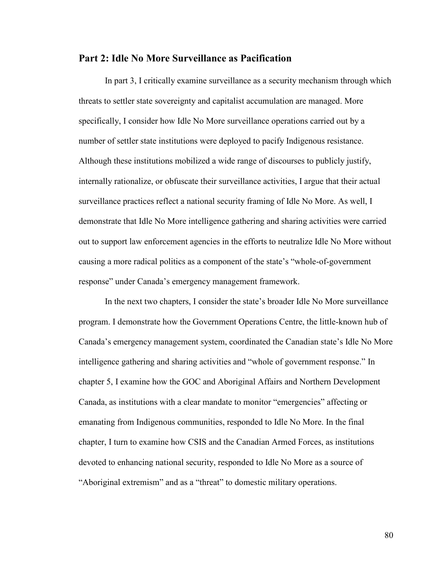# **Part 2: Idle No More Surveillance as Pacification**

In part 3, I critically examine surveillance as a security mechanism through which threats to settler state sovereignty and capitalist accumulation are managed. More specifically, I consider how Idle No More surveillance operations carried out by a number of settler state institutions were deployed to pacify Indigenous resistance. Although these institutions mobilized a wide range of discourses to publicly justify, internally rationalize, or obfuscate their surveillance activities, I argue that their actual surveillance practices reflect a national security framing of Idle No More. As well, I demonstrate that Idle No More intelligence gathering and sharing activities were carried out to support law enforcement agencies in the efforts to neutralize Idle No More without causing a more radical politics as a component of the state's "whole-of-government response" under Canada's emergency management framework.

In the next two chapters, I consider the state's broader Idle No More surveillance program. I demonstrate how the Government Operations Centre, the little-known hub of Canada's emergency management system, coordinated the Canadian state's Idle No More intelligence gathering and sharing activities and "whole of government response." In chapter 5, I examine how the GOC and Aboriginal Affairs and Northern Development Canada, as institutions with a clear mandate to monitor "emergencies" affecting or emanating from Indigenous communities, responded to Idle No More. In the final chapter, I turn to examine how CSIS and the Canadian Armed Forces, as institutions devoted to enhancing national security, responded to Idle No More as a source of "Aboriginal extremism" and as a "threat" to domestic military operations.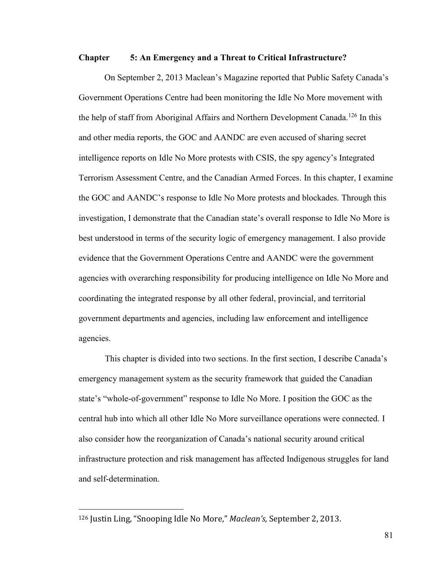### **Chapter 5: An Emergency and a Threat to Critical Infrastructure?**

On September 2, 2013 Maclean's Magazine reported that Public Safety Canada's Government Operations Centre had been monitoring the Idle No More movement with the help of staff from Aboriginal Affairs and Northern Development Canada.<sup>126</sup> In this and other media reports, the GOC and AANDC are even accused of sharing secret intelligence reports on Idle No More protests with CSIS, the spy agency's Integrated Terrorism Assessment Centre, and the Canadian Armed Forces. In this chapter, I examine the GOC and AANDC's response to Idle No More protests and blockades. Through this investigation, I demonstrate that the Canadian state's overall response to Idle No More is best understood in terms of the security logic of emergency management. I also provide evidence that the Government Operations Centre and AANDC were the government agencies with overarching responsibility for producing intelligence on Idle No More and coordinating the integrated response by all other federal, provincial, and territorial government departments and agencies, including law enforcement and intelligence agencies.

This chapter is divided into two sections. In the first section, I describe Canada's emergency management system as the security framework that guided the Canadian state's "whole-of-government" response to Idle No More. I position the GOC as the central hub into which all other Idle No More surveillance operations were connected. I also consider how the reorganization of Canada's national security around critical infrastructure protection and risk management has affected Indigenous struggles for land and self-determination.

<sup>&</sup>lt;sup>126</sup> Justin Ling, "Snooping Idle No More," *Maclean's*, September 2, 2013.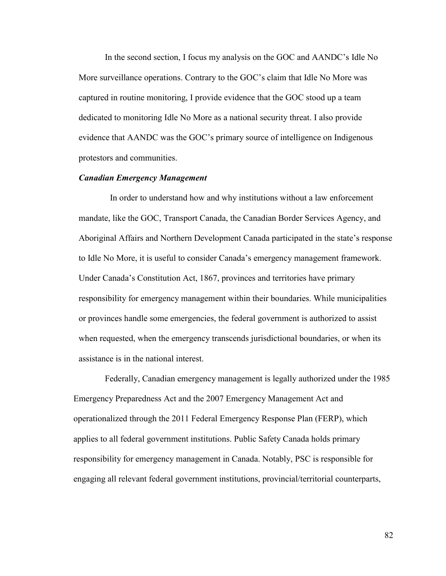In the second section, I focus my analysis on the GOC and AANDC's Idle No More surveillance operations. Contrary to the GOC's claim that Idle No More was captured in routine monitoring, I provide evidence that the GOC stood up a team dedicated to monitoring Idle No More as a national security threat. I also provide evidence that AANDC was the GOC's primary source of intelligence on Indigenous protestors and communities.

### *Canadian Emergency Management*

In order to understand how and why institutions without a law enforcement mandate, like the GOC, Transport Canada, the Canadian Border Services Agency, and Aboriginal Affairs and Northern Development Canada participated in the state's response to Idle No More, it is useful to consider Canada's emergency management framework. Under Canada's Constitution Act, 1867, provinces and territories have primary responsibility for emergency management within their boundaries. While municipalities or provinces handle some emergencies, the federal government is authorized to assist when requested, when the emergency transcends jurisdictional boundaries, or when its assistance is in the national interest.

Federally, Canadian emergency management is legally authorized under the 1985 Emergency Preparedness Act and the 2007 Emergency Management Act and operationalized through the 2011 Federal Emergency Response Plan (FERP), which applies to all federal government institutions. Public Safety Canada holds primary responsibility for emergency management in Canada. Notably, PSC is responsible for engaging all relevant federal government institutions, provincial/territorial counterparts,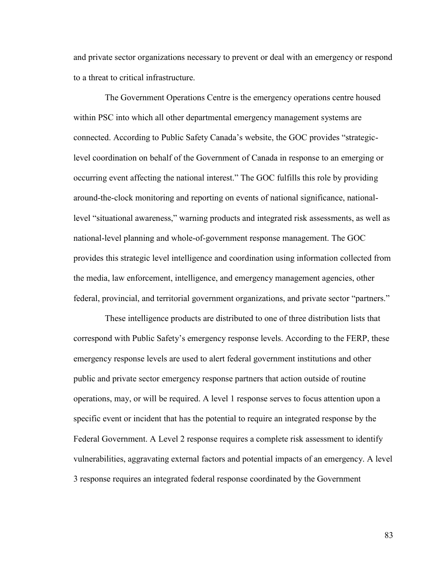and private sector organizations necessary to prevent or deal with an emergency or respond to a threat to critical infrastructure.

The Government Operations Centre is the emergency operations centre housed within PSC into which all other departmental emergency management systems are connected. According to Public Safety Canada's website, the GOC provides "strategiclevel coordination on behalf of the Government of Canada in response to an emerging or occurring event affecting the national interest." The GOC fulfills this role by providing around-the-clock monitoring and reporting on events of national significance, nationallevel "situational awareness," warning products and integrated risk assessments, as well as national-level planning and whole-of-government response management. The GOC provides this strategic level intelligence and coordination using information collected from the media, law enforcement, intelligence, and emergency management agencies, other federal, provincial, and territorial government organizations, and private sector "partners."

These intelligence products are distributed to one of three distribution lists that correspond with Public Safety's emergency response levels. According to the FERP, these emergency response levels are used to alert federal government institutions and other public and private sector emergency response partners that action outside of routine operations, may, or will be required. A level 1 response serves to focus attention upon a specific event or incident that has the potential to require an integrated response by the Federal Government. A Level 2 response requires a complete risk assessment to identify vulnerabilities, aggravating external factors and potential impacts of an emergency. A level 3 response requires an integrated federal response coordinated by the Government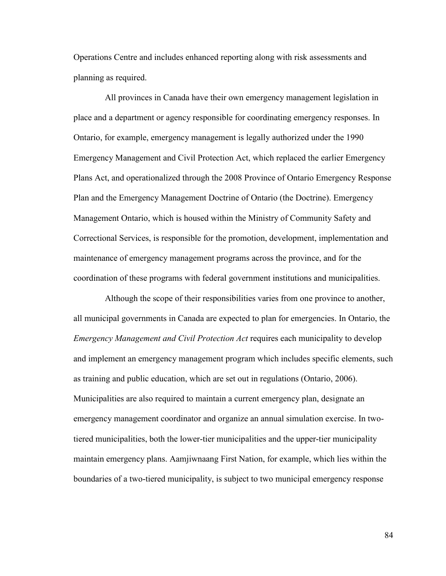Operations Centre and includes enhanced reporting along with risk assessments and planning as required.

All provinces in Canada have their own emergency management legislation in place and a department or agency responsible for coordinating emergency responses. In Ontario, for example, emergency management is legally authorized under the 1990 Emergency Management and Civil Protection Act, which replaced the earlier Emergency Plans Act, and operationalized through the 2008 Province of Ontario Emergency Response Plan and the Emergency Management Doctrine of Ontario (the Doctrine). Emergency Management Ontario, which is housed within the Ministry of Community Safety and Correctional Services, is responsible for the promotion, development, implementation and maintenance of emergency management programs across the province, and for the coordination of these programs with federal government institutions and municipalities.

Although the scope of their responsibilities varies from one province to another, all municipal governments in Canada are expected to plan for emergencies. In Ontario, the *Emergency Management and Civil Protection Act* requires each municipality to develop and implement an emergency management program which includes specific elements, such as training and public education, which are set out in regulations (Ontario, 2006). Municipalities are also required to maintain a current emergency plan, designate an emergency management coordinator and organize an annual simulation exercise. In twotiered municipalities, both the lower-tier municipalities and the upper-tier municipality maintain emergency plans. Aamjiwnaang First Nation, for example, which lies within the boundaries of a two-tiered municipality, is subject to two municipal emergency response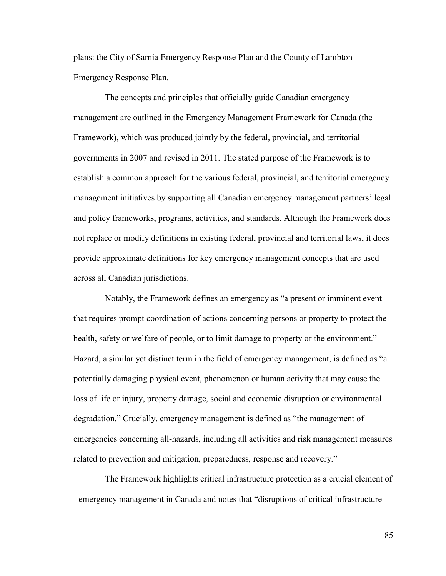plans: the City of Sarnia Emergency Response Plan and the County of Lambton Emergency Response Plan.

The concepts and principles that officially guide Canadian emergency management are outlined in the Emergency Management Framework for Canada (the Framework), which was produced jointly by the federal, provincial, and territorial governments in 2007 and revised in 2011. The stated purpose of the Framework is to establish a common approach for the various federal, provincial, and territorial emergency management initiatives by supporting all Canadian emergency management partners' legal and policy frameworks, programs, activities, and standards. Although the Framework does not replace or modify definitions in existing federal, provincial and territorial laws, it does provide approximate definitions for key emergency management concepts that are used across all Canadian jurisdictions.

Notably, the Framework defines an emergency as "a present or imminent event that requires prompt coordination of actions concerning persons or property to protect the health, safety or welfare of people, or to limit damage to property or the environment." Hazard, a similar yet distinct term in the field of emergency management, is defined as "a potentially damaging physical event, phenomenon or human activity that may cause the loss of life or injury, property damage, social and economic disruption or environmental degradation." Crucially, emergency management is defined as "the management of emergencies concerning all-hazards, including all activities and risk management measures related to prevention and mitigation, preparedness, response and recovery."

The Framework highlights critical infrastructure protection as a crucial element of emergency management in Canada and notes that "disruptions of critical infrastructure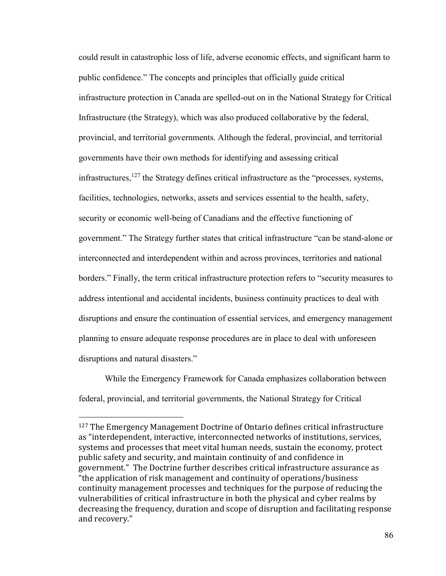could result in catastrophic loss of life, adverse economic effects, and significant harm to public confidence." The concepts and principles that officially guide critical infrastructure protection in Canada are spelled-out on in the National Strategy for Critical Infrastructure (the Strategy), which was also produced collaborative by the federal, provincial, and territorial governments. Although the federal, provincial, and territorial governments have their own methods for identifying and assessing critical infrastructures, $127$  the Strategy defines critical infrastructure as the "processes, systems, facilities, technologies, networks, assets and services essential to the health, safety, security or economic well-being of Canadians and the effective functioning of government." The Strategy further states that critical infrastructure "can be stand-alone or interconnected and interdependent within and across provinces, territories and national borders." Finally, the term critical infrastructure protection refers to "security measures to address intentional and accidental incidents, business continuity practices to deal with disruptions and ensure the continuation of essential services, and emergency management planning to ensure adequate response procedures are in place to deal with unforeseen disruptions and natural disasters."

While the Emergency Framework for Canada emphasizes collaboration between federal, provincial, and territorial governments, the National Strategy for Critical

<sup>127</sup> The Emergency Management Doctrine of Ontario defines critical infrastructure as "interdependent, interactive, interconnected networks of institutions, services, systems and processes that meet vital human needs, sustain the economy, protect public safety and security, and maintain continuity of and confidence in government." The Doctrine further describes critical infrastructure assurance as "the application of risk management and continuity of operations/business continuity management processes and techniques for the purpose of reducing the vulnerabilities of critical infrastructure in both the physical and cyber realms by decreasing the frequency, duration and scope of disruption and facilitating response and recovery."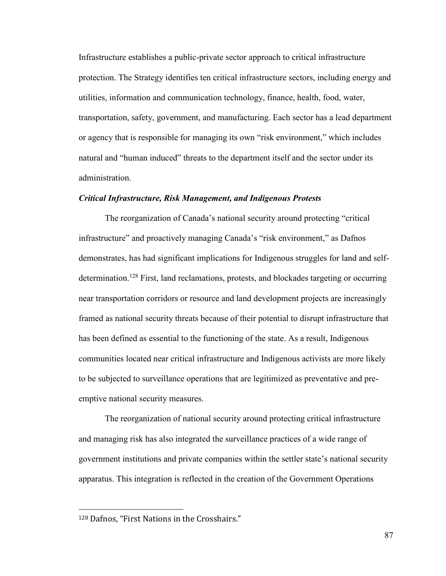Infrastructure establishes a public-private sector approach to critical infrastructure protection. The Strategy identifies ten critical infrastructure sectors, including energy and utilities, information and communication technology, finance, health, food, water, transportation, safety, government, and manufacturing. Each sector has a lead department or agency that is responsible for managing its own "risk environment," which includes natural and "human induced" threats to the department itself and the sector under its administration.

### *Critical Infrastructure, Risk Management, and Indigenous Protests*

The reorganization of Canada's national security around protecting "critical infrastructure" and proactively managing Canada's "risk environment," as Dafnos demonstrates, has had significant implications for Indigenous struggles for land and selfdetermination.<sup>128</sup> First, land reclamations, protests, and blockades targeting or occurring near transportation corridors or resource and land development projects are increasingly framed as national security threats because of their potential to disrupt infrastructure that has been defined as essential to the functioning of the state. As a result, Indigenous communities located near critical infrastructure and Indigenous activists are more likely to be subjected to surveillance operations that are legitimized as preventative and preemptive national security measures.

The reorganization of national security around protecting critical infrastructure and managing risk has also integrated the surveillance practices of a wide range of government institutions and private companies within the settler state's national security apparatus. This integration is reflected in the creation of the Government Operations

<sup>128</sup> Dafnos, "First Nations in the Crosshairs."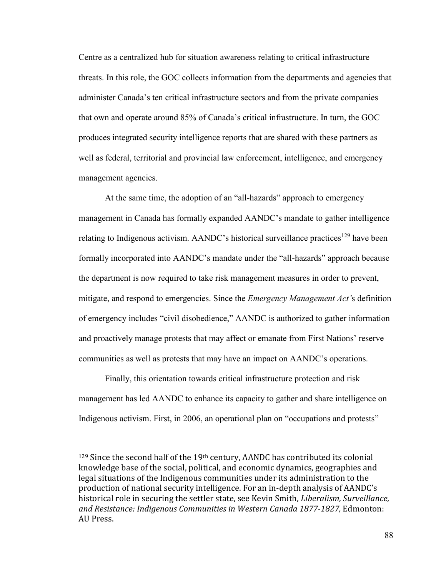Centre as a centralized hub for situation awareness relating to critical infrastructure threats. In this role, the GOC collects information from the departments and agencies that administer Canada's ten critical infrastructure sectors and from the private companies that own and operate around 85% of Canada's critical infrastructure. In turn, the GOC produces integrated security intelligence reports that are shared with these partners as well as federal, territorial and provincial law enforcement, intelligence, and emergency management agencies.

At the same time, the adoption of an "all-hazards" approach to emergency management in Canada has formally expanded AANDC's mandate to gather intelligence relating to Indigenous activism. AANDC's historical surveillance practices<sup>129</sup> have been formally incorporated into AANDC's mandate under the "all-hazards" approach because the department is now required to take risk management measures in order to prevent, mitigate, and respond to emergencies. Since the *Emergency Management Act'*s definition of emergency includes "civil disobedience," AANDC is authorized to gather information and proactively manage protests that may affect or emanate from First Nations' reserve communities as well as protests that may have an impact on AANDC's operations.

Finally, this orientation towards critical infrastructure protection and risk management has led AANDC to enhance its capacity to gather and share intelligence on Indigenous activism. First, in 2006, an operational plan on "occupations and protests"

<sup>&</sup>lt;sup>129</sup> Since the second half of the 19<sup>th</sup> century, AANDC has contributed its colonial knowledge base of the social, political, and economic dynamics, geographies and legal situations of the Indigenous communities under its administration to the production of national security intelligence. For an in-depth analysis of AANDC's historical role in securing the settler state, see Kevin Smith, *Liberalism, Surveillance, and Resistance: Indigenous Communities in Western Canada 1877-1827,* Edmonton: AU Press.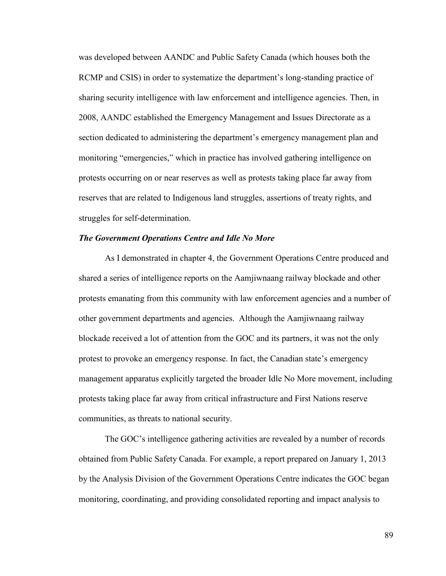was developed between AANDC and Public Safety Canada (which houses both the RCMP and CSIS) in order to systematize the department's long-standing practice of sharing security intelligence with law enforcement and intelligence agencies. Then, in 2008, AANDC established the Emergency Management and Issues Directorate as a section dedicated to administering the department's emergency management plan and monitoring "emergencies," which in practice has involved gathering intelligence on protests occurring on or near reserves as well as protests taking place far away from reserves that are related to Indigenous land struggles, assertions of treaty rights, and struggles for self-determination.

## *The Government Operations Centre and Idle No More*

As I demonstrated in chapter 4, the Government Operations Centre produced and shared a series of intelligence reports on the Aamjiwnaang railway blockade and other protests emanating from this community with law enforcement agencies and a number of other government departments and agencies. Although the Aamjiwnaang railway blockade received a lot of attention from the GOC and its partners, it was not the only protest to provoke an emergency response. In fact, the Canadian state's emergency management apparatus explicitly targeted the broader Idle No More movement, including protests taking place far away from critical infrastructure and First Nations reserve communities, as threats to national security.

The GOC's intelligence gathering activities are revealed by a number of records obtained from Public Safety Canada. For example, a report prepared on January 1, 2013 by the Analysis Division of the Government Operations Centre indicates the GOC began monitoring, coordinating, and providing consolidated reporting and impact analysis to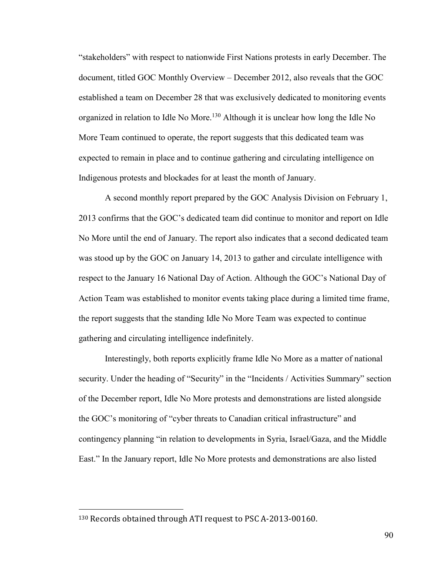"stakeholders" with respect to nationwide First Nations protests in early December. The document, titled GOC Monthly Overview – December 2012, also reveals that the GOC established a team on December 28 that was exclusively dedicated to monitoring events organized in relation to Idle No More.<sup>130</sup> Although it is unclear how long the Idle No More Team continued to operate, the report suggests that this dedicated team was expected to remain in place and to continue gathering and circulating intelligence on Indigenous protests and blockades for at least the month of January.

A second monthly report prepared by the GOC Analysis Division on February 1, 2013 confirms that the GOC's dedicated team did continue to monitor and report on Idle No More until the end of January. The report also indicates that a second dedicated team was stood up by the GOC on January 14, 2013 to gather and circulate intelligence with respect to the January 16 National Day of Action. Although the GOC's National Day of Action Team was established to monitor events taking place during a limited time frame, the report suggests that the standing Idle No More Team was expected to continue gathering and circulating intelligence indefinitely.

Interestingly, both reports explicitly frame Idle No More as a matter of national security. Under the heading of "Security" in the "Incidents / Activities Summary" section of the December report, Idle No More protests and demonstrations are listed alongside the GOC's monitoring of "cyber threats to Canadian critical infrastructure" and contingency planning "in relation to developments in Syria, Israel/Gaza, and the Middle East." In the January report, Idle No More protests and demonstrations are also listed

<sup>130</sup> Records obtained through ATI request to PSC A-2013-00160.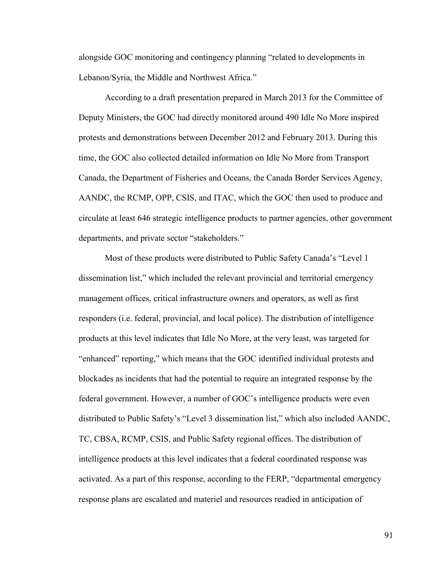alongside GOC monitoring and contingency planning "related to developments in Lebanon/Syria, the Middle and Northwest Africa."

According to a draft presentation prepared in March 2013 for the Committee of Deputy Ministers, the GOC had directly monitored around 490 Idle No More inspired protests and demonstrations between December 2012 and February 2013. During this time, the GOC also collected detailed information on Idle No More from Transport Canada, the Department of Fisheries and Oceans, the Canada Border Services Agency, AANDC, the RCMP, OPP, CSIS, and ITAC, which the GOC then used to produce and circulate at least 646 strategic intelligence products to partner agencies, other government departments, and private sector "stakeholders."

Most of these products were distributed to Public Safety Canada's "Level 1 dissemination list," which included the relevant provincial and territorial emergency management offices, critical infrastructure owners and operators, as well as first responders (i.e. federal, provincial, and local police). The distribution of intelligence products at this level indicates that Idle No More, at the very least, was targeted for "enhanced" reporting," which means that the GOC identified individual protests and blockades as incidents that had the potential to require an integrated response by the federal government. However, a number of GOC's intelligence products were even distributed to Public Safety's "Level 3 dissemination list," which also included AANDC, TC, CBSA, RCMP, CSIS, and Public Safety regional offices. The distribution of intelligence products at this level indicates that a federal coordinated response was activated. As a part of this response, according to the FERP, "departmental emergency response plans are escalated and materiel and resources readied in anticipation of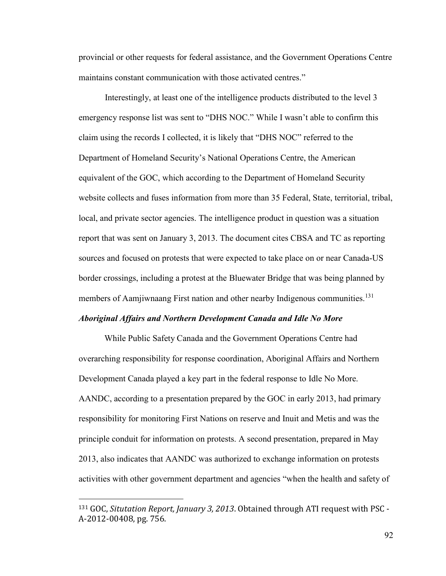provincial or other requests for federal assistance, and the Government Operations Centre maintains constant communication with those activated centres."

Interestingly, at least one of the intelligence products distributed to the level 3 emergency response list was sent to "DHS NOC." While I wasn't able to confirm this claim using the records I collected, it is likely that "DHS NOC" referred to the Department of Homeland Security's National Operations Centre, the American equivalent of the GOC, which according to the Department of Homeland Security website collects and fuses information from more than 35 Federal, State, territorial, tribal, local, and private sector agencies. The intelligence product in question was a situation report that was sent on January 3, 2013. The document cites CBSA and TC as reporting sources and focused on protests that were expected to take place on or near Canada-US border crossings, including a protest at the Bluewater Bridge that was being planned by members of Aamjiwnaang First nation and other nearby Indigenous communities.<sup>131</sup>

#### *Aboriginal Affairs and Northern Development Canada and Idle No More*

While Public Safety Canada and the Government Operations Centre had overarching responsibility for response coordination, Aboriginal Affairs and Northern Development Canada played a key part in the federal response to Idle No More. AANDC, according to a presentation prepared by the GOC in early 2013, had primary responsibility for monitoring First Nations on reserve and Inuit and Metis and was the principle conduit for information on protests. A second presentation, prepared in May 2013, also indicates that AANDC was authorized to exchange information on protests activities with other government department and agencies "when the health and safety of

<sup>131</sup> GOC, *Situtation Report, January 3, 2013*. Obtained through ATI request with PSC - A-2012-00408, pg. 756.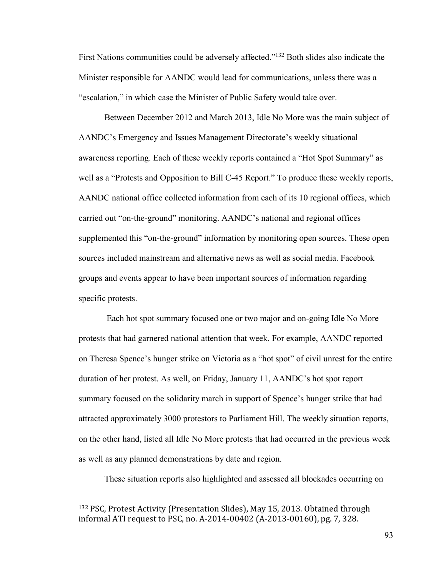First Nations communities could be adversely affected."<sup>132</sup> Both slides also indicate the Minister responsible for AANDC would lead for communications, unless there was a "escalation," in which case the Minister of Public Safety would take over.

Between December 2012 and March 2013, Idle No More was the main subject of AANDC's Emergency and Issues Management Directorate's weekly situational awareness reporting. Each of these weekly reports contained a "Hot Spot Summary" as well as a "Protests and Opposition to Bill C-45 Report." To produce these weekly reports, AANDC national office collected information from each of its 10 regional offices, which carried out "on-the-ground" monitoring. AANDC's national and regional offices supplemented this "on-the-ground" information by monitoring open sources. These open sources included mainstream and alternative news as well as social media. Facebook groups and events appear to have been important sources of information regarding specific protests.

 Each hot spot summary focused one or two major and on-going Idle No More protests that had garnered national attention that week. For example, AANDC reported on Theresa Spence's hunger strike on Victoria as a "hot spot" of civil unrest for the entire duration of her protest. As well, on Friday, January 11, AANDC's hot spot report summary focused on the solidarity march in support of Spence's hunger strike that had attracted approximately 3000 protestors to Parliament Hill. The weekly situation reports, on the other hand, listed all Idle No More protests that had occurred in the previous week as well as any planned demonstrations by date and region.

These situation reports also highlighted and assessed all blockades occurring on

<sup>132</sup> PSC, Protest Activity (Presentation Slides), May 15, 2013. Obtained through informal ATI request to PSC, no. A-2014-00402 (A-2013-00160), pg. 7, 328.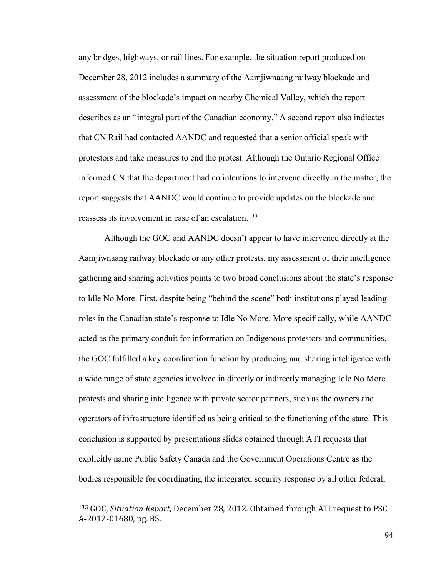any bridges, highways, or rail lines. For example, the situation report produced on December 28, 2012 includes a summary of the Aamjiwnaang railway blockade and assessment of the blockade's impact on nearby Chemical Valley, which the report describes as an "integral part of the Canadian economy." A second report also indicates that CN Rail had contacted AANDC and requested that a senior official speak with protestors and take measures to end the protest. Although the Ontario Regional Office informed CN that the department had no intentions to intervene directly in the matter, the report suggests that AANDC would continue to provide updates on the blockade and reassess its involvement in case of an escalation.<sup>133</sup>

Although the GOC and AANDC doesn't appear to have intervened directly at the Aamjiwnaang railway blockade or any other protests, my assessment of their intelligence gathering and sharing activities points to two broad conclusions about the state's response to Idle No More. First, despite being "behind the scene" both institutions played leading roles in the Canadian state's response to Idle No More. More specifically, while AANDC acted as the primary conduit for information on Indigenous protestors and communities, the GOC fulfilled a key coordination function by producing and sharing intelligence with a wide range of state agencies involved in directly or indirectly managing Idle No More protests and sharing intelligence with private sector partners, such as the owners and operators of infrastructure identified as being critical to the functioning of the state. This conclusion is supported by presentations slides obtained through ATI requests that explicitly name Public Safety Canada and the Government Operations Centre as the bodies responsible for coordinating the integrated security response by all other federal,

<sup>133</sup> GOC, *Situation Report,* December 28, 2012. Obtained through ATI request to PSC A-2012-01680, pg. 85.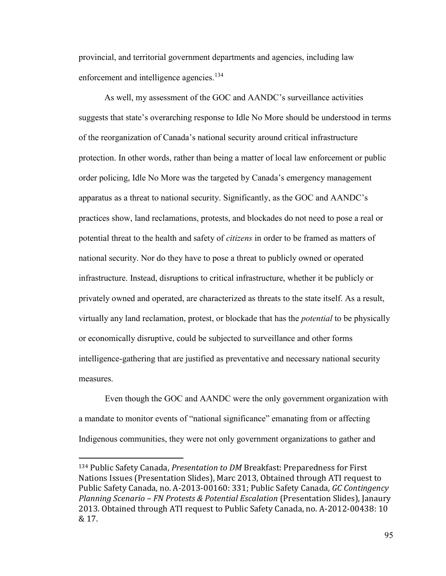provincial, and territorial government departments and agencies, including law enforcement and intelligence agencies.<sup>134</sup>

As well, my assessment of the GOC and AANDC's surveillance activities suggests that state's overarching response to Idle No More should be understood in terms of the reorganization of Canada's national security around critical infrastructure protection. In other words, rather than being a matter of local law enforcement or public order policing, Idle No More was the targeted by Canada's emergency management apparatus as a threat to national security. Significantly, as the GOC and AANDC's practices show, land reclamations, protests, and blockades do not need to pose a real or potential threat to the health and safety of *citizens* in order to be framed as matters of national security. Nor do they have to pose a threat to publicly owned or operated infrastructure. Instead, disruptions to critical infrastructure, whether it be publicly or privately owned and operated, are characterized as threats to the state itself. As a result, virtually any land reclamation, protest, or blockade that has the *potential* to be physically or economically disruptive, could be subjected to surveillance and other forms intelligence-gathering that are justified as preventative and necessary national security measures.

Even though the GOC and AANDC were the only government organization with a mandate to monitor events of "national significance" emanating from or affecting Indigenous communities, they were not only government organizations to gather and

<sup>134</sup> Public Safety Canada, *Presentation to DM* Breakfast: Preparedness for First Nations Issues (Presentation Slides), Marc 2013, Obtained through ATI request to Public Safety Canada, no. A-2013-00160: 331; Public Safety Canada, *GC Contingency Planning Scenario – FN Protests & Potential Escalation* (Presentation Slides), Janaury 2013. Obtained through ATI request to Public Safety Canada, no. A-2012-00438: 10 & 17.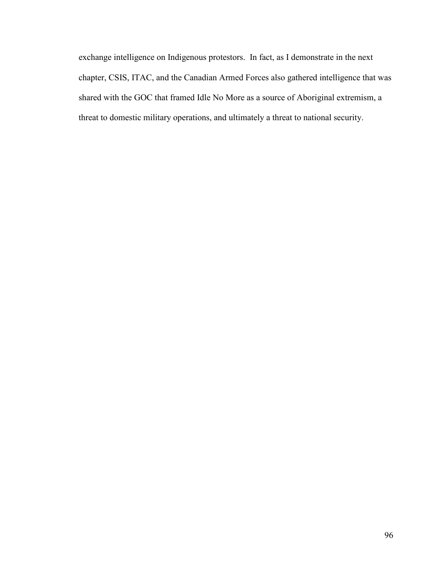exchange intelligence on Indigenous protestors. In fact, as I demonstrate in the next chapter, CSIS, ITAC, and the Canadian Armed Forces also gathered intelligence that was shared with the GOC that framed Idle No More as a source of Aboriginal extremism, a threat to domestic military operations, and ultimately a threat to national security.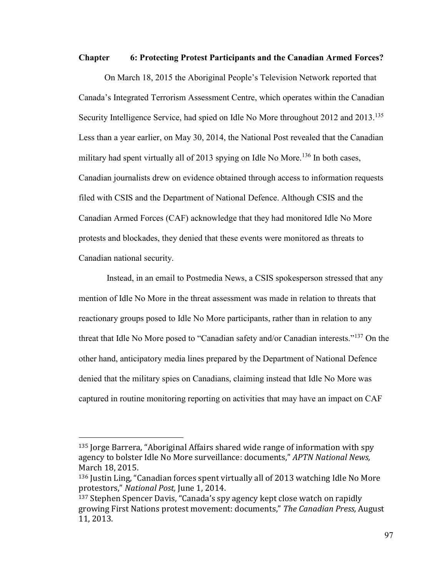#### **Chapter 6: Protecting Protest Participants and the Canadian Armed Forces?**

On March 18, 2015 the Aboriginal People's Television Network reported that Canada's Integrated Terrorism Assessment Centre, which operates within the Canadian Security Intelligence Service, had spied on Idle No More throughout 2012 and 2013.<sup>135</sup> Less than a year earlier, on May 30, 2014, the National Post revealed that the Canadian military had spent virtually all of 2013 spying on Idle No More.<sup>136</sup> In both cases, Canadian journalists drew on evidence obtained through access to information requests filed with CSIS and the Department of National Defence. Although CSIS and the Canadian Armed Forces (CAF) acknowledge that they had monitored Idle No More protests and blockades, they denied that these events were monitored as threats to Canadian national security.

 Instead, in an email to Postmedia News, a CSIS spokesperson stressed that any mention of Idle No More in the threat assessment was made in relation to threats that reactionary groups posed to Idle No More participants, rather than in relation to any threat that Idle No More posed to "Canadian safety and/or Canadian interests."<sup>137</sup> On the other hand, anticipatory media lines prepared by the Department of National Defence denied that the military spies on Canadians, claiming instead that Idle No More was captured in routine monitoring reporting on activities that may have an impact on CAF

 $135$  Jorge Barrera, "Aboriginal Affairs shared wide range of information with spy agency to bolster Idle No More surveillance: documents," *APTN National News*, March 18, 2015.

 $136$  Justin Ling, "Canadian forces spent virtually all of 2013 watching Idle No More protestors," National Post, June 1, 2014.

<sup>&</sup>lt;sup>137</sup> Stephen Spencer Davis, "Canada's spy agency kept close watch on rapidly growing First Nations protest movement: documents," The Canadian Press, August 11, 2013.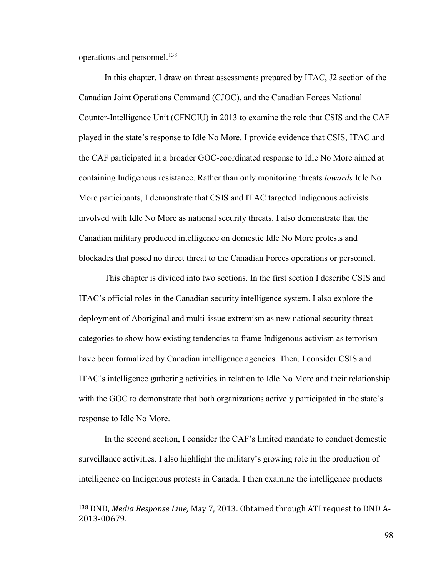operations and personnel.<sup>138</sup>

 $\overline{a}$ 

In this chapter, I draw on threat assessments prepared by ITAC, J2 section of the Canadian Joint Operations Command (CJOC), and the Canadian Forces National Counter-Intelligence Unit (CFNCIU) in 2013 to examine the role that CSIS and the CAF played in the state's response to Idle No More. I provide evidence that CSIS, ITAC and the CAF participated in a broader GOC-coordinated response to Idle No More aimed at containing Indigenous resistance. Rather than only monitoring threats *towards* Idle No More participants, I demonstrate that CSIS and ITAC targeted Indigenous activists involved with Idle No More as national security threats. I also demonstrate that the Canadian military produced intelligence on domestic Idle No More protests and blockades that posed no direct threat to the Canadian Forces operations or personnel.

This chapter is divided into two sections. In the first section I describe CSIS and ITAC's official roles in the Canadian security intelligence system. I also explore the deployment of Aboriginal and multi-issue extremism as new national security threat categories to show how existing tendencies to frame Indigenous activism as terrorism have been formalized by Canadian intelligence agencies. Then, I consider CSIS and ITAC's intelligence gathering activities in relation to Idle No More and their relationship with the GOC to demonstrate that both organizations actively participated in the state's response to Idle No More.

In the second section, I consider the CAF's limited mandate to conduct domestic surveillance activities. I also highlight the military's growing role in the production of intelligence on Indigenous protests in Canada. I then examine the intelligence products

<sup>138</sup> DND, *Media Response Line,* May 7, 2013. Obtained through ATI request to DND A-2013-00679.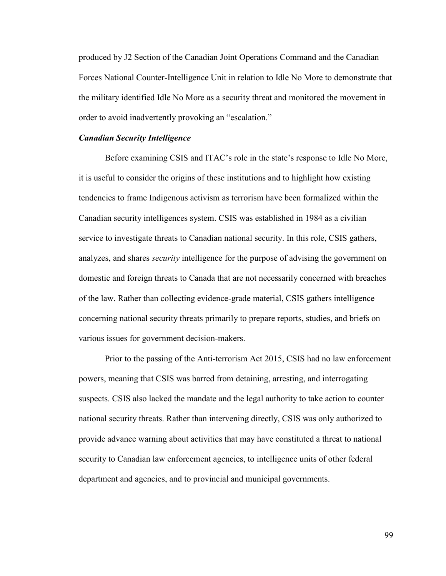produced by J2 Section of the Canadian Joint Operations Command and the Canadian Forces National Counter-Intelligence Unit in relation to Idle No More to demonstrate that the military identified Idle No More as a security threat and monitored the movement in order to avoid inadvertently provoking an "escalation."

## *Canadian Security Intelligence*

Before examining CSIS and ITAC's role in the state's response to Idle No More, it is useful to consider the origins of these institutions and to highlight how existing tendencies to frame Indigenous activism as terrorism have been formalized within the Canadian security intelligences system. CSIS was established in 1984 as a civilian service to investigate threats to Canadian national security. In this role, CSIS gathers, analyzes, and shares *security* intelligence for the purpose of advising the government on domestic and foreign threats to Canada that are not necessarily concerned with breaches of the law. Rather than collecting evidence-grade material, CSIS gathers intelligence concerning national security threats primarily to prepare reports, studies, and briefs on various issues for government decision-makers.

Prior to the passing of the Anti-terrorism Act 2015, CSIS had no law enforcement powers, meaning that CSIS was barred from detaining, arresting, and interrogating suspects. CSIS also lacked the mandate and the legal authority to take action to counter national security threats. Rather than intervening directly, CSIS was only authorized to provide advance warning about activities that may have constituted a threat to national security to Canadian law enforcement agencies, to intelligence units of other federal department and agencies, and to provincial and municipal governments.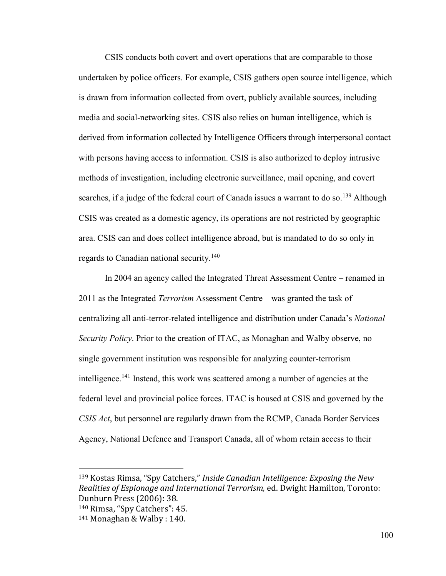CSIS conducts both covert and overt operations that are comparable to those undertaken by police officers. For example, CSIS gathers open source intelligence, which is drawn from information collected from overt, publicly available sources, including media and social-networking sites. CSIS also relies on human intelligence, which is derived from information collected by Intelligence Officers through interpersonal contact with persons having access to information. CSIS is also authorized to deploy intrusive methods of investigation, including electronic surveillance, mail opening, and covert searches, if a judge of the federal court of Canada issues a warrant to do so.<sup>139</sup> Although CSIS was created as a domestic agency, its operations are not restricted by geographic area. CSIS can and does collect intelligence abroad, but is mandated to do so only in regards to Canadian national security.<sup>140</sup>

In 2004 an agency called the Integrated Threat Assessment Centre – renamed in 2011 as the Integrated *Terrorism* Assessment Centre – was granted the task of centralizing all anti-terror-related intelligence and distribution under Canada's *National Security Policy*. Prior to the creation of ITAC, as Monaghan and Walby observe, no single government institution was responsible for analyzing counter-terrorism intelligence.<sup>141</sup> Instead, this work was scattered among a number of agencies at the federal level and provincial police forces. ITAC is housed at CSIS and governed by the *CSIS Act*, but personnel are regularly drawn from the RCMP, Canada Border Services Agency, National Defence and Transport Canada, all of whom retain access to their

<sup>&</sup>lt;sup>139</sup> Kostas Rimsa, "Spy Catchers," Inside Canadian Intelligence: Exposing the New *Realities of Espionage and International Terrorism,* ed. Dwight Hamilton, Toronto: Dunburn Press (2006): 38.

<sup>140</sup> Rimsa. "Spy Catchers": 45.

<sup>141</sup> Monaghan & Walby : 140.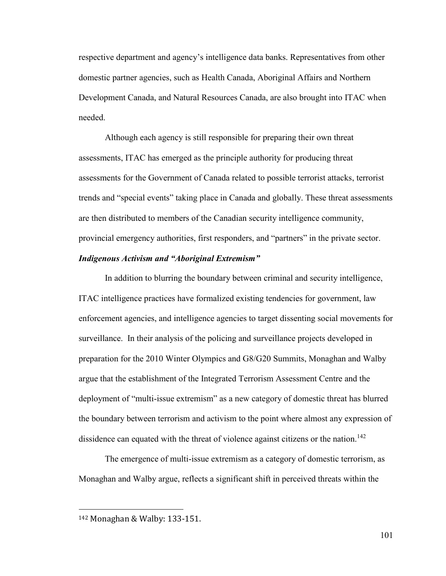respective department and agency's intelligence data banks. Representatives from other domestic partner agencies, such as Health Canada, Aboriginal Affairs and Northern Development Canada, and Natural Resources Canada, are also brought into ITAC when needed.

Although each agency is still responsible for preparing their own threat assessments, ITAC has emerged as the principle authority for producing threat assessments for the Government of Canada related to possible terrorist attacks, terrorist trends and "special events" taking place in Canada and globally. These threat assessments are then distributed to members of the Canadian security intelligence community, provincial emergency authorities, first responders, and "partners" in the private sector.

# *Indigenous Activism and "Aboriginal Extremism"*

In addition to blurring the boundary between criminal and security intelligence, ITAC intelligence practices have formalized existing tendencies for government, law enforcement agencies, and intelligence agencies to target dissenting social movements for surveillance. In their analysis of the policing and surveillance projects developed in preparation for the 2010 Winter Olympics and G8/G20 Summits, Monaghan and Walby argue that the establishment of the Integrated Terrorism Assessment Centre and the deployment of "multi-issue extremism" as a new category of domestic threat has blurred the boundary between terrorism and activism to the point where almost any expression of dissidence can equated with the threat of violence against citizens or the nation.<sup>142</sup>

The emergence of multi-issue extremism as a category of domestic terrorism, as Monaghan and Walby argue, reflects a significant shift in perceived threats within the

<sup>142</sup> Monaghan & Walby: 133-151.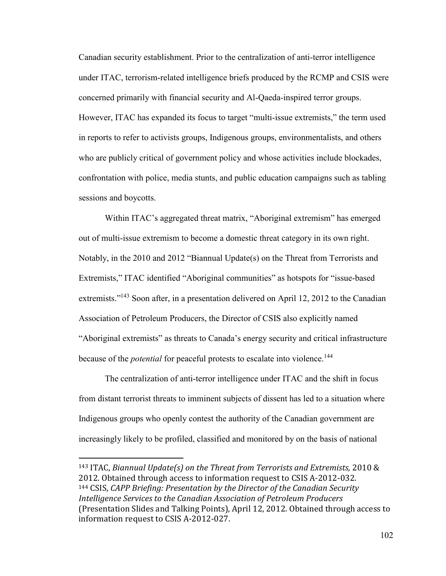Canadian security establishment. Prior to the centralization of anti-terror intelligence under ITAC, terrorism-related intelligence briefs produced by the RCMP and CSIS were concerned primarily with financial security and Al-Qaeda-inspired terror groups. However, ITAC has expanded its focus to target "multi-issue extremists," the term used in reports to refer to activists groups, Indigenous groups, environmentalists, and others who are publicly critical of government policy and whose activities include blockades, confrontation with police, media stunts, and public education campaigns such as tabling sessions and boycotts.

Within ITAC's aggregated threat matrix, "Aboriginal extremism" has emerged out of multi-issue extremism to become a domestic threat category in its own right. Notably, in the 2010 and 2012 "Biannual Update(s) on the Threat from Terrorists and Extremists," ITAC identified "Aboriginal communities" as hotspots for "issue-based extremists."<sup>143</sup> Soon after, in a presentation delivered on April 12, 2012 to the Canadian Association of Petroleum Producers, the Director of CSIS also explicitly named "Aboriginal extremists" as threats to Canada's energy security and critical infrastructure because of the *potential* for peaceful protests to escalate into violence.<sup>144</sup>

The centralization of anti-terror intelligence under ITAC and the shift in focus from distant terrorist threats to imminent subjects of dissent has led to a situation where Indigenous groups who openly contest the authority of the Canadian government are increasingly likely to be profiled, classified and monitored by on the basis of national

<sup>143</sup> ITAC, *Biannual Update(s) on the Threat from Terrorists and Extremists,* 2010 & 2012. Obtained through access to information request to CSIS A-2012-032. <sup>144</sup> CSIS, *CAPP Briefing: Presentation by the Director of the Canadian Security Intelligence Services to the Canadian Association of Petroleum Producers*  (Presentation Slides and Talking Points), April 12, 2012. Obtained through access to information request to CSIS A-2012-027.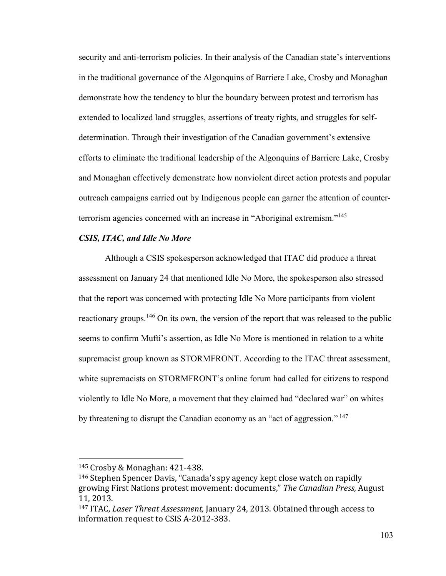security and anti-terrorism policies. In their analysis of the Canadian state's interventions in the traditional governance of the Algonquins of Barriere Lake, Crosby and Monaghan demonstrate how the tendency to blur the boundary between protest and terrorism has extended to localized land struggles, assertions of treaty rights, and struggles for selfdetermination. Through their investigation of the Canadian government's extensive efforts to eliminate the traditional leadership of the Algonquins of Barriere Lake, Crosby and Monaghan effectively demonstrate how nonviolent direct action protests and popular outreach campaigns carried out by Indigenous people can garner the attention of counterterrorism agencies concerned with an increase in "Aboriginal extremism."<sup>145</sup>

# *CSIS, ITAC, and Idle No More*

Although a CSIS spokesperson acknowledged that ITAC did produce a threat assessment on January 24 that mentioned Idle No More, the spokesperson also stressed that the report was concerned with protecting Idle No More participants from violent reactionary groups.<sup>146</sup> On its own, the version of the report that was released to the public seems to confirm Mufti's assertion, as Idle No More is mentioned in relation to a white supremacist group known as STORMFRONT. According to the ITAC threat assessment, white supremacists on STORMFRONT's online forum had called for citizens to respond violently to Idle No More, a movement that they claimed had "declared war" on whites by threatening to disrupt the Canadian economy as an "act of aggression."<sup>147</sup>

<sup>145</sup> Crosby & Monaghan: 421-438.

<sup>&</sup>lt;sup>146</sup> Stephen Spencer Davis, "Canada's spy agency kept close watch on rapidly growing First Nations protest movement: documents," The Canadian Press, August 11, 2013.

<sup>147</sup> ITAC, *Laser Threat Assessment,* January 24, 2013. Obtained through access to information request to CSIS A-2012-383.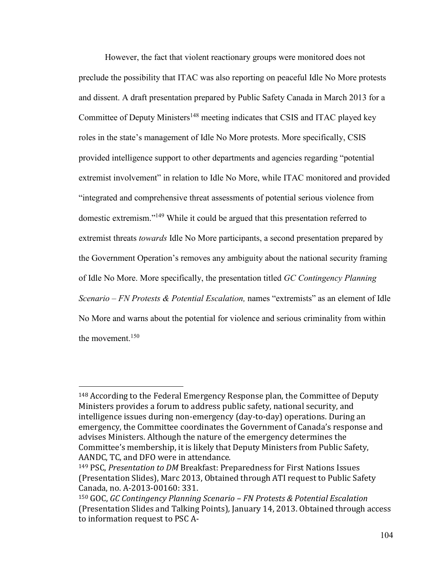However, the fact that violent reactionary groups were monitored does not preclude the possibility that ITAC was also reporting on peaceful Idle No More protests and dissent. A draft presentation prepared by Public Safety Canada in March 2013 for a Committee of Deputy Ministers<sup>148</sup> meeting indicates that CSIS and ITAC played key roles in the state's management of Idle No More protests. More specifically, CSIS provided intelligence support to other departments and agencies regarding "potential extremist involvement" in relation to Idle No More, while ITAC monitored and provided "integrated and comprehensive threat assessments of potential serious violence from domestic extremism."<sup>149</sup> While it could be argued that this presentation referred to extremist threats *towards* Idle No More participants, a second presentation prepared by the Government Operation's removes any ambiguity about the national security framing of Idle No More. More specifically, the presentation titled *GC Contingency Planning Scenario – FN Protests & Potential Escalation,* names "extremists" as an element of Idle No More and warns about the potential for violence and serious criminality from within the movement.<sup>150</sup>

<sup>148</sup> According to the Federal Emergency Response plan, the Committee of Deputy Ministers provides a forum to address public safety, national security, and intelligence issues during non-emergency (day-to-day) operations. During an emergency, the Committee coordinates the Government of Canada's response and advises Ministers. Although the nature of the emergency determines the Committee's membership, it is likely that Deputy Ministers from Public Safety, AANDC, TC, and DFO were in attendance.

<sup>149</sup> PSC, *Presentation to DM* Breakfast: Preparedness for First Nations Issues (Presentation Slides), Marc 2013, Obtained through ATI request to Public Safety Canada, no. A-2013-00160: 331.

<sup>150</sup> GOC, *GC Contingency Planning Scenario – FN Protests & Potential Escalation*  (Presentation Slides and Talking Points)*,* January 14, 2013. Obtained through access to information request to PSC A-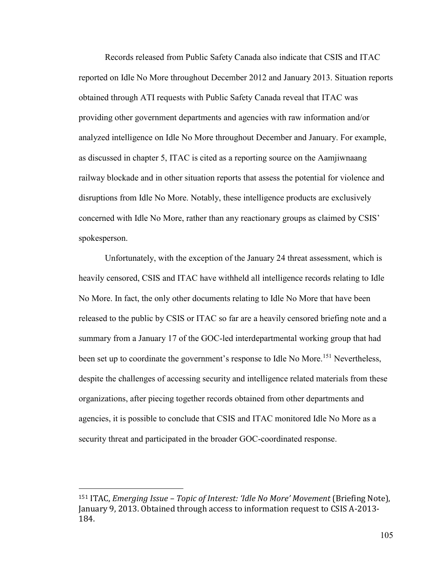Records released from Public Safety Canada also indicate that CSIS and ITAC reported on Idle No More throughout December 2012 and January 2013. Situation reports obtained through ATI requests with Public Safety Canada reveal that ITAC was providing other government departments and agencies with raw information and/or analyzed intelligence on Idle No More throughout December and January. For example, as discussed in chapter 5, ITAC is cited as a reporting source on the Aamjiwnaang railway blockade and in other situation reports that assess the potential for violence and disruptions from Idle No More. Notably, these intelligence products are exclusively concerned with Idle No More, rather than any reactionary groups as claimed by CSIS' spokesperson.

Unfortunately, with the exception of the January 24 threat assessment, which is heavily censored, CSIS and ITAC have withheld all intelligence records relating to Idle No More. In fact, the only other documents relating to Idle No More that have been released to the public by CSIS or ITAC so far are a heavily censored briefing note and a summary from a January 17 of the GOC-led interdepartmental working group that had been set up to coordinate the government's response to Idle No More.<sup>151</sup> Nevertheless, despite the challenges of accessing security and intelligence related materials from these organizations, after piecing together records obtained from other departments and agencies, it is possible to conclude that CSIS and ITAC monitored Idle No More as a security threat and participated in the broader GOC-coordinated response.

<sup>151</sup> ITAC, *Emerging Issue – Topic of Interest: ǮIdle No Moreǯ Movement* (Briefing Note), January 9, 2013. Obtained through access to information request to CSIS A-2013- 184.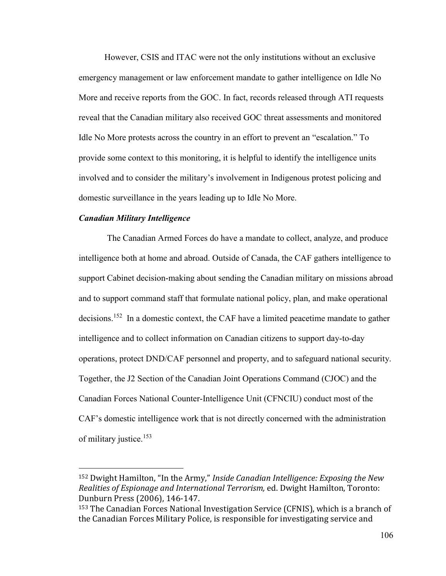However, CSIS and ITAC were not the only institutions without an exclusive emergency management or law enforcement mandate to gather intelligence on Idle No More and receive reports from the GOC. In fact, records released through ATI requests reveal that the Canadian military also received GOC threat assessments and monitored Idle No More protests across the country in an effort to prevent an "escalation." To provide some context to this monitoring, it is helpful to identify the intelligence units involved and to consider the military's involvement in Indigenous protest policing and domestic surveillance in the years leading up to Idle No More.

## *Canadian Military Intelligence*

 $\overline{a}$ 

 The Canadian Armed Forces do have a mandate to collect, analyze, and produce intelligence both at home and abroad. Outside of Canada, the CAF gathers intelligence to support Cabinet decision-making about sending the Canadian military on missions abroad and to support command staff that formulate national policy, plan, and make operational decisions.<sup>152</sup> In a domestic context, the CAF have a limited peacetime mandate to gather intelligence and to collect information on Canadian citizens to support day-to-day operations, protect DND/CAF personnel and property, and to safeguard national security. Together, the J2 Section of the Canadian Joint Operations Command (CJOC) and the Canadian Forces National Counter-Intelligence Unit (CFNCIU) conduct most of the CAF's domestic intelligence work that is not directly concerned with the administration of military justice.<sup>153</sup>

<sup>&</sup>lt;sup>152</sup> Dwight Hamilton, "In the Army," *Inside Canadian Intelligence: Exposing the New Realities of Espionage and International Terrorism,* ed. Dwight Hamilton, Toronto: Dunburn Press (2006), 146-147.

<sup>153</sup> The Canadian Forces National Investigation Service (CFNIS), which is a branch of the Canadian Forces Military Police, is responsible for investigating service and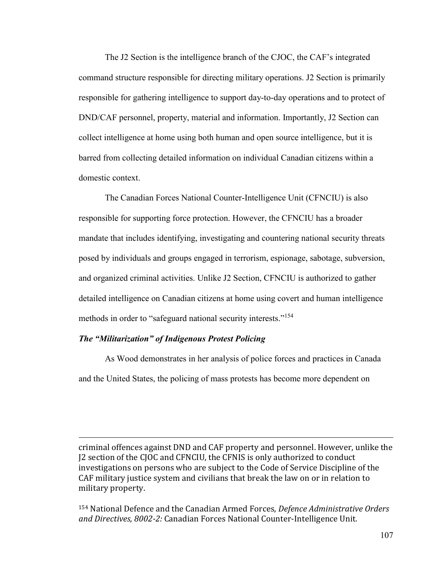The J2 Section is the intelligence branch of the CJOC, the CAF's integrated command structure responsible for directing military operations. J2 Section is primarily responsible for gathering intelligence to support day-to-day operations and to protect of DND/CAF personnel, property, material and information. Importantly, J2 Section can collect intelligence at home using both human and open source intelligence, but it is barred from collecting detailed information on individual Canadian citizens within a domestic context.

The Canadian Forces National Counter-Intelligence Unit (CFNCIU) is also responsible for supporting force protection. However, the CFNCIU has a broader mandate that includes identifying, investigating and countering national security threats posed by individuals and groups engaged in terrorism, espionage, sabotage, subversion, and organized criminal activities. Unlike J2 Section, CFNCIU is authorized to gather detailed intelligence on Canadian citizens at home using covert and human intelligence methods in order to "safeguard national security interests." 154

## *The "Militarization" of Indigenous Protest Policing*

 $\overline{a}$ 

As Wood demonstrates in her analysis of police forces and practices in Canada and the United States, the policing of mass protests has become more dependent on

criminal offences against DND and CAF property and personnel. However, unlike the J2 section of the CJOC and CFNCIU, the CFNIS is only authorized to conduct investigations on persons who are subject to the Code of Service Discipline of the CAF military justice system and civilians that break the law on or in relation to military property.

<sup>154</sup> National Defence and the Canadian Armed Forces, *Defence Administrative Orders and Directives, 8002-2:* Canadian Forces National Counter-Intelligence Unit*.*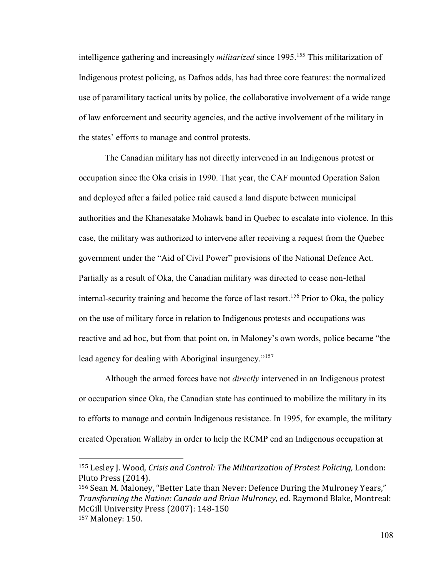intelligence gathering and increasingly *militarized* since 1995.<sup>155</sup> This militarization of Indigenous protest policing, as Dafnos adds, has had three core features: the normalized use of paramilitary tactical units by police, the collaborative involvement of a wide range of law enforcement and security agencies, and the active involvement of the military in the states' efforts to manage and control protests.

The Canadian military has not directly intervened in an Indigenous protest or occupation since the Oka crisis in 1990. That year, the CAF mounted Operation Salon and deployed after a failed police raid caused a land dispute between municipal authorities and the Khanesatake Mohawk band in Quebec to escalate into violence. In this case, the military was authorized to intervene after receiving a request from the Quebec government under the "Aid of Civil Power" provisions of the National Defence Act. Partially as a result of Oka, the Canadian military was directed to cease non-lethal internal-security training and become the force of last resort.<sup>156</sup> Prior to Oka, the policy on the use of military force in relation to Indigenous protests and occupations was reactive and ad hoc, but from that point on, in Maloney's own words, police became "the lead agency for dealing with Aboriginal insurgency."<sup>157</sup>

Although the armed forces have not *directly* intervened in an Indigenous protest or occupation since Oka, the Canadian state has continued to mobilize the military in its to efforts to manage and contain Indigenous resistance. In 1995, for example, the military created Operation Wallaby in order to help the RCMP end an Indigenous occupation at

<sup>155</sup> Lesley J. Wood, *Crisis and Control: The Militarization of Protest Policing,* London: Pluto Press (2014).

<sup>&</sup>lt;sup>156</sup> Sean M. Maloney, "Better Late than Never: Defence During the Mulroney Years," *Transforming the Nation: Canada and Brian Mulroney,* ed. Raymond Blake, Montreal: McGill University Press (2007): 148-150 157 Maloney: 150.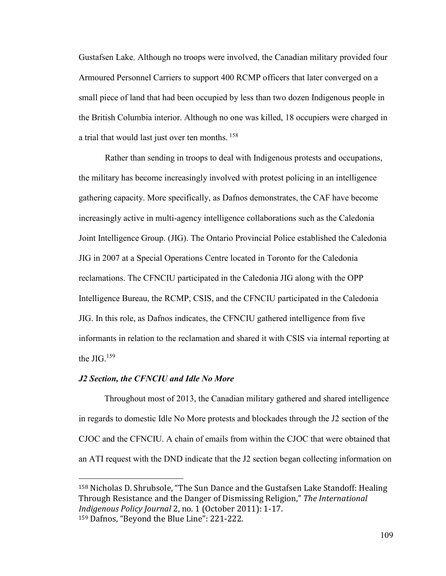Gustafsen Lake. Although no troops were involved, the Canadian military provided four Armoured Personnel Carriers to support 400 RCMP officers that later converged on a small piece of land that had been occupied by less than two dozen Indigenous people in the British Columbia interior. Although no one was killed, 18 occupiers were charged in a trial that would last just over ten months. <sup>158</sup>

Rather than sending in troops to deal with Indigenous protests and occupations, the military has become increasingly involved with protest policing in an intelligence gathering capacity. More specifically, as Dafnos demonstrates, the CAF have become increasingly active in multi-agency intelligence collaborations such as the Caledonia Joint Intelligence Group. (JIG). The Ontario Provincial Police established the Caledonia JIG in 2007 at a Special Operations Centre located in Toronto for the Caledonia reclamations. The CFNCIU participated in the Caledonia JIG along with the OPP Intelligence Bureau, the RCMP, CSIS, and the CFNCIU participated in the Caledonia JIG. In this role, as Dafnos indicates, the CFNCIU gathered intelligence from five informants in relation to the reclamation and shared it with CSIS via internal reporting at the JIG. $159$ 

#### *J2 Section, the CFNCIU and Idle No More*

 $\overline{a}$ 

 Throughout most of 2013, the Canadian military gathered and shared intelligence in regards to domestic Idle No More protests and blockades through the J2 section of the CJOC and the CFNCIU. A chain of emails from within the CJOC that were obtained that an ATI request with the DND indicate that the J2 section began collecting information on

<sup>&</sup>lt;sup>158</sup> Nicholas D. Shrubsole, "The Sun Dance and the Gustafsen Lake Standoff: Healing Through Resistance and the Danger of Dismissing Religion," The International *Indigenous Policy Journal* 2, no. 1 (October 2011): 1-17. <sup>159</sup> Dafnos, "Beyond the Blue Line": 221-222.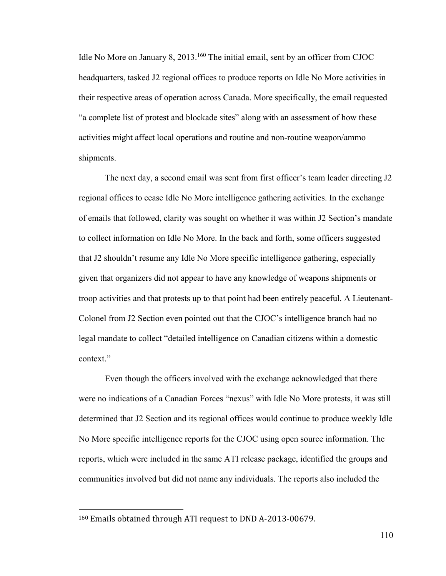Idle No More on January 8, 2013.<sup>160</sup> The initial email, sent by an officer from CJOC headquarters, tasked J2 regional offices to produce reports on Idle No More activities in their respective areas of operation across Canada. More specifically, the email requested "a complete list of protest and blockade sites" along with an assessment of how these activities might affect local operations and routine and non-routine weapon/ammo shipments.

The next day, a second email was sent from first officer's team leader directing J2 regional offices to cease Idle No More intelligence gathering activities. In the exchange of emails that followed, clarity was sought on whether it was within J2 Section's mandate to collect information on Idle No More. In the back and forth, some officers suggested that J2 shouldn't resume any Idle No More specific intelligence gathering, especially given that organizers did not appear to have any knowledge of weapons shipments or troop activities and that protests up to that point had been entirely peaceful. A Lieutenant-Colonel from J2 Section even pointed out that the CJOC's intelligence branch had no legal mandate to collect "detailed intelligence on Canadian citizens within a domestic context."

Even though the officers involved with the exchange acknowledged that there were no indications of a Canadian Forces "nexus" with Idle No More protests, it was still determined that J2 Section and its regional offices would continue to produce weekly Idle No More specific intelligence reports for the CJOC using open source information. The reports, which were included in the same ATI release package, identified the groups and communities involved but did not name any individuals. The reports also included the

<sup>160</sup> Emails obtained through ATI request to DND A-2013-00679.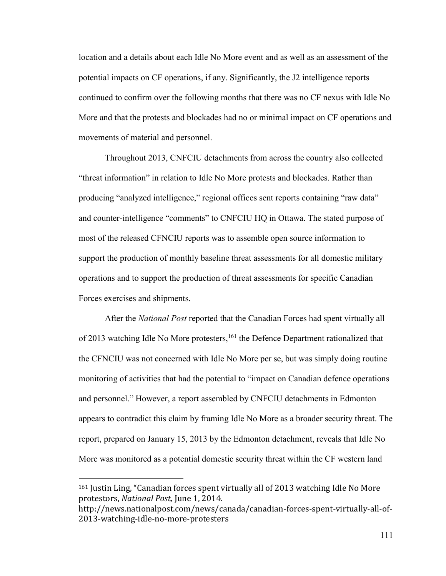location and a details about each Idle No More event and as well as an assessment of the potential impacts on CF operations, if any. Significantly, the J2 intelligence reports continued to confirm over the following months that there was no CF nexus with Idle No More and that the protests and blockades had no or minimal impact on CF operations and movements of material and personnel.

Throughout 2013, CNFCIU detachments from across the country also collected "threat information" in relation to Idle No More protests and blockades. Rather than producing "analyzed intelligence," regional offices sent reports containing "raw data" and counter-intelligence "comments" to CNFCIU HQ in Ottawa. The stated purpose of most of the released CFNCIU reports was to assemble open source information to support the production of monthly baseline threat assessments for all domestic military operations and to support the production of threat assessments for specific Canadian Forces exercises and shipments.

After the *National Post* reported that the Canadian Forces had spent virtually all of 2013 watching Idle No More protesters,<sup>161</sup> the Defence Department rationalized that the CFNCIU was not concerned with Idle No More per se, but was simply doing routine monitoring of activities that had the potential to "impact on Canadian defence operations and personnel." However, a report assembled by CNFCIU detachments in Edmonton appears to contradict this claim by framing Idle No More as a broader security threat. The report, prepared on January 15, 2013 by the Edmonton detachment, reveals that Idle No More was monitored as a potential domestic security threat within the CF western land

 $161$  Justin Ling, "Canadian forces spent virtually all of 2013 watching Idle No More protestors, *National Post,* June 1, 2014.

http://news.nationalpost.com/news/canada/canadian-forces-spent-virtually-all-of-2013-watching-idle-no-more-protesters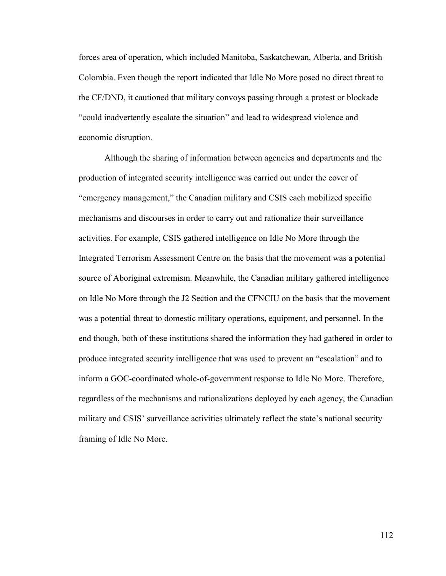forces area of operation, which included Manitoba, Saskatchewan, Alberta, and British Colombia. Even though the report indicated that Idle No More posed no direct threat to the CF/DND, it cautioned that military convoys passing through a protest or blockade "could inadvertently escalate the situation" and lead to widespread violence and economic disruption.

Although the sharing of information between agencies and departments and the production of integrated security intelligence was carried out under the cover of "emergency management," the Canadian military and CSIS each mobilized specific mechanisms and discourses in order to carry out and rationalize their surveillance activities. For example, CSIS gathered intelligence on Idle No More through the Integrated Terrorism Assessment Centre on the basis that the movement was a potential source of Aboriginal extremism. Meanwhile, the Canadian military gathered intelligence on Idle No More through the J2 Section and the CFNCIU on the basis that the movement was a potential threat to domestic military operations, equipment, and personnel. In the end though, both of these institutions shared the information they had gathered in order to produce integrated security intelligence that was used to prevent an "escalation" and to inform a GOC-coordinated whole-of-government response to Idle No More. Therefore, regardless of the mechanisms and rationalizations deployed by each agency, the Canadian military and CSIS' surveillance activities ultimately reflect the state's national security framing of Idle No More.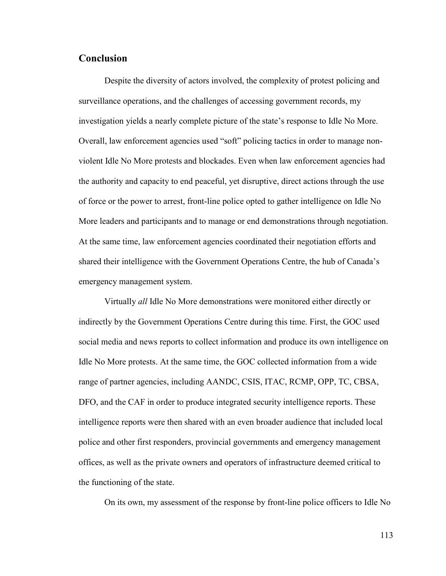# **Conclusion**

Despite the diversity of actors involved, the complexity of protest policing and surveillance operations, and the challenges of accessing government records, my investigation yields a nearly complete picture of the state's response to Idle No More. Overall, law enforcement agencies used "soft" policing tactics in order to manage nonviolent Idle No More protests and blockades. Even when law enforcement agencies had the authority and capacity to end peaceful, yet disruptive, direct actions through the use of force or the power to arrest, front-line police opted to gather intelligence on Idle No More leaders and participants and to manage or end demonstrations through negotiation. At the same time, law enforcement agencies coordinated their negotiation efforts and shared their intelligence with the Government Operations Centre, the hub of Canada's emergency management system.

Virtually *all* Idle No More demonstrations were monitored either directly or indirectly by the Government Operations Centre during this time. First, the GOC used social media and news reports to collect information and produce its own intelligence on Idle No More protests. At the same time, the GOC collected information from a wide range of partner agencies, including AANDC, CSIS, ITAC, RCMP, OPP, TC, CBSA, DFO, and the CAF in order to produce integrated security intelligence reports. These intelligence reports were then shared with an even broader audience that included local police and other first responders, provincial governments and emergency management offices, as well as the private owners and operators of infrastructure deemed critical to the functioning of the state.

On its own, my assessment of the response by front-line police officers to Idle No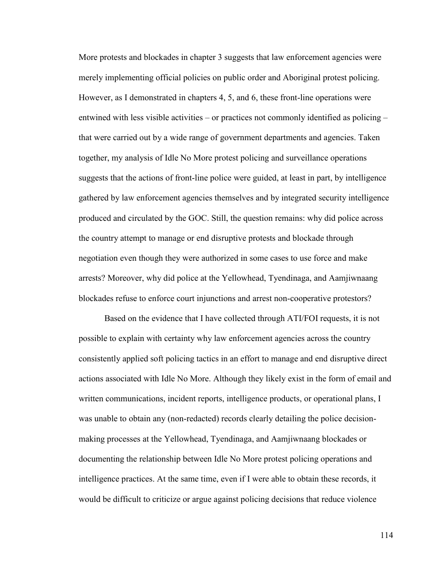More protests and blockades in chapter 3 suggests that law enforcement agencies were merely implementing official policies on public order and Aboriginal protest policing. However, as I demonstrated in chapters 4, 5, and 6, these front-line operations were entwined with less visible activities – or practices not commonly identified as policing – that were carried out by a wide range of government departments and agencies. Taken together, my analysis of Idle No More protest policing and surveillance operations suggests that the actions of front-line police were guided, at least in part, by intelligence gathered by law enforcement agencies themselves and by integrated security intelligence produced and circulated by the GOC. Still, the question remains: why did police across the country attempt to manage or end disruptive protests and blockade through negotiation even though they were authorized in some cases to use force and make arrests? Moreover, why did police at the Yellowhead, Tyendinaga, and Aamjiwnaang blockades refuse to enforce court injunctions and arrest non-cooperative protestors?

 Based on the evidence that I have collected through ATI/FOI requests, it is not possible to explain with certainty why law enforcement agencies across the country consistently applied soft policing tactics in an effort to manage and end disruptive direct actions associated with Idle No More. Although they likely exist in the form of email and written communications, incident reports, intelligence products, or operational plans, I was unable to obtain any (non-redacted) records clearly detailing the police decisionmaking processes at the Yellowhead, Tyendinaga, and Aamjiwnaang blockades or documenting the relationship between Idle No More protest policing operations and intelligence practices. At the same time, even if I were able to obtain these records, it would be difficult to criticize or argue against policing decisions that reduce violence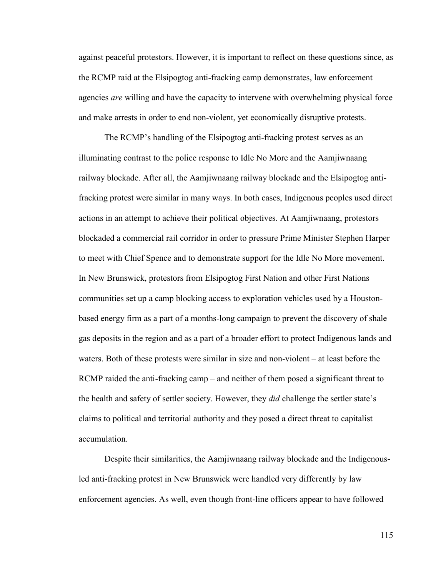against peaceful protestors. However, it is important to reflect on these questions since, as the RCMP raid at the Elsipogtog anti-fracking camp demonstrates, law enforcement agencies *are* willing and have the capacity to intervene with overwhelming physical force and make arrests in order to end non-violent, yet economically disruptive protests.

The RCMP's handling of the Elsipogtog anti-fracking protest serves as an illuminating contrast to the police response to Idle No More and the Aamjiwnaang railway blockade. After all, the Aamjiwnaang railway blockade and the Elsipogtog antifracking protest were similar in many ways. In both cases, Indigenous peoples used direct actions in an attempt to achieve their political objectives. At Aamjiwnaang, protestors blockaded a commercial rail corridor in order to pressure Prime Minister Stephen Harper to meet with Chief Spence and to demonstrate support for the Idle No More movement. In New Brunswick, protestors from Elsipogtog First Nation and other First Nations communities set up a camp blocking access to exploration vehicles used by a Houstonbased energy firm as a part of a months-long campaign to prevent the discovery of shale gas deposits in the region and as a part of a broader effort to protect Indigenous lands and waters. Both of these protests were similar in size and non-violent – at least before the RCMP raided the anti-fracking camp – and neither of them posed a significant threat to the health and safety of settler society. However, they *did* challenge the settler state's claims to political and territorial authority and they posed a direct threat to capitalist accumulation.

Despite their similarities, the Aamjiwnaang railway blockade and the Indigenousled anti-fracking protest in New Brunswick were handled very differently by law enforcement agencies. As well, even though front-line officers appear to have followed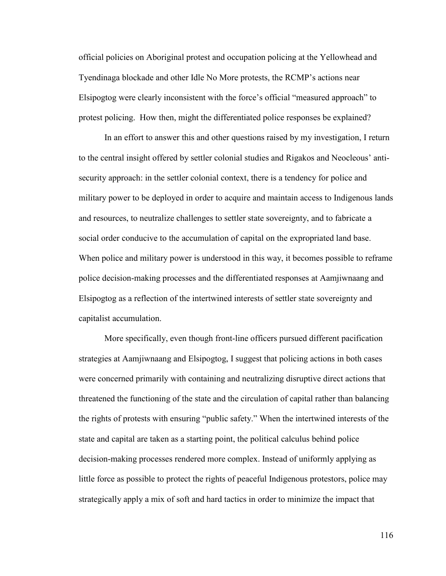official policies on Aboriginal protest and occupation policing at the Yellowhead and Tyendinaga blockade and other Idle No More protests, the RCMP's actions near Elsipogtog were clearly inconsistent with the force's official "measured approach" to protest policing. How then, might the differentiated police responses be explained?

In an effort to answer this and other questions raised by my investigation, I return to the central insight offered by settler colonial studies and Rigakos and Neocleous' antisecurity approach: in the settler colonial context, there is a tendency for police and military power to be deployed in order to acquire and maintain access to Indigenous lands and resources, to neutralize challenges to settler state sovereignty, and to fabricate a social order conducive to the accumulation of capital on the expropriated land base. When police and military power is understood in this way, it becomes possible to reframe police decision-making processes and the differentiated responses at Aamjiwnaang and Elsipogtog as a reflection of the intertwined interests of settler state sovereignty and capitalist accumulation.

More specifically, even though front-line officers pursued different pacification strategies at Aamjiwnaang and Elsipogtog, I suggest that policing actions in both cases were concerned primarily with containing and neutralizing disruptive direct actions that threatened the functioning of the state and the circulation of capital rather than balancing the rights of protests with ensuring "public safety." When the intertwined interests of the state and capital are taken as a starting point, the political calculus behind police decision-making processes rendered more complex. Instead of uniformly applying as little force as possible to protect the rights of peaceful Indigenous protestors, police may strategically apply a mix of soft and hard tactics in order to minimize the impact that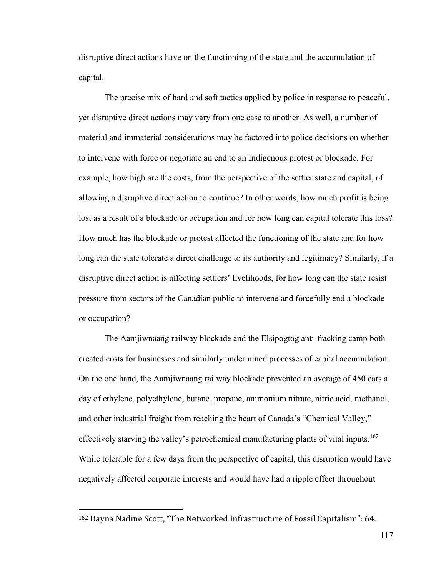disruptive direct actions have on the functioning of the state and the accumulation of capital.

The precise mix of hard and soft tactics applied by police in response to peaceful, yet disruptive direct actions may vary from one case to another. As well, a number of material and immaterial considerations may be factored into police decisions on whether to intervene with force or negotiate an end to an Indigenous protest or blockade. For example, how high are the costs, from the perspective of the settler state and capital, of allowing a disruptive direct action to continue? In other words, how much profit is being lost as a result of a blockade or occupation and for how long can capital tolerate this loss? How much has the blockade or protest affected the functioning of the state and for how long can the state tolerate a direct challenge to its authority and legitimacy? Similarly, if a disruptive direct action is affecting settlers' livelihoods, for how long can the state resist pressure from sectors of the Canadian public to intervene and forcefully end a blockade or occupation?

The Aamjiwnaang railway blockade and the Elsipogtog anti-fracking camp both created costs for businesses and similarly undermined processes of capital accumulation. On the one hand, the Aamjiwnaang railway blockade prevented an average of 450 cars a day of ethylene, polyethylene, butane, propane, ammonium nitrate, nitric acid, methanol, and other industrial freight from reaching the heart of Canada's "Chemical Valley," effectively starving the valley's petrochemical manufacturing plants of vital inputs.<sup>162</sup> While tolerable for a few days from the perspective of capital, this disruption would have negatively affected corporate interests and would have had a ripple effect throughout

 $162$  Dayna Nadine Scott, "The Networked Infrastructure of Fossil Capitalism": 64.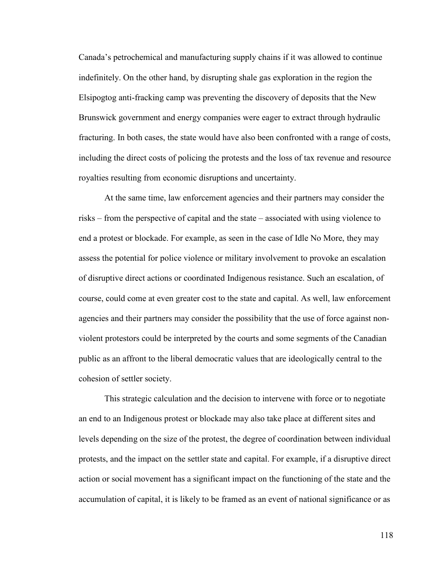Canada's petrochemical and manufacturing supply chains if it was allowed to continue indefinitely. On the other hand, by disrupting shale gas exploration in the region the Elsipogtog anti-fracking camp was preventing the discovery of deposits that the New Brunswick government and energy companies were eager to extract through hydraulic fracturing. In both cases, the state would have also been confronted with a range of costs, including the direct costs of policing the protests and the loss of tax revenue and resource royalties resulting from economic disruptions and uncertainty.

At the same time, law enforcement agencies and their partners may consider the risks – from the perspective of capital and the state – associated with using violence to end a protest or blockade. For example, as seen in the case of Idle No More, they may assess the potential for police violence or military involvement to provoke an escalation of disruptive direct actions or coordinated Indigenous resistance. Such an escalation, of course, could come at even greater cost to the state and capital. As well, law enforcement agencies and their partners may consider the possibility that the use of force against nonviolent protestors could be interpreted by the courts and some segments of the Canadian public as an affront to the liberal democratic values that are ideologically central to the cohesion of settler society.

This strategic calculation and the decision to intervene with force or to negotiate an end to an Indigenous protest or blockade may also take place at different sites and levels depending on the size of the protest, the degree of coordination between individual protests, and the impact on the settler state and capital. For example, if a disruptive direct action or social movement has a significant impact on the functioning of the state and the accumulation of capital, it is likely to be framed as an event of national significance or as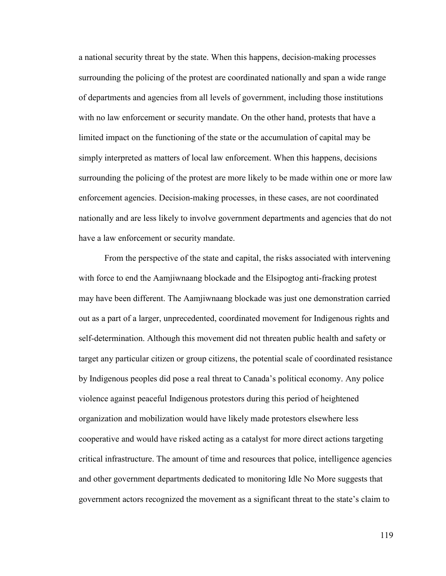a national security threat by the state. When this happens, decision-making processes surrounding the policing of the protest are coordinated nationally and span a wide range of departments and agencies from all levels of government, including those institutions with no law enforcement or security mandate. On the other hand, protests that have a limited impact on the functioning of the state or the accumulation of capital may be simply interpreted as matters of local law enforcement. When this happens, decisions surrounding the policing of the protest are more likely to be made within one or more law enforcement agencies. Decision-making processes, in these cases, are not coordinated nationally and are less likely to involve government departments and agencies that do not have a law enforcement or security mandate.

From the perspective of the state and capital, the risks associated with intervening with force to end the Aamjiwnaang blockade and the Elsipogtog anti-fracking protest may have been different. The Aamjiwnaang blockade was just one demonstration carried out as a part of a larger, unprecedented, coordinated movement for Indigenous rights and self-determination. Although this movement did not threaten public health and safety or target any particular citizen or group citizens, the potential scale of coordinated resistance by Indigenous peoples did pose a real threat to Canada's political economy. Any police violence against peaceful Indigenous protestors during this period of heightened organization and mobilization would have likely made protestors elsewhere less cooperative and would have risked acting as a catalyst for more direct actions targeting critical infrastructure. The amount of time and resources that police, intelligence agencies and other government departments dedicated to monitoring Idle No More suggests that government actors recognized the movement as a significant threat to the state's claim to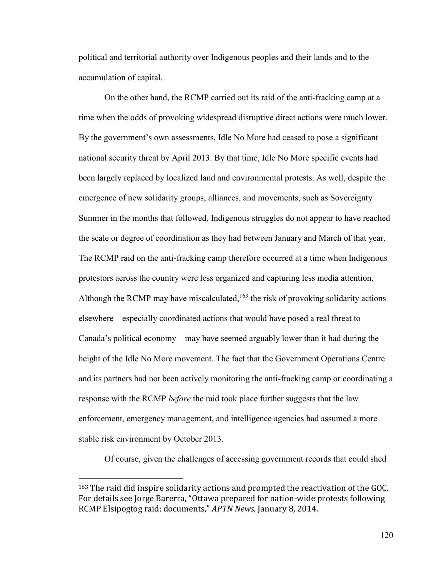political and territorial authority over Indigenous peoples and their lands and to the accumulation of capital.

On the other hand, the RCMP carried out its raid of the anti-fracking camp at a time when the odds of provoking widespread disruptive direct actions were much lower. By the government's own assessments, Idle No More had ceased to pose a significant national security threat by April 2013. By that time, Idle No More specific events had been largely replaced by localized land and environmental protests. As well, despite the emergence of new solidarity groups, alliances, and movements, such as Sovereignty Summer in the months that followed, Indigenous struggles do not appear to have reached the scale or degree of coordination as they had between January and March of that year. The RCMP raid on the anti-fracking camp therefore occurred at a time when Indigenous protestors across the country were less organized and capturing less media attention. Although the RCMP may have miscalculated,  $163$  the risk of provoking solidarity actions elsewhere – especially coordinated actions that would have posed a real threat to Canada's political economy – may have seemed arguably lower than it had during the height of the Idle No More movement. The fact that the Government Operations Centre and its partners had not been actively monitoring the anti-fracking camp or coordinating a response with the RCMP *before* the raid took place further suggests that the law enforcement, emergency management, and intelligence agencies had assumed a more stable risk environment by October 2013.

Of course, given the challenges of accessing government records that could shed

 $\overline{a}$ 

<sup>163</sup> The raid did inspire solidarity actions and prompted the reactivation of the GOC. For details see Jorge Barerra, "Ottawa prepared for nation-wide protests following RCMP Elsipogtog raid: documents," APTN News, January 8, 2014.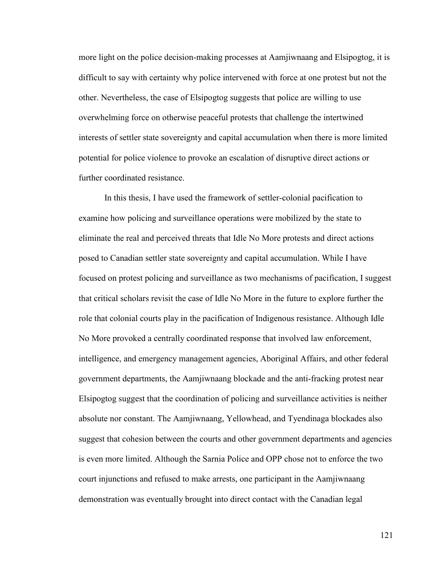more light on the police decision-making processes at Aamjiwnaang and Elsipogtog, it is difficult to say with certainty why police intervened with force at one protest but not the other. Nevertheless, the case of Elsipogtog suggests that police are willing to use overwhelming force on otherwise peaceful protests that challenge the intertwined interests of settler state sovereignty and capital accumulation when there is more limited potential for police violence to provoke an escalation of disruptive direct actions or further coordinated resistance.

In this thesis, I have used the framework of settler-colonial pacification to examine how policing and surveillance operations were mobilized by the state to eliminate the real and perceived threats that Idle No More protests and direct actions posed to Canadian settler state sovereignty and capital accumulation. While I have focused on protest policing and surveillance as two mechanisms of pacification, I suggest that critical scholars revisit the case of Idle No More in the future to explore further the role that colonial courts play in the pacification of Indigenous resistance. Although Idle No More provoked a centrally coordinated response that involved law enforcement, intelligence, and emergency management agencies, Aboriginal Affairs, and other federal government departments, the Aamjiwnaang blockade and the anti-fracking protest near Elsipogtog suggest that the coordination of policing and surveillance activities is neither absolute nor constant. The Aamjiwnaang, Yellowhead, and Tyendinaga blockades also suggest that cohesion between the courts and other government departments and agencies is even more limited. Although the Sarnia Police and OPP chose not to enforce the two court injunctions and refused to make arrests, one participant in the Aamjiwnaang demonstration was eventually brought into direct contact with the Canadian legal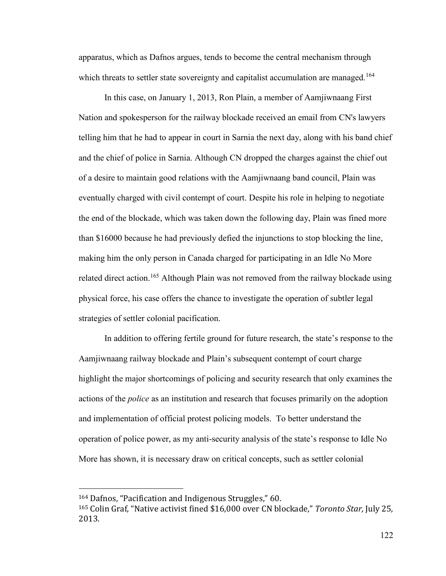apparatus, which as Dafnos argues, tends to become the central mechanism through which threats to settler state sovereignty and capitalist accumulation are managed.<sup>164</sup>

In this case, on January 1, 2013, Ron Plain, a member of Aamjiwnaang First Nation and spokesperson for the railway blockade received an email from CN's lawyers telling him that he had to appear in court in Sarnia the next day, along with his band chief and the chief of police in Sarnia. Although CN dropped the charges against the chief out of a desire to maintain good relations with the Aamjiwnaang band council, Plain was eventually charged with civil contempt of court. Despite his role in helping to negotiate the end of the blockade, which was taken down the following day, Plain was fined more than \$16000 because he had previously defied the injunctions to stop blocking the line, making him the only person in Canada charged for participating in an Idle No More related direct action.<sup>165</sup> Although Plain was not removed from the railway blockade using physical force, his case offers the chance to investigate the operation of subtler legal strategies of settler colonial pacification.

 In addition to offering fertile ground for future research, the state's response to the Aamjiwnaang railway blockade and Plain's subsequent contempt of court charge highlight the major shortcomings of policing and security research that only examines the actions of the *police* as an institution and research that focuses primarily on the adoption and implementation of official protest policing models. To better understand the operation of police power, as my anti-security analysis of the state's response to Idle No More has shown, it is necessary draw on critical concepts, such as settler colonial

<sup>164</sup> Dafnos, "Pacification and Indigenous Struggles," 60.

<sup>&</sup>lt;sup>165</sup> Colin Graf, "Native activist fined \$16,000 over CN blockade," *Toronto Star*, July 25, 2013.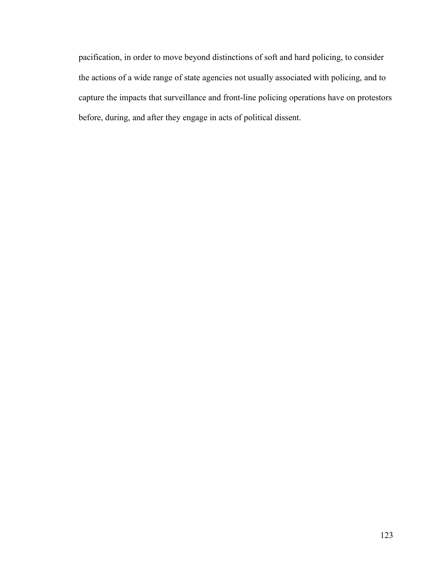pacification, in order to move beyond distinctions of soft and hard policing, to consider the actions of a wide range of state agencies not usually associated with policing, and to capture the impacts that surveillance and front-line policing operations have on protestors before, during, and after they engage in acts of political dissent.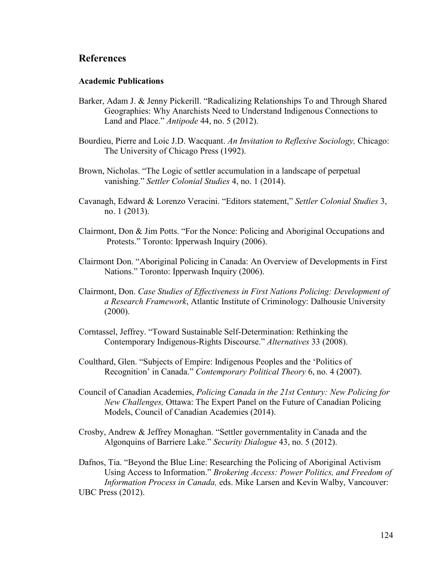## **References**

#### **Academic Publications**

- Barker, Adam J. & Jenny Pickerill. "Radicalizing Relationships To and Through Shared Geographies: Why Anarchists Need to Understand Indigenous Connections to Land and Place." *Antipode* 44, no. 5 (2012).
- Bourdieu, Pierre and Loic J.D. Wacquant. *An Invitation to Reflexive Sociology,* Chicago: The University of Chicago Press (1992).
- Brown, Nicholas. "The Logic of settler accumulation in a landscape of perpetual vanishing." *Settler Colonial Studies* 4, no. 1 (2014).
- Cavanagh, Edward & Lorenzo Veracini. "Editors statement," *Settler Colonial Studies* 3, no. 1 (2013).
- Clairmont, Don & Jim Potts. "For the Nonce: Policing and Aboriginal Occupations and Protests." Toronto: Ipperwash Inquiry (2006).
- Clairmont Don. "Aboriginal Policing in Canada: An Overview of Developments in First Nations." Toronto: Ipperwash Inquiry (2006).
- Clairmont, Don. *Case Studies of Effectiveness in First Nations Policing: Development of a Research Framework*, Atlantic Institute of Criminology: Dalhousie University (2000).
- Corntassel, Jeffrey. "Toward Sustainable Self-Determination: Rethinking the Contemporary Indigenous-Rights Discourse." *Alternatives* 33 (2008).
- Coulthard, Glen. "Subjects of Empire: Indigenous Peoples and the 'Politics of Recognition' in Canada." *Contemporary Political Theory* 6, no. 4 (2007).
- Council of Canadian Academies, *Policing Canada in the 21st Century: New Policing for New Challenges,* Ottawa: The Expert Panel on the Future of Canadian Policing Models, Council of Canadian Academies (2014).
- Crosby, Andrew & Jeffrey Monaghan. "Settler governmentality in Canada and the Algonquins of Barriere Lake." *Security Dialogue* 43, no. 5 (2012).

Dafnos, Tia. "Beyond the Blue Line: Researching the Policing of Aboriginal Activism Using Access to Information." *Brokering Access: Power Politics, and Freedom of Information Process in Canada,* eds. Mike Larsen and Kevin Walby, Vancouver: UBC Press (2012).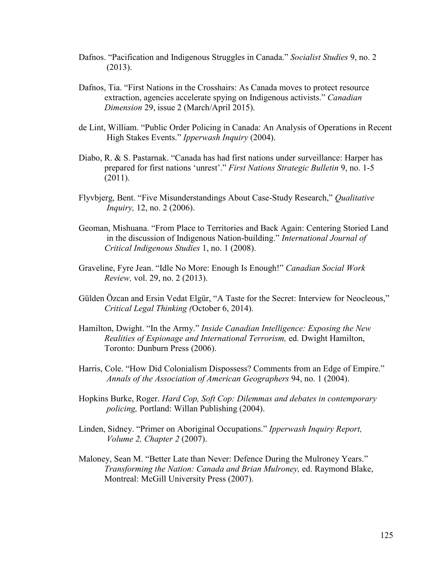- Dafnos. "Pacification and Indigenous Struggles in Canada." *Socialist Studies* 9, no. 2 (2013).
- Dafnos, Tia. "First Nations in the Crosshairs: As Canada moves to protect resource extraction, agencies accelerate spying on Indigenous activists." *Canadian Dimension* 29, issue 2 (March/April 2015).
- de Lint, William. "Public Order Policing in Canada: An Analysis of Operations in Recent High Stakes Events." *Ipperwash Inquiry* (2004).
- Diabo, R. & S. Pastarnak. "Canada has had first nations under surveillance: Harper has prepared for first nations 'unrest'." *First Nations Strategic Bulletin* 9, no. 1-5 (2011).
- Flyvbjerg, Bent. "Five Misunderstandings About Case-Study Research," *Qualitative Inquiry,* 12, no. 2 (2006).
- Geoman, Mishuana. "From Place to Territories and Back Again: Centering Storied Land in the discussion of Indigenous Nation-building." *International Journal of Critical Indigenous Studies* 1, no. 1 (2008).
- Graveline, Fyre Jean. "Idle No More: Enough Is Enough!" *Canadian Social Work Review,* vol. 29, no. 2 (2013).
- Gülden Özcan and Ersin Vedat Elgür, "A Taste for the Secret: Interview for Neocleous," *Critical Legal Thinking (*October 6, 2014).
- Hamilton, Dwight. "In the Army." *Inside Canadian Intelligence: Exposing the New Realities of Espionage and International Terrorism,* ed. Dwight Hamilton, Toronto: Dunburn Press (2006).
- Harris, Cole. "How Did Colonialism Dispossess? Comments from an Edge of Empire." *Annals of the Association of American Geographers* 94, no. 1 (2004).
- Hopkins Burke, Roger. *Hard Cop, Soft Cop: Dilemmas and debates in contemporary policing,* Portland: Willan Publishing (2004).
- Linden, Sidney. "Primer on Aboriginal Occupations." *Ipperwash Inquiry Report, Volume 2, Chapter 2* (2007).
- Maloney, Sean M. "Better Late than Never: Defence During the Mulroney Years." *Transforming the Nation: Canada and Brian Mulroney,* ed. Raymond Blake, Montreal: McGill University Press (2007).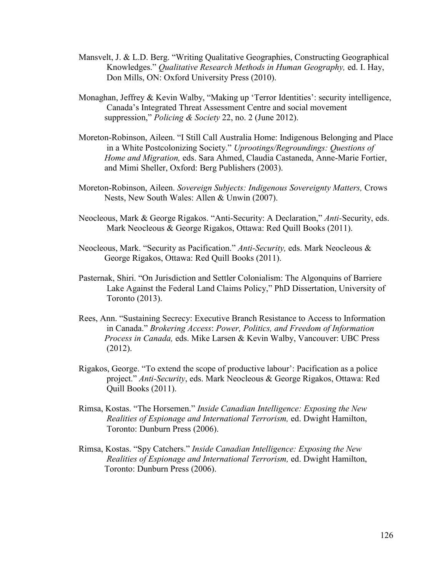- Mansvelt, J. & L.D. Berg. "Writing Qualitative Geographies, Constructing Geographical Knowledges." *Qualitative Research Methods in Human Geography,* ed. I. Hay, Don Mills, ON: Oxford University Press (2010).
- Monaghan, Jeffrey & Kevin Walby, "Making up 'Terror Identities': security intelligence, Canada's Integrated Threat Assessment Centre and social movement suppression," *Policing & Society* 22, no. 2 (June 2012).
- Moreton-Robinson, Aileen. "I Still Call Australia Home: Indigenous Belonging and Place in a White Postcolonizing Society." *Uprootings/Regroundings: Questions of Home and Migration,* eds. Sara Ahmed, Claudia Castaneda, Anne-Marie Fortier, and Mimi Sheller, Oxford: Berg Publishers (2003).
- Moreton-Robinson, Aileen. *Sovereign Subjects: Indigenous Sovereignty Matters,* Crows Nests, New South Wales: Allen & Unwin (2007).
- Neocleous, Mark & George Rigakos. "Anti-Security: A Declaration," *Anti-*Security, eds. Mark Neocleous & George Rigakos, Ottawa: Red Quill Books (2011).
- Neocleous, Mark. "Security as Pacification." *Anti-Security,* eds. Mark Neocleous & George Rigakos, Ottawa: Red Quill Books (2011).
- Pasternak, Shiri. "On Jurisdiction and Settler Colonialism: The Algonquins of Barriere Lake Against the Federal Land Claims Policy," PhD Dissertation, University of Toronto (2013).
- Rees, Ann. "Sustaining Secrecy: Executive Branch Resistance to Access to Information in Canada." *Brokering Access*: *Power, Politics, and Freedom of Information Process in Canada,* eds. Mike Larsen & Kevin Walby, Vancouver: UBC Press (2012).
- Rigakos, George. "To extend the scope of productive labour': Pacification as a police project." *Anti-Security*, eds. Mark Neocleous & George Rigakos, Ottawa: Red Quill Books (2011).
- Rimsa, Kostas. "The Horsemen." *Inside Canadian Intelligence: Exposing the New Realities of Espionage and International Terrorism,* ed. Dwight Hamilton, Toronto: Dunburn Press (2006).
- Rimsa, Kostas. "Spy Catchers." *Inside Canadian Intelligence: Exposing the New Realities of Espionage and International Terrorism,* ed. Dwight Hamilton, Toronto: Dunburn Press (2006).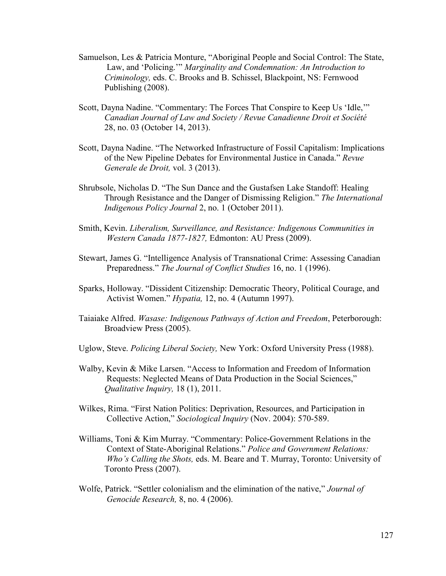- Samuelson, Les & Patricia Monture, "Aboriginal People and Social Control: The State, Law, and 'Policing.'" *Marginality and Condemnation: An Introduction to Criminology,* eds. C. Brooks and B. Schissel, Blackpoint, NS: Fernwood Publishing (2008).
- Scott, Dayna Nadine. "Commentary: The Forces That Conspire to Keep Us 'Idle,'" *Canadian Journal of Law and Society / Revue Canadienne Droit et Société* 28, no. 03 (October 14, 2013).
- Scott, Dayna Nadine. "The Networked Infrastructure of Fossil Capitalism: Implications of the New Pipeline Debates for Environmental Justice in Canada." *Revue Generale de Droit,* vol. 3 (2013).
- Shrubsole, Nicholas D. "The Sun Dance and the Gustafsen Lake Standoff: Healing Through Resistance and the Danger of Dismissing Religion." *The International Indigenous Policy Journal* 2, no. 1 (October 2011).
- Smith, Kevin. *Liberalism, Surveillance, and Resistance: Indigenous Communities in Western Canada 1877-1827,* Edmonton: AU Press (2009).
- Stewart, James G. "Intelligence Analysis of Transnational Crime: Assessing Canadian Preparedness." *The Journal of Conflict Studies* 16, no. 1 (1996).
- Sparks, Holloway. "Dissident Citizenship: Democratic Theory, Political Courage, and Activist Women." *Hypatia,* 12, no. 4 (Autumn 1997).
- Taiaiake Alfred. *Wasase: Indigenous Pathways of Action and Freedom*, Peterborough: Broadview Press (2005).
- Uglow, Steve. *Policing Liberal Society,* New York: Oxford University Press (1988).
- Walby, Kevin & Mike Larsen. "Access to Information and Freedom of Information Requests: Neglected Means of Data Production in the Social Sciences," *Qualitative Inquiry,* 18 (1), 2011.
- Wilkes, Rima. "First Nation Politics: Deprivation, Resources, and Participation in Collective Action," *Sociological Inquiry* (Nov. 2004): 570-589.
- Williams, Toni & Kim Murray. "Commentary: Police-Government Relations in the Context of State-Aboriginal Relations." *Police and Government Relations: Who's Calling the Shots,* eds. M. Beare and T. Murray, Toronto: University of Toronto Press (2007).
- Wolfe, Patrick. "Settler colonialism and the elimination of the native," *Journal of Genocide Research,* 8, no. 4 (2006).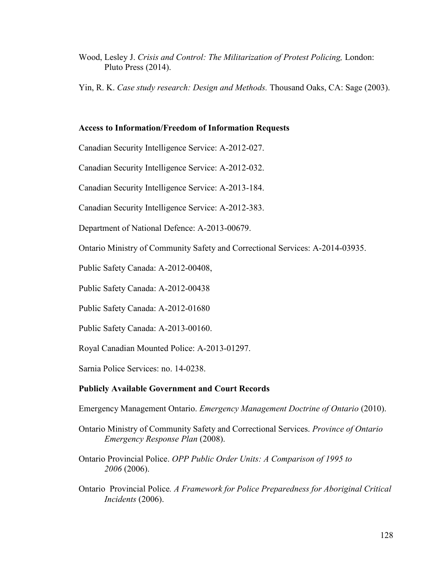Wood, Lesley J. *Crisis and Control: The Militarization of Protest Policing,* London: Pluto Press (2014).

Yin, R. K. *Case study research: Design and Methods.* Thousand Oaks, CA: Sage (2003).

### **Access to Information/Freedom of Information Requests**

Canadian Security Intelligence Service: A-2012-027.

Canadian Security Intelligence Service: A-2012-032.

Canadian Security Intelligence Service: A-2013-184.

Canadian Security Intelligence Service: A-2012-383.

Department of National Defence: A-2013-00679.

Ontario Ministry of Community Safety and Correctional Services: A-2014-03935.

Public Safety Canada: A-2012-00408,

Public Safety Canada: A-2012-00438

Public Safety Canada: A-2012-01680

Public Safety Canada: A-2013-00160.

Royal Canadian Mounted Police: A-2013-01297.

Sarnia Police Services: no. 14-0238.

### **Publicly Available Government and Court Records**

Emergency Management Ontario. *Emergency Management Doctrine of Ontario* (2010).

Ontario Ministry of Community Safety and Correctional Services. *Province of Ontario Emergency Response Plan* (2008).

Ontario Provincial Police. *OPP Public Order Units: A Comparison of 1995 to 2006* (2006).

Ontario Provincial Police*. A Framework for Police Preparedness for Aboriginal Critical Incidents* (2006).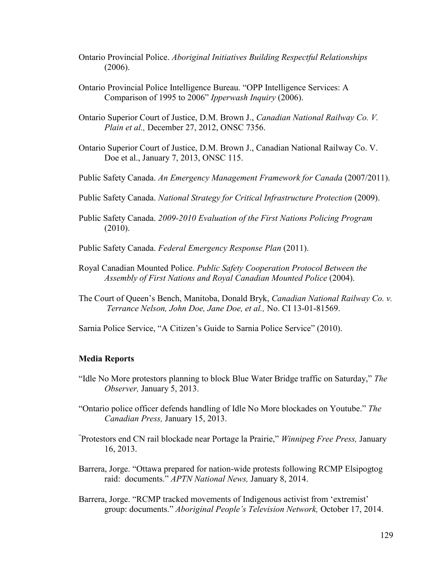- Ontario Provincial Police. *Aboriginal Initiatives Building Respectful Relationships* (2006).
- Ontario Provincial Police Intelligence Bureau. "OPP Intelligence Services: A Comparison of 1995 to 2006" *Ipperwash Inquiry* (2006).
- Ontario Superior Court of Justice, D.M. Brown J., *Canadian National Railway Co. V. Plain et al.,* December 27, 2012, ONSC 7356.
- Ontario Superior Court of Justice, D.M. Brown J., Canadian National Railway Co. V. Doe et al., January 7, 2013, ONSC 115.
- Public Safety Canada. *An Emergency Management Framework for Canada* (2007/2011).
- Public Safety Canada. *National Strategy for Critical Infrastructure Protection* (2009).
- Public Safety Canada. *2009-2010 Evaluation of the First Nations Policing Program* (2010).
- Public Safety Canada. *Federal Emergency Response Plan* (2011).
- Royal Canadian Mounted Police. *Public Safety Cooperation Protocol Between the Assembly of First Nations and Royal Canadian Mounted Police* (2004).
- The Court of Queen's Bench, Manitoba, Donald Bryk, *Canadian National Railway Co. v. Terrance Nelson, John Doe, Jane Doe, et al.,* No. CI 13-01-81569.
- Sarnia Police Service, "A Citizen's Guide to Sarnia Police Service" (2010).

### **Media Reports**

- "Idle No More protestors planning to block Blue Water Bridge traffic on Saturday," *The Observer,* January 5, 2013.
- "Ontario police officer defends handling of Idle No More blockades on Youtube." *The Canadian Press,* January 15, 2013.
- "Protestors end CN rail blockade near Portage la Prairie," *Winnipeg Free Press,* January 16, 2013.
- Barrera, Jorge. "Ottawa prepared for nation-wide protests following RCMP Elsipogtog raid: documents." *APTN National News,* January 8, 2014.
- Barrera, Jorge. "RCMP tracked movements of Indigenous activist from 'extremist' group: documents." *Aboriginal People's Television Network,* October 17, 2014.